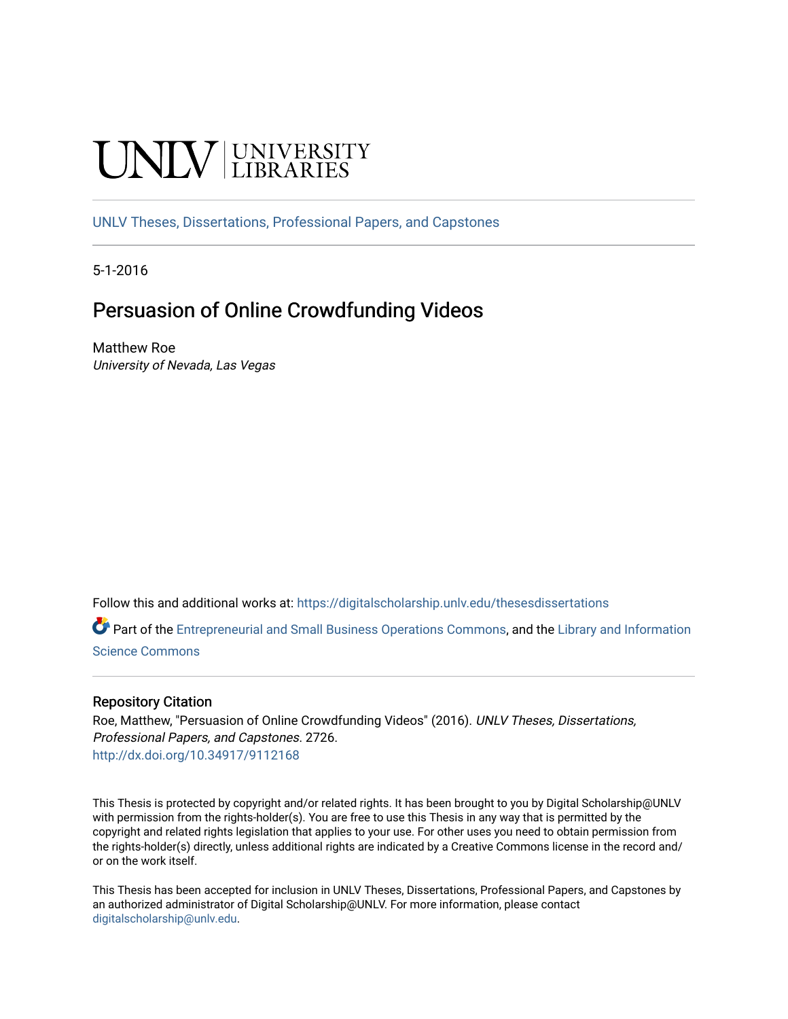# **INIVERSITY**

[UNLV Theses, Dissertations, Professional Papers, and Capstones](https://digitalscholarship.unlv.edu/thesesdissertations)

5-1-2016

## Persuasion of Online Crowdfunding Videos

Matthew Roe University of Nevada, Las Vegas

Follow this and additional works at: [https://digitalscholarship.unlv.edu/thesesdissertations](https://digitalscholarship.unlv.edu/thesesdissertations?utm_source=digitalscholarship.unlv.edu%2Fthesesdissertations%2F2726&utm_medium=PDF&utm_campaign=PDFCoverPages)

Part of the [Entrepreneurial and Small Business Operations Commons,](http://network.bepress.com/hgg/discipline/630?utm_source=digitalscholarship.unlv.edu%2Fthesesdissertations%2F2726&utm_medium=PDF&utm_campaign=PDFCoverPages) and the [Library and Information](http://network.bepress.com/hgg/discipline/1018?utm_source=digitalscholarship.unlv.edu%2Fthesesdissertations%2F2726&utm_medium=PDF&utm_campaign=PDFCoverPages) [Science Commons](http://network.bepress.com/hgg/discipline/1018?utm_source=digitalscholarship.unlv.edu%2Fthesesdissertations%2F2726&utm_medium=PDF&utm_campaign=PDFCoverPages) 

#### Repository Citation

Roe, Matthew, "Persuasion of Online Crowdfunding Videos" (2016). UNLV Theses, Dissertations, Professional Papers, and Capstones. 2726. <http://dx.doi.org/10.34917/9112168>

This Thesis is protected by copyright and/or related rights. It has been brought to you by Digital Scholarship@UNLV with permission from the rights-holder(s). You are free to use this Thesis in any way that is permitted by the copyright and related rights legislation that applies to your use. For other uses you need to obtain permission from the rights-holder(s) directly, unless additional rights are indicated by a Creative Commons license in the record and/ or on the work itself.

This Thesis has been accepted for inclusion in UNLV Theses, Dissertations, Professional Papers, and Capstones by an authorized administrator of Digital Scholarship@UNLV. For more information, please contact [digitalscholarship@unlv.edu](mailto:digitalscholarship@unlv.edu).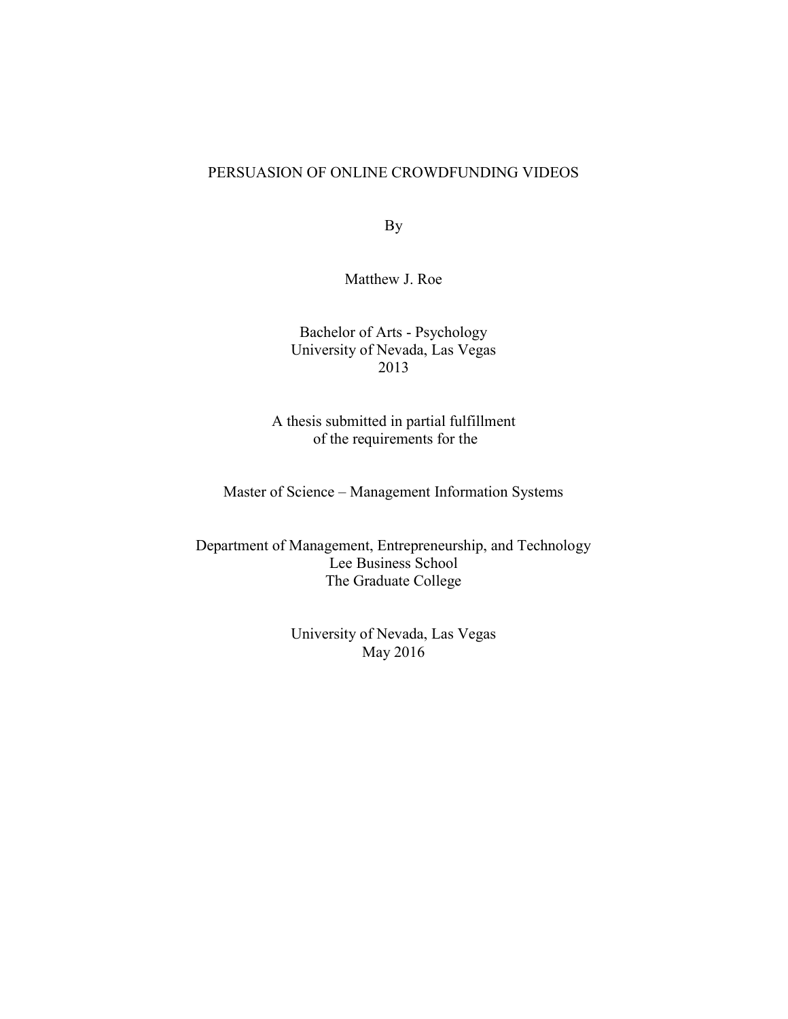#### PERSUASION OF ONLINE CROWDFUNDING VIDEOS

By

Matthew J. Roe

Bachelor of Arts - Psychology University of Nevada, Las Vegas 2013

A thesis submitted in partial fulfillment of the requirements for the

Master of Science – Management Information Systems

Department of Management, Entrepreneurship, and Technology Lee Business School The Graduate College

> University of Nevada, Las Vegas May 2016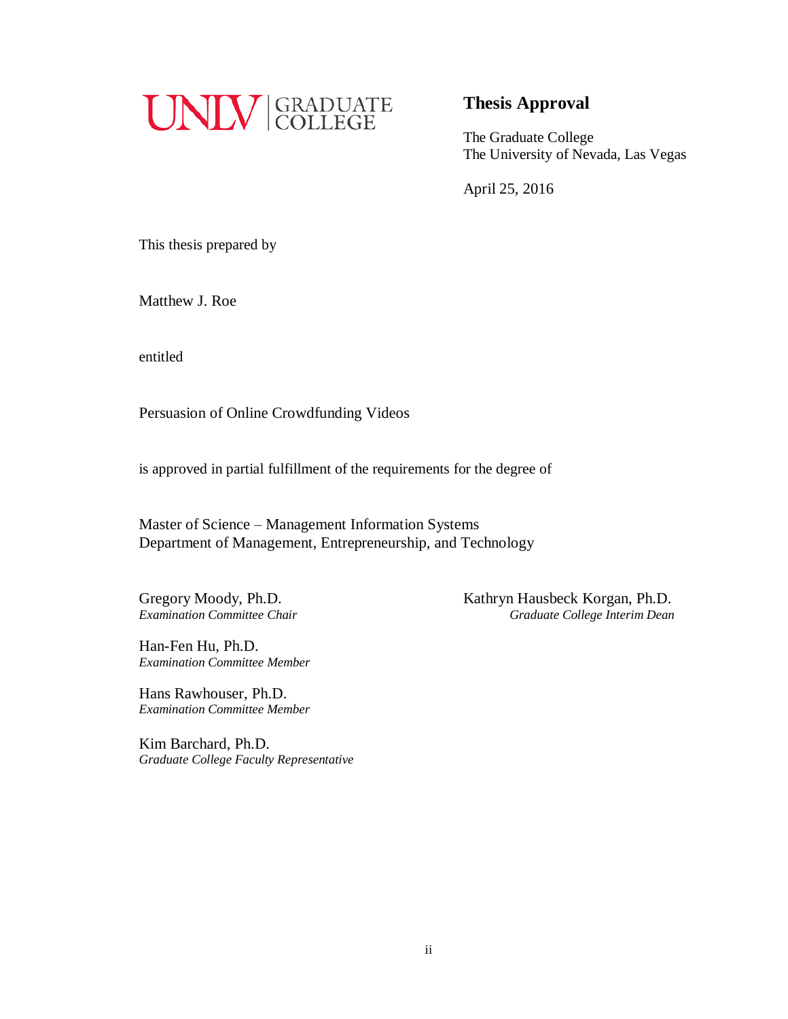

#### **Thesis Approval**

The Graduate College The University of Nevada, Las Vegas

April 25, 2016

This thesis prepared by

Matthew J. Roe

entitled

Persuasion of Online Crowdfunding Videos

is approved in partial fulfillment of the requirements for the degree of

Master of Science – Management Information Systems Department of Management, Entrepreneurship, and Technology

Han-Fen Hu, Ph.D. *Examination Committee Member*

Hans Rawhouser, Ph.D. *Examination Committee Member*

Kim Barchard, Ph.D. *Graduate College Faculty Representative*

Gregory Moody, Ph.D. Kathryn Hausbeck Korgan, Ph.D. *Examination Committee Chair Graduate College Interim Dean*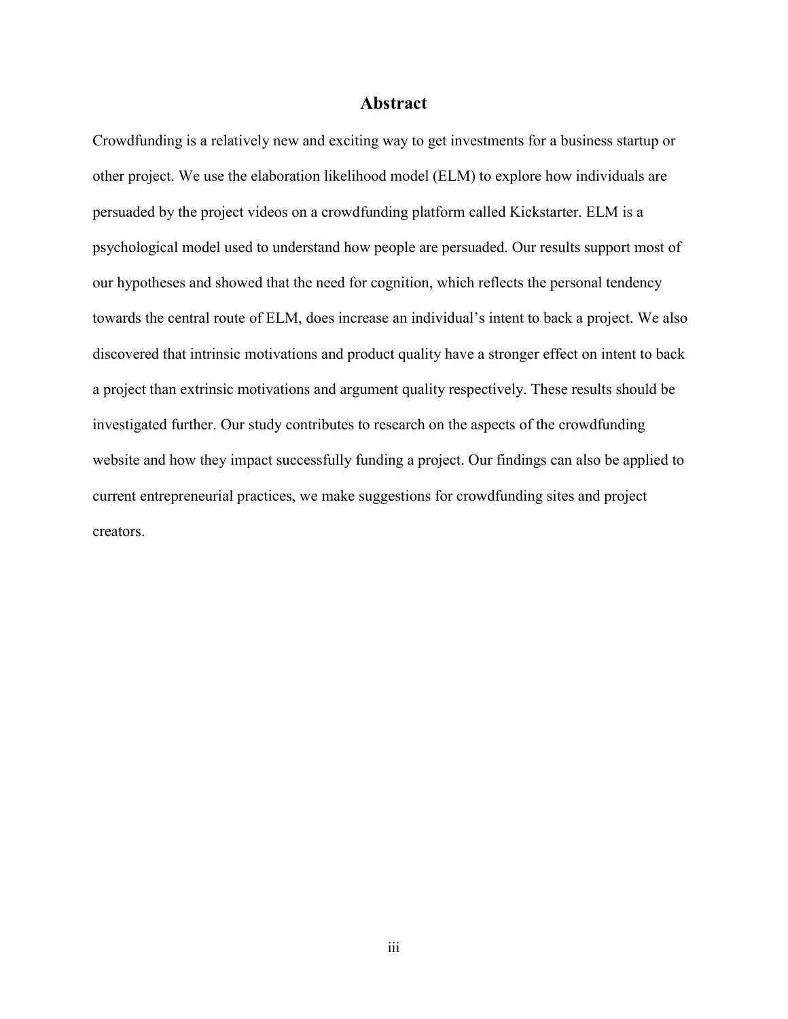#### Abstract

Crowdfunding is a relatively new and exciting way to get investments for a business startup or other project. We use the elaboration likelihood model (ELM) to explore how individuals are persuaded by the project videos on a crowdfunding platform called Kickstarter. ELM is a psychological model used to understand how people are persuaded. Our results support most of our hypotheses and showed that the need for cognition, which reflects the personal tendency towards the central route of ELM, does increase an individual's intent to back a project. We also discovered that intrinsic motivations and product quality have a stronger effect on intent to back a project than extrinsic motivations and argument quality respectively. These results should be investigated further. Our study contributes to research on the aspects of the crowdfunding website and how they impact successfully funding a project. Our findings can also be applied to current entrepreneurial practices, we make suggestions for crowdfunding sites and project creators.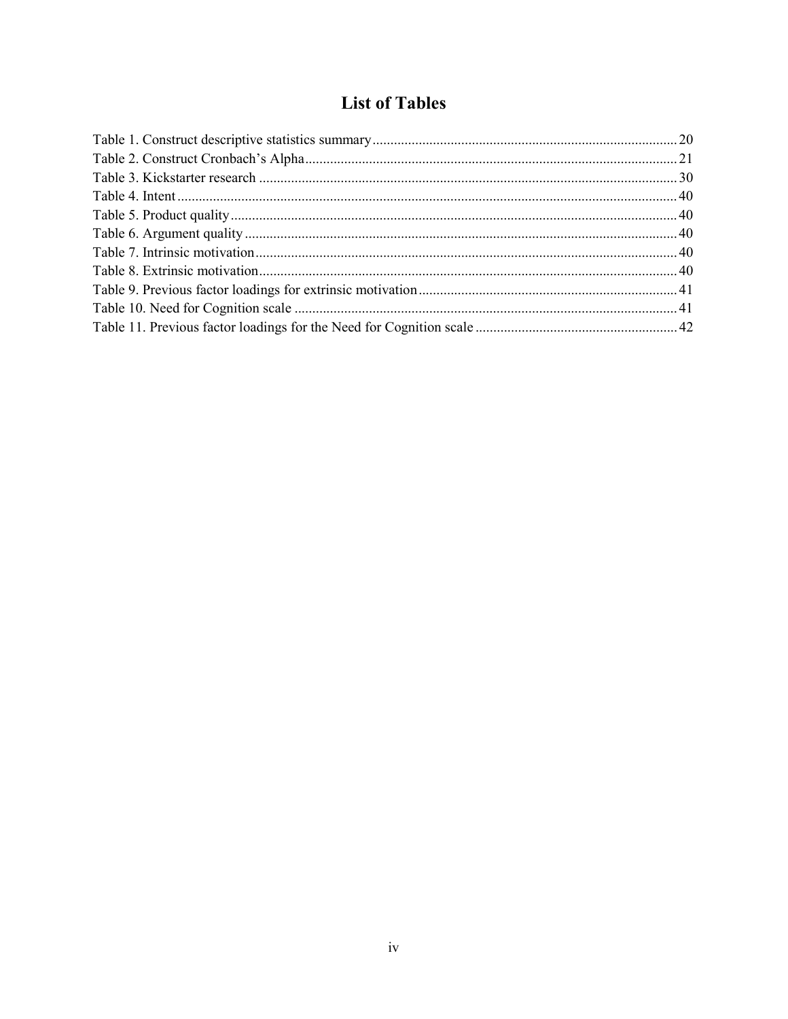## **List of Tables**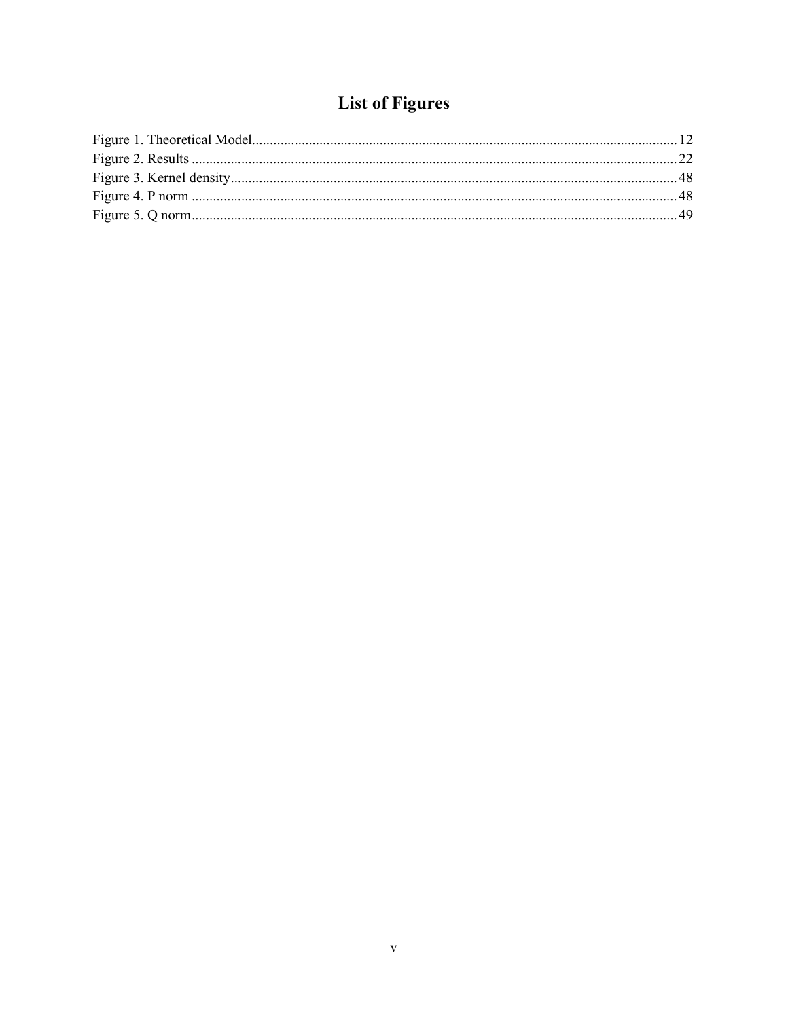# **List of Figures**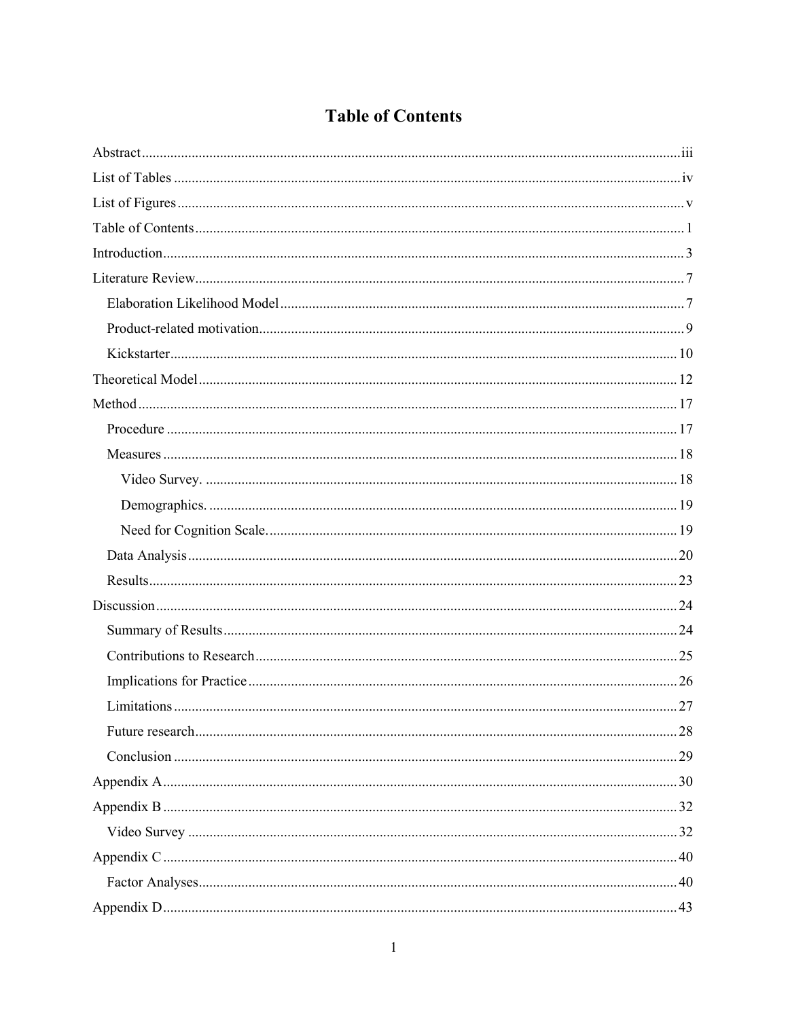# **Table of Contents**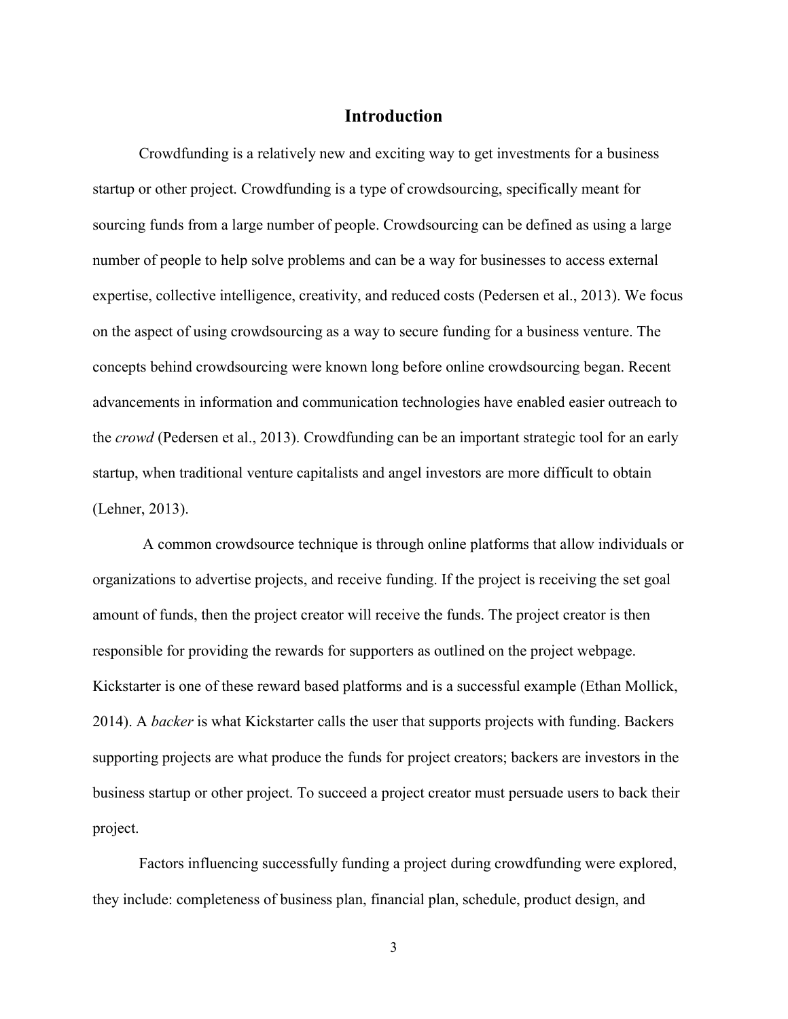#### Introduction

Crowdfunding is a relatively new and exciting way to get investments for a business startup or other project. Crowdfunding is a type of crowdsourcing, specifically meant for sourcing funds from a large number of people. Crowdsourcing can be defined as using a large number of people to help solve problems and can be a way for businesses to access external expertise, collective intelligence, creativity, and reduced costs (Pedersen et al., 2013). We focus on the aspect of using crowdsourcing as a way to secure funding for a business venture. The concepts behind crowdsourcing were known long before online crowdsourcing began. Recent advancements in information and communication technologies have enabled easier outreach to the crowd (Pedersen et al., 2013). Crowdfunding can be an important strategic tool for an early startup, when traditional venture capitalists and angel investors are more difficult to obtain (Lehner, 2013).

 A common crowdsource technique is through online platforms that allow individuals or organizations to advertise projects, and receive funding. If the project is receiving the set goal amount of funds, then the project creator will receive the funds. The project creator is then responsible for providing the rewards for supporters as outlined on the project webpage. Kickstarter is one of these reward based platforms and is a successful example (Ethan Mollick, 2014). A backer is what Kickstarter calls the user that supports projects with funding. Backers supporting projects are what produce the funds for project creators; backers are investors in the business startup or other project. To succeed a project creator must persuade users to back their project.

Factors influencing successfully funding a project during crowdfunding were explored, they include: completeness of business plan, financial plan, schedule, product design, and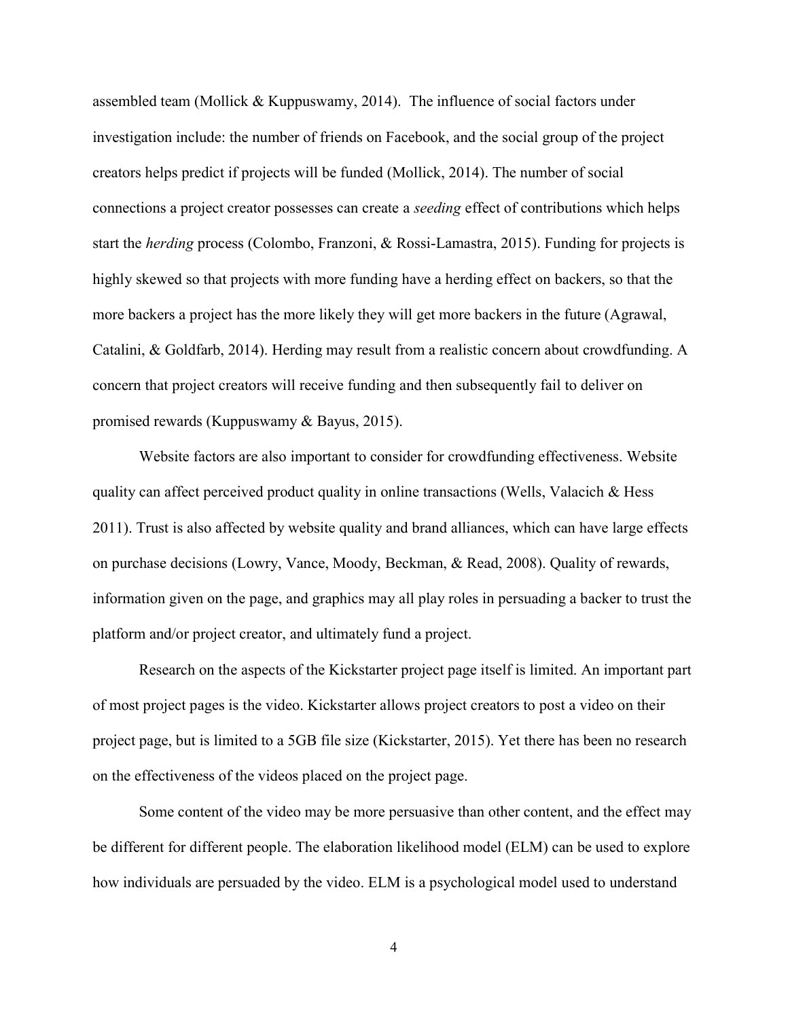assembled team (Mollick & Kuppuswamy, 2014). The influence of social factors under investigation include: the number of friends on Facebook, and the social group of the project creators helps predict if projects will be funded (Mollick, 2014). The number of social connections a project creator possesses can create a seeding effect of contributions which helps start the *herding* process (Colombo, Franzoni, & Rossi-Lamastra, 2015). Funding for projects is highly skewed so that projects with more funding have a herding effect on backers, so that the more backers a project has the more likely they will get more backers in the future (Agrawal, Catalini, & Goldfarb, 2014). Herding may result from a realistic concern about crowdfunding. A concern that project creators will receive funding and then subsequently fail to deliver on promised rewards (Kuppuswamy & Bayus, 2015).

 Website factors are also important to consider for crowdfunding effectiveness. Website quality can affect perceived product quality in online transactions (Wells, Valacich & Hess 2011). Trust is also affected by website quality and brand alliances, which can have large effects on purchase decisions (Lowry, Vance, Moody, Beckman, & Read, 2008). Quality of rewards, information given on the page, and graphics may all play roles in persuading a backer to trust the platform and/or project creator, and ultimately fund a project.

Research on the aspects of the Kickstarter project page itself is limited. An important part of most project pages is the video. Kickstarter allows project creators to post a video on their project page, but is limited to a 5GB file size (Kickstarter, 2015). Yet there has been no research on the effectiveness of the videos placed on the project page.

Some content of the video may be more persuasive than other content, and the effect may be different for different people. The elaboration likelihood model (ELM) can be used to explore how individuals are persuaded by the video. ELM is a psychological model used to understand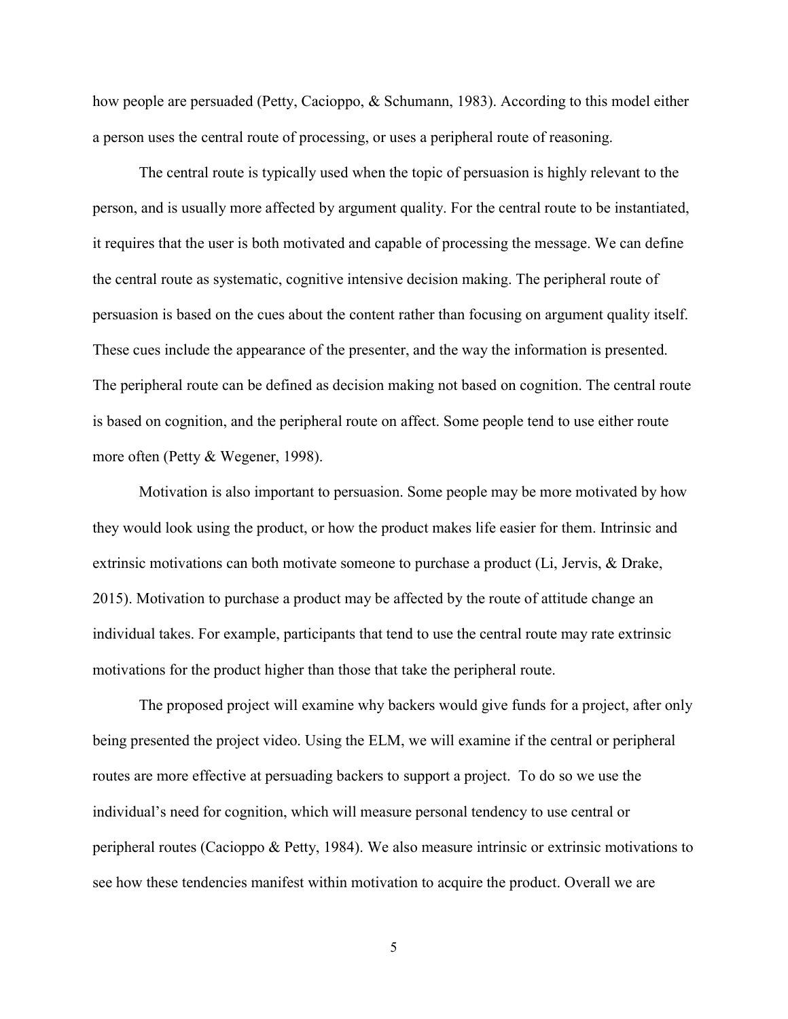how people are persuaded (Petty, Cacioppo, & Schumann, 1983). According to this model either a person uses the central route of processing, or uses a peripheral route of reasoning.

The central route is typically used when the topic of persuasion is highly relevant to the person, and is usually more affected by argument quality. For the central route to be instantiated, it requires that the user is both motivated and capable of processing the message. We can define the central route as systematic, cognitive intensive decision making. The peripheral route of persuasion is based on the cues about the content rather than focusing on argument quality itself. These cues include the appearance of the presenter, and the way the information is presented. The peripheral route can be defined as decision making not based on cognition. The central route is based on cognition, and the peripheral route on affect. Some people tend to use either route more often (Petty & Wegener, 1998).

Motivation is also important to persuasion. Some people may be more motivated by how they would look using the product, or how the product makes life easier for them. Intrinsic and extrinsic motivations can both motivate someone to purchase a product (Li, Jervis, & Drake, 2015). Motivation to purchase a product may be affected by the route of attitude change an individual takes. For example, participants that tend to use the central route may rate extrinsic motivations for the product higher than those that take the peripheral route.

The proposed project will examine why backers would give funds for a project, after only being presented the project video. Using the ELM, we will examine if the central or peripheral routes are more effective at persuading backers to support a project. To do so we use the individual's need for cognition, which will measure personal tendency to use central or peripheral routes (Cacioppo & Petty, 1984). We also measure intrinsic or extrinsic motivations to see how these tendencies manifest within motivation to acquire the product. Overall we are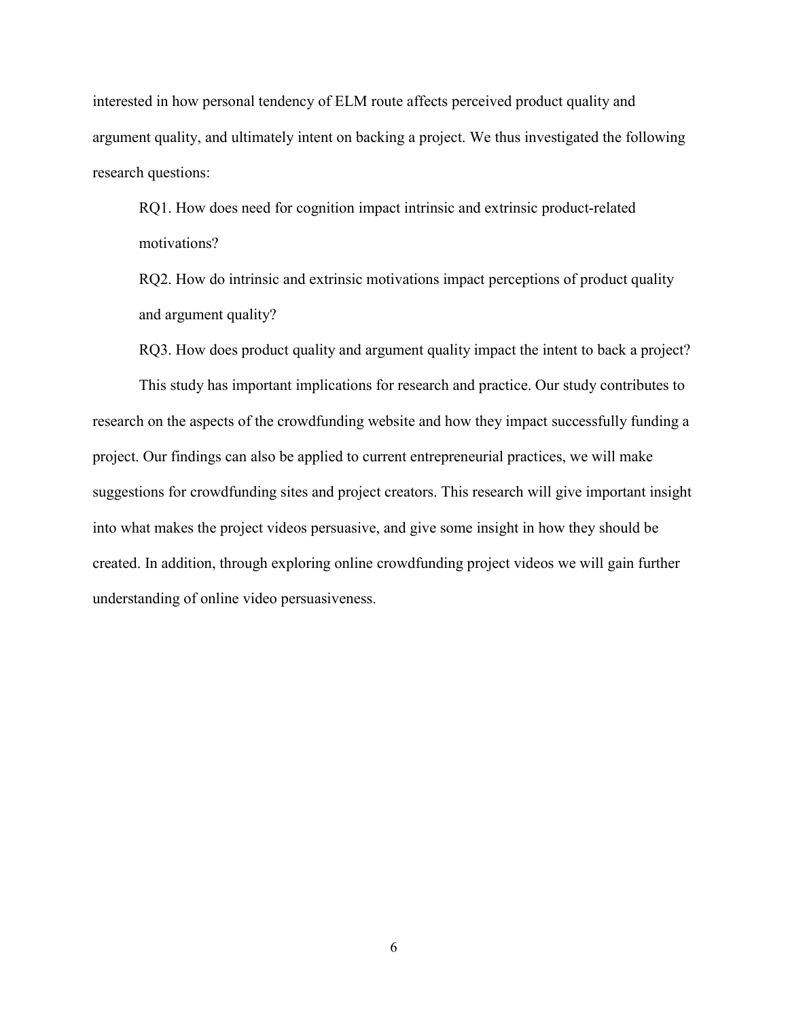interested in how personal tendency of ELM route affects perceived product quality and argument quality, and ultimately intent on backing a project. We thus investigated the following research questions:

RQ1. How does need for cognition impact intrinsic and extrinsic product-related motivations?

RQ2. How do intrinsic and extrinsic motivations impact perceptions of product quality and argument quality?

RQ3. How does product quality and argument quality impact the intent to back a project?

This study has important implications for research and practice. Our study contributes to research on the aspects of the crowdfunding website and how they impact successfully funding a project. Our findings can also be applied to current entrepreneurial practices, we will make suggestions for crowdfunding sites and project creators. This research will give important insight into what makes the project videos persuasive, and give some insight in how they should be created. In addition, through exploring online crowdfunding project videos we will gain further understanding of online video persuasiveness.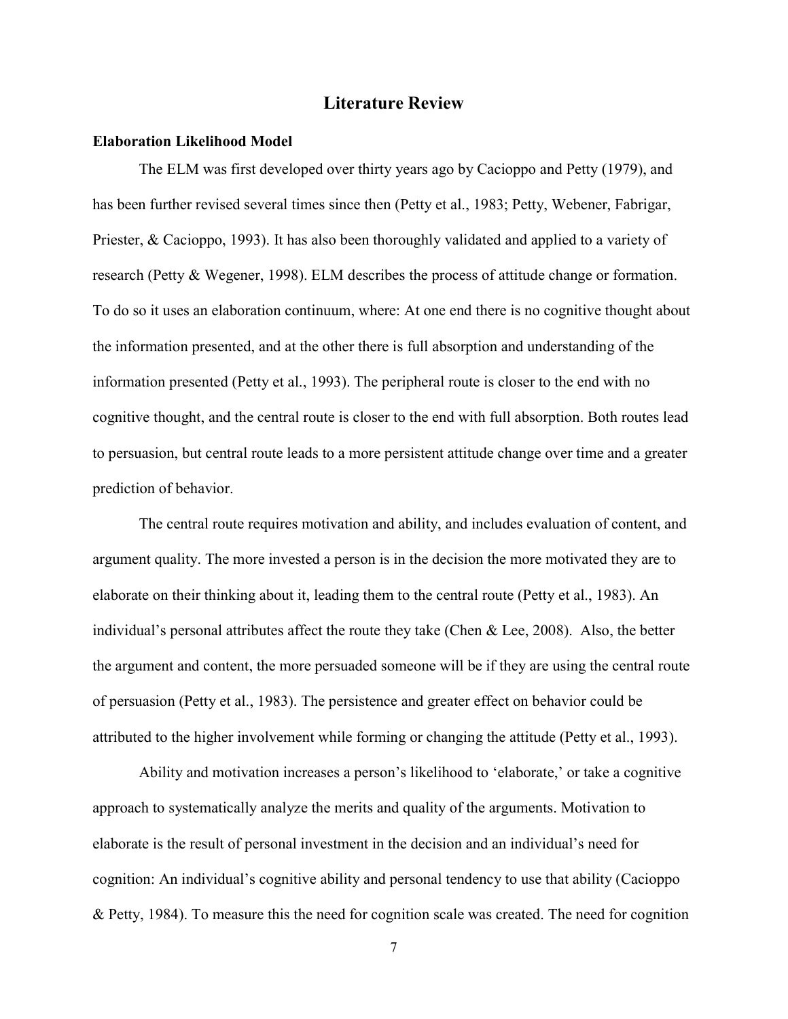#### Literature Review

#### Elaboration Likelihood Model

The ELM was first developed over thirty years ago by Cacioppo and Petty (1979), and has been further revised several times since then (Petty et al., 1983; Petty, Webener, Fabrigar, Priester, & Cacioppo, 1993). It has also been thoroughly validated and applied to a variety of research (Petty & Wegener, 1998). ELM describes the process of attitude change or formation. To do so it uses an elaboration continuum, where: At one end there is no cognitive thought about the information presented, and at the other there is full absorption and understanding of the information presented (Petty et al., 1993). The peripheral route is closer to the end with no cognitive thought, and the central route is closer to the end with full absorption. Both routes lead to persuasion, but central route leads to a more persistent attitude change over time and a greater prediction of behavior.

The central route requires motivation and ability, and includes evaluation of content, and argument quality. The more invested a person is in the decision the more motivated they are to elaborate on their thinking about it, leading them to the central route (Petty et al., 1983). An individual's personal attributes affect the route they take (Chen & Lee, 2008). Also, the better the argument and content, the more persuaded someone will be if they are using the central route of persuasion (Petty et al., 1983). The persistence and greater effect on behavior could be attributed to the higher involvement while forming or changing the attitude (Petty et al., 1993).

Ability and motivation increases a person's likelihood to 'elaborate,' or take a cognitive approach to systematically analyze the merits and quality of the arguments. Motivation to elaborate is the result of personal investment in the decision and an individual's need for cognition: An individual's cognitive ability and personal tendency to use that ability (Cacioppo & Petty, 1984). To measure this the need for cognition scale was created. The need for cognition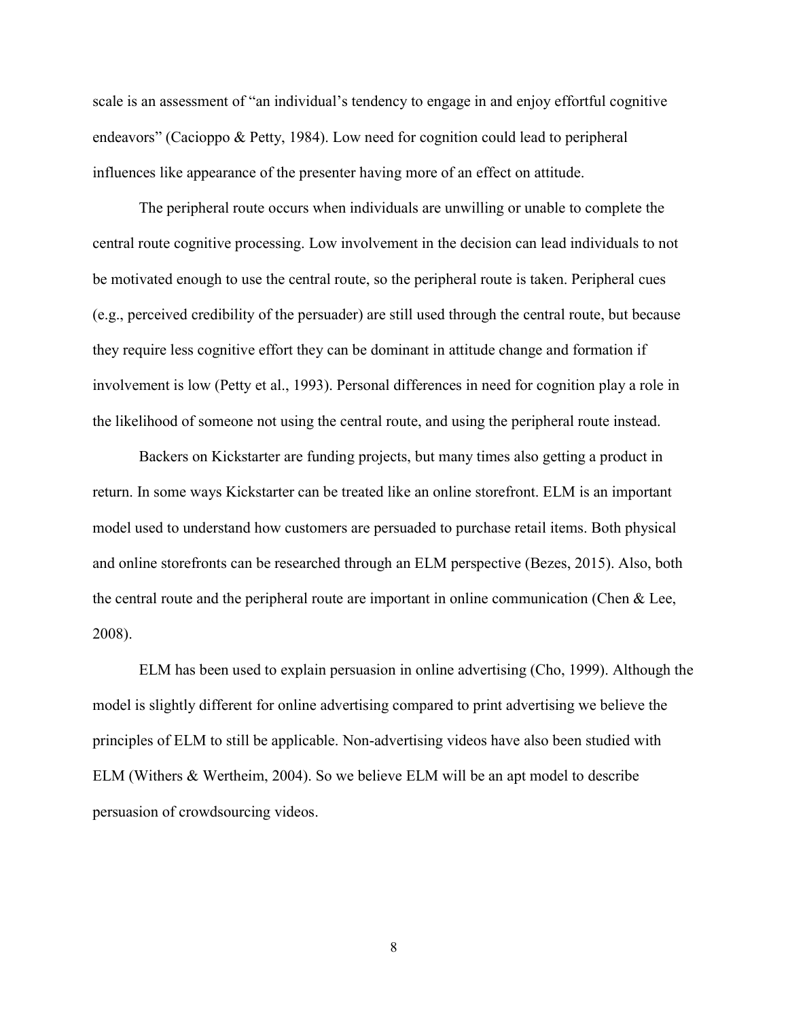scale is an assessment of "an individual's tendency to engage in and enjoy effortful cognitive endeavors" (Cacioppo & Petty, 1984). Low need for cognition could lead to peripheral influences like appearance of the presenter having more of an effect on attitude.

 The peripheral route occurs when individuals are unwilling or unable to complete the central route cognitive processing. Low involvement in the decision can lead individuals to not be motivated enough to use the central route, so the peripheral route is taken. Peripheral cues (e.g., perceived credibility of the persuader) are still used through the central route, but because they require less cognitive effort they can be dominant in attitude change and formation if involvement is low (Petty et al., 1993). Personal differences in need for cognition play a role in the likelihood of someone not using the central route, and using the peripheral route instead.

Backers on Kickstarter are funding projects, but many times also getting a product in return. In some ways Kickstarter can be treated like an online storefront. ELM is an important model used to understand how customers are persuaded to purchase retail items. Both physical and online storefronts can be researched through an ELM perspective (Bezes, 2015). Also, both the central route and the peripheral route are important in online communication (Chen & Lee, 2008).

ELM has been used to explain persuasion in online advertising (Cho, 1999). Although the model is slightly different for online advertising compared to print advertising we believe the principles of ELM to still be applicable. Non-advertising videos have also been studied with ELM (Withers & Wertheim, 2004). So we believe ELM will be an apt model to describe persuasion of crowdsourcing videos.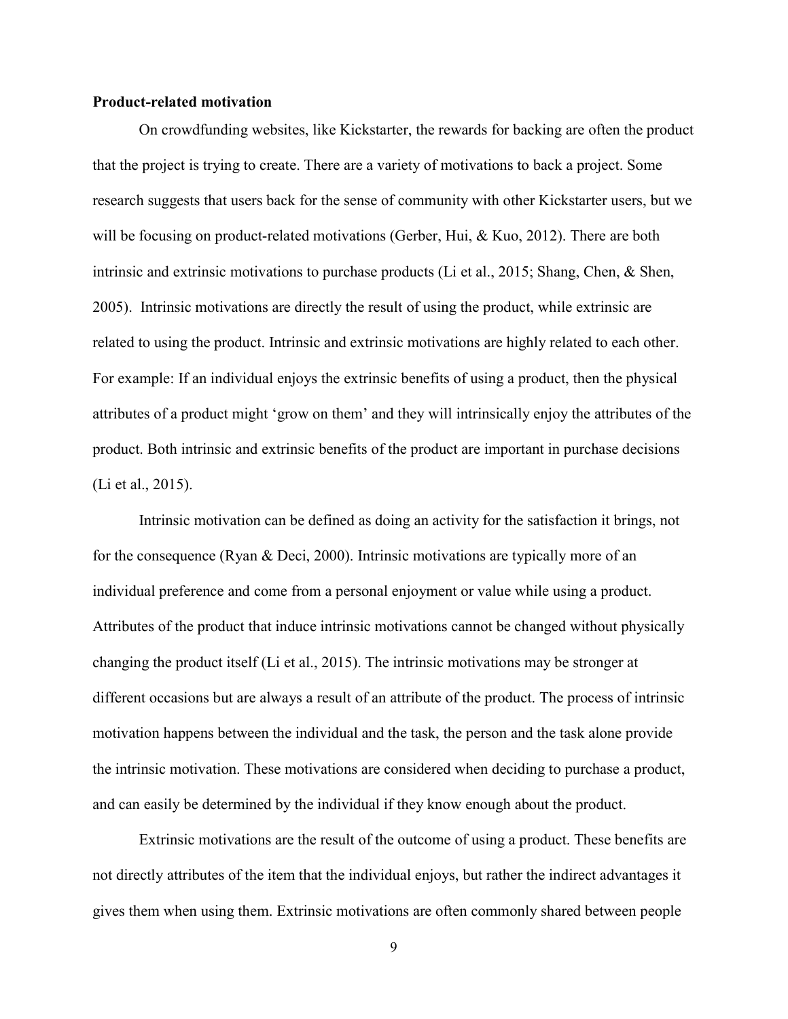#### Product-related motivation

On crowdfunding websites, like Kickstarter, the rewards for backing are often the product that the project is trying to create. There are a variety of motivations to back a project. Some research suggests that users back for the sense of community with other Kickstarter users, but we will be focusing on product-related motivations (Gerber, Hui, & Kuo, 2012). There are both intrinsic and extrinsic motivations to purchase products (Li et al., 2015; Shang, Chen, & Shen, 2005). Intrinsic motivations are directly the result of using the product, while extrinsic are related to using the product. Intrinsic and extrinsic motivations are highly related to each other. For example: If an individual enjoys the extrinsic benefits of using a product, then the physical attributes of a product might 'grow on them' and they will intrinsically enjoy the attributes of the product. Both intrinsic and extrinsic benefits of the product are important in purchase decisions (Li et al., 2015).

Intrinsic motivation can be defined as doing an activity for the satisfaction it brings, not for the consequence (Ryan & Deci, 2000). Intrinsic motivations are typically more of an individual preference and come from a personal enjoyment or value while using a product. Attributes of the product that induce intrinsic motivations cannot be changed without physically changing the product itself (Li et al., 2015). The intrinsic motivations may be stronger at different occasions but are always a result of an attribute of the product. The process of intrinsic motivation happens between the individual and the task, the person and the task alone provide the intrinsic motivation. These motivations are considered when deciding to purchase a product, and can easily be determined by the individual if they know enough about the product.

Extrinsic motivations are the result of the outcome of using a product. These benefits are not directly attributes of the item that the individual enjoys, but rather the indirect advantages it gives them when using them. Extrinsic motivations are often commonly shared between people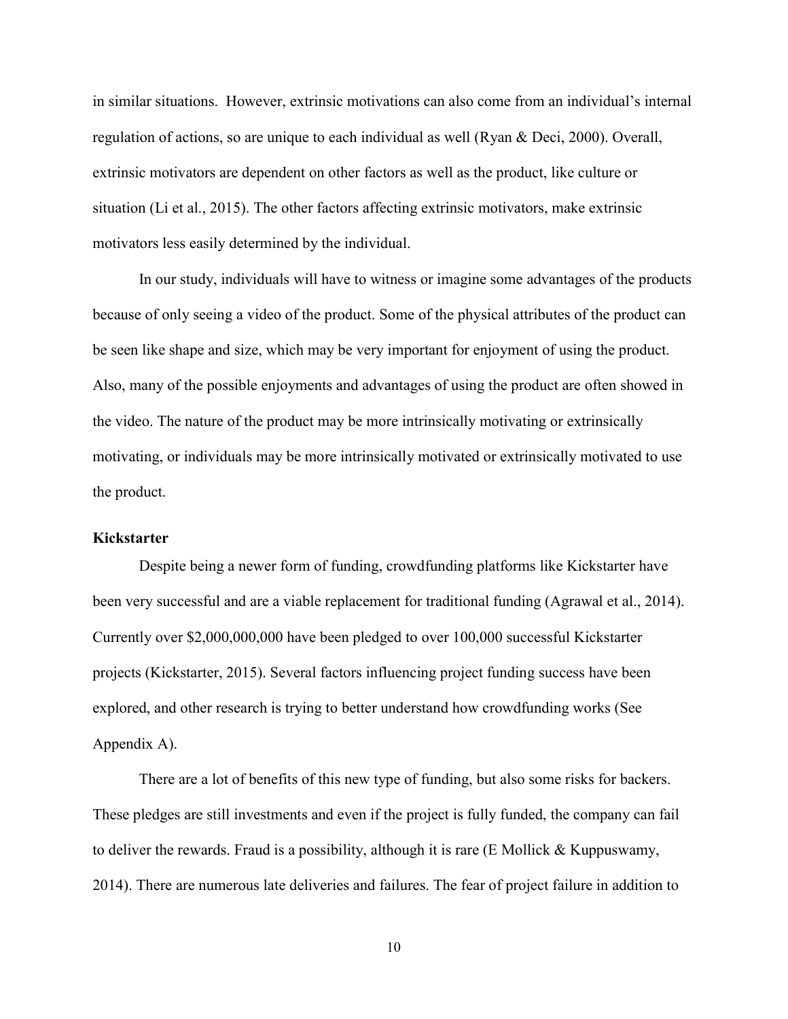in similar situations. However, extrinsic motivations can also come from an individual's internal regulation of actions, so are unique to each individual as well (Ryan & Deci, 2000). Overall, extrinsic motivators are dependent on other factors as well as the product, like culture or situation (Li et al., 2015). The other factors affecting extrinsic motivators, make extrinsic motivators less easily determined by the individual.

 In our study, individuals will have to witness or imagine some advantages of the products because of only seeing a video of the product. Some of the physical attributes of the product can be seen like shape and size, which may be very important for enjoyment of using the product. Also, many of the possible enjoyments and advantages of using the product are often showed in the video. The nature of the product may be more intrinsically motivating or extrinsically motivating, or individuals may be more intrinsically motivated or extrinsically motivated to use the product.

#### Kickstarter

 Despite being a newer form of funding, crowdfunding platforms like Kickstarter have been very successful and are a viable replacement for traditional funding (Agrawal et al., 2014). Currently over \$2,000,000,000 have been pledged to over 100,000 successful Kickstarter projects (Kickstarter, 2015). Several factors influencing project funding success have been explored, and other research is trying to better understand how crowdfunding works (See Appendix A).

There are a lot of benefits of this new type of funding, but also some risks for backers. These pledges are still investments and even if the project is fully funded, the company can fail to deliver the rewards. Fraud is a possibility, although it is rare (E Mollick & Kuppuswamy, 2014). There are numerous late deliveries and failures. The fear of project failure in addition to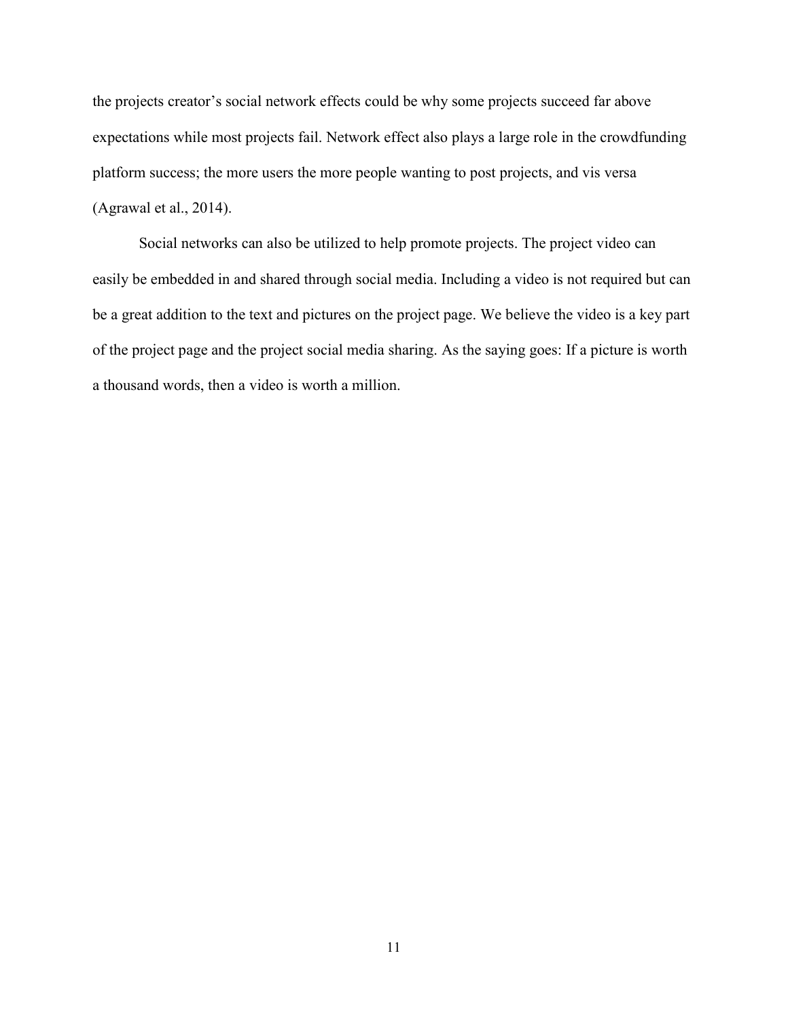the projects creator's social network effects could be why some projects succeed far above expectations while most projects fail. Network effect also plays a large role in the crowdfunding platform success; the more users the more people wanting to post projects, and vis versa (Agrawal et al., 2014).

Social networks can also be utilized to help promote projects. The project video can easily be embedded in and shared through social media. Including a video is not required but can be a great addition to the text and pictures on the project page. We believe the video is a key part of the project page and the project social media sharing. As the saying goes: If a picture is worth a thousand words, then a video is worth a million.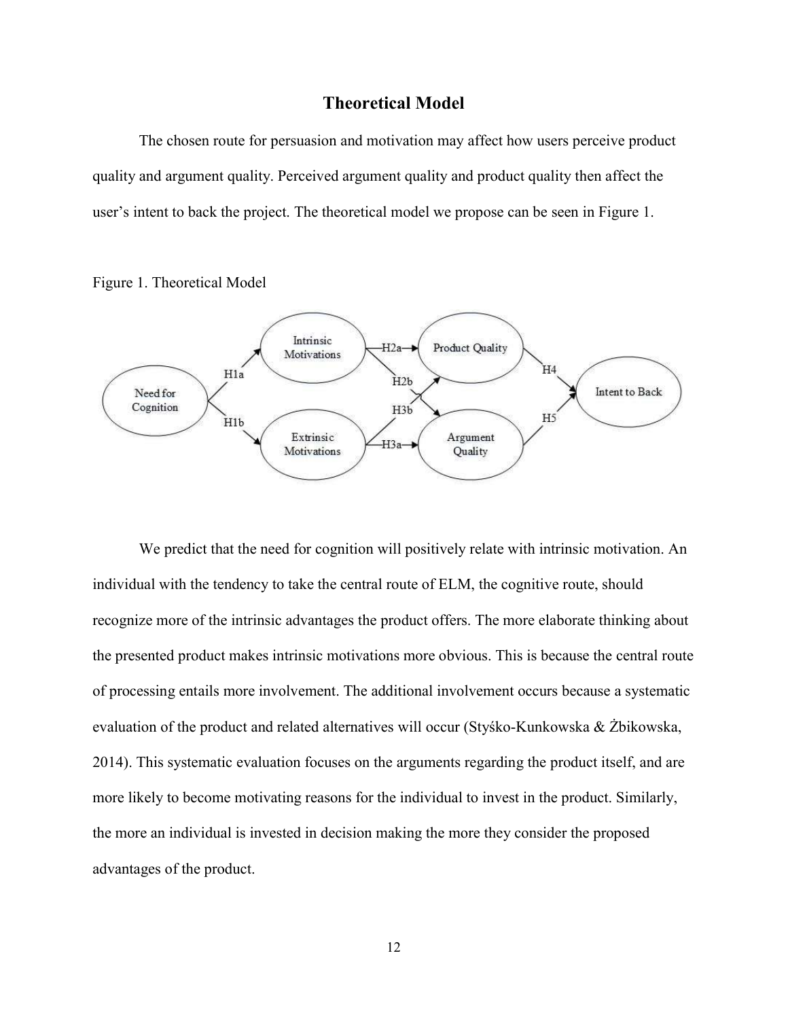#### Theoretical Model

The chosen route for persuasion and motivation may affect how users perceive product quality and argument quality. Perceived argument quality and product quality then affect the user's intent to back the project. The theoretical model we propose can be seen in Figure 1.



Figure 1. Theoretical Model

We predict that the need for cognition will positively relate with intrinsic motivation. An individual with the tendency to take the central route of ELM, the cognitive route, should recognize more of the intrinsic advantages the product offers. The more elaborate thinking about the presented product makes intrinsic motivations more obvious. This is because the central route of processing entails more involvement. The additional involvement occurs because a systematic evaluation of the product and related alternatives will occur (Styśko-Kunkowska & Żbikowska, 2014). This systematic evaluation focuses on the arguments regarding the product itself, and are more likely to become motivating reasons for the individual to invest in the product. Similarly, the more an individual is invested in decision making the more they consider the proposed advantages of the product.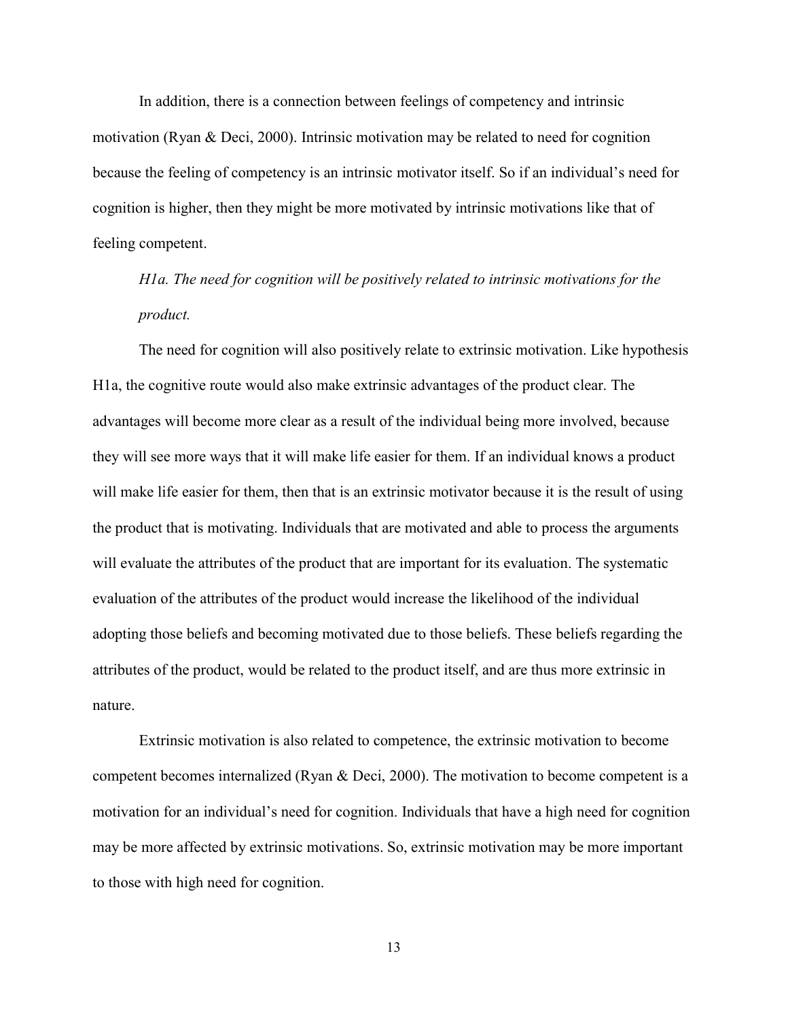In addition, there is a connection between feelings of competency and intrinsic motivation (Ryan & Deci, 2000). Intrinsic motivation may be related to need for cognition because the feeling of competency is an intrinsic motivator itself. So if an individual's need for cognition is higher, then they might be more motivated by intrinsic motivations like that of feeling competent.

H1a. The need for cognition will be positively related to intrinsic motivations for the product.

The need for cognition will also positively relate to extrinsic motivation. Like hypothesis H1a, the cognitive route would also make extrinsic advantages of the product clear. The advantages will become more clear as a result of the individual being more involved, because they will see more ways that it will make life easier for them. If an individual knows a product will make life easier for them, then that is an extrinsic motivator because it is the result of using the product that is motivating. Individuals that are motivated and able to process the arguments will evaluate the attributes of the product that are important for its evaluation. The systematic evaluation of the attributes of the product would increase the likelihood of the individual adopting those beliefs and becoming motivated due to those beliefs. These beliefs regarding the attributes of the product, would be related to the product itself, and are thus more extrinsic in nature.

Extrinsic motivation is also related to competence, the extrinsic motivation to become competent becomes internalized (Ryan & Deci, 2000). The motivation to become competent is a motivation for an individual's need for cognition. Individuals that have a high need for cognition may be more affected by extrinsic motivations. So, extrinsic motivation may be more important to those with high need for cognition.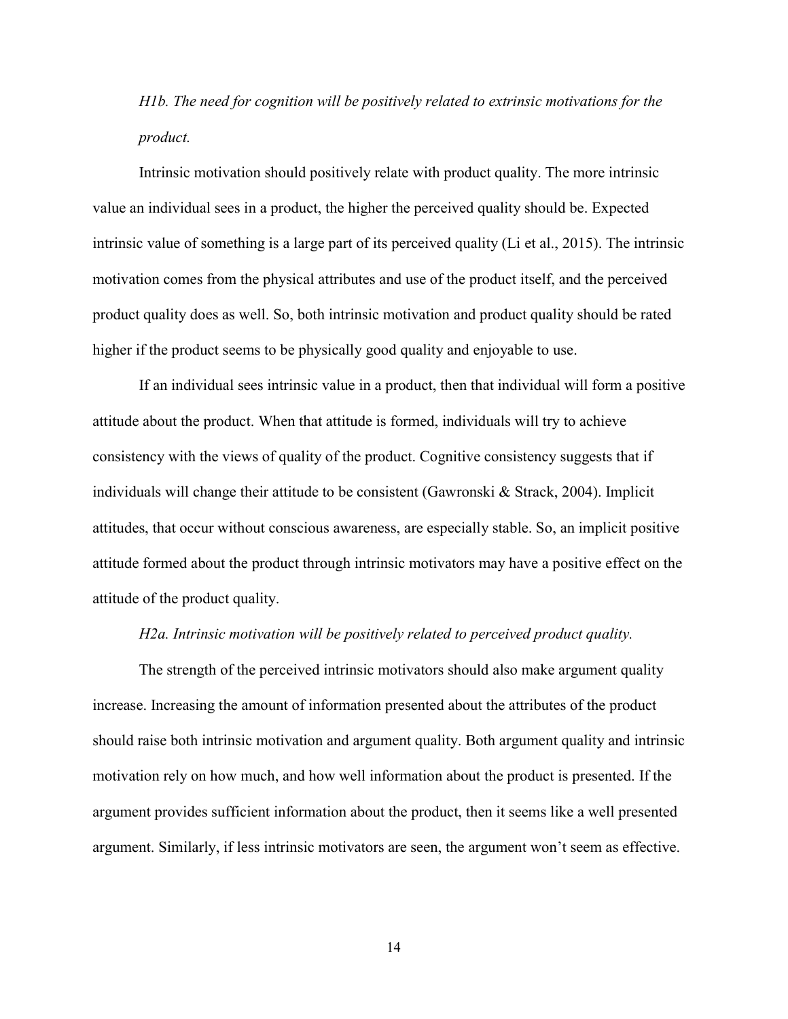H1b. The need for cognition will be positively related to extrinsic motivations for the product.

 Intrinsic motivation should positively relate with product quality. The more intrinsic value an individual sees in a product, the higher the perceived quality should be. Expected intrinsic value of something is a large part of its perceived quality (Li et al., 2015). The intrinsic motivation comes from the physical attributes and use of the product itself, and the perceived product quality does as well. So, both intrinsic motivation and product quality should be rated higher if the product seems to be physically good quality and enjoyable to use.

 If an individual sees intrinsic value in a product, then that individual will form a positive attitude about the product. When that attitude is formed, individuals will try to achieve consistency with the views of quality of the product. Cognitive consistency suggests that if individuals will change their attitude to be consistent (Gawronski & Strack, 2004). Implicit attitudes, that occur without conscious awareness, are especially stable. So, an implicit positive attitude formed about the product through intrinsic motivators may have a positive effect on the attitude of the product quality.

#### H2a. Intrinsic motivation will be positively related to perceived product quality.

 The strength of the perceived intrinsic motivators should also make argument quality increase. Increasing the amount of information presented about the attributes of the product should raise both intrinsic motivation and argument quality. Both argument quality and intrinsic motivation rely on how much, and how well information about the product is presented. If the argument provides sufficient information about the product, then it seems like a well presented argument. Similarly, if less intrinsic motivators are seen, the argument won't seem as effective.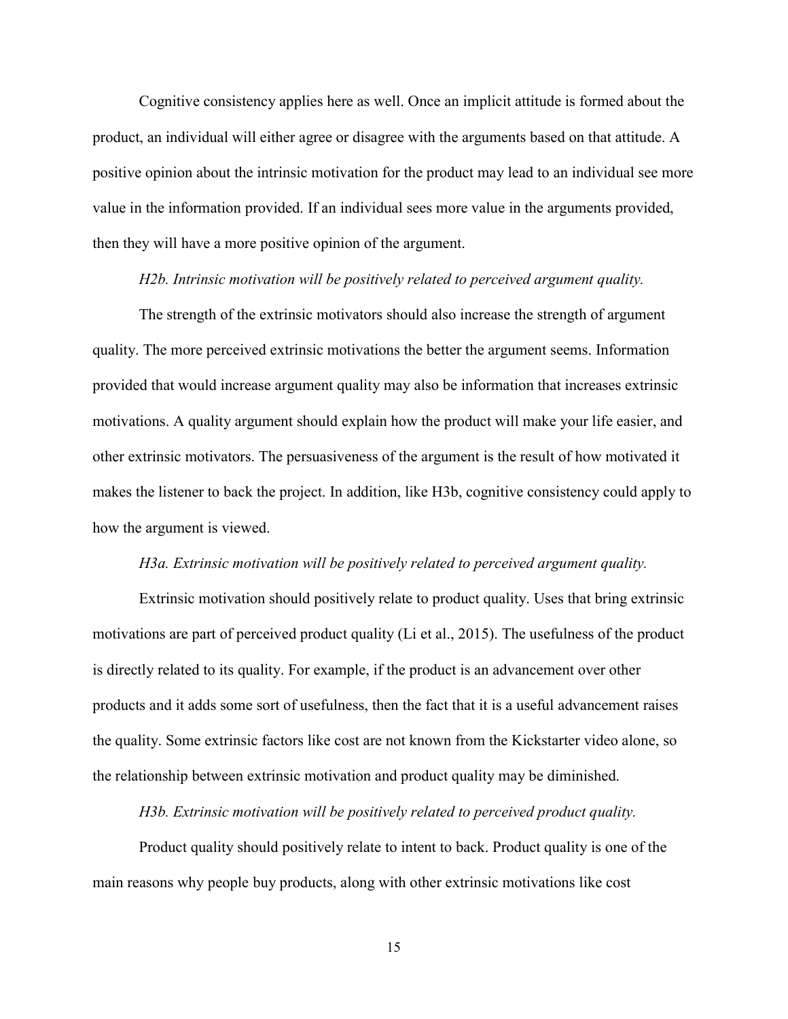Cognitive consistency applies here as well. Once an implicit attitude is formed about the product, an individual will either agree or disagree with the arguments based on that attitude. A positive opinion about the intrinsic motivation for the product may lead to an individual see more value in the information provided. If an individual sees more value in the arguments provided, then they will have a more positive opinion of the argument.

#### H2b. Intrinsic motivation will be positively related to perceived argument quality.

 The strength of the extrinsic motivators should also increase the strength of argument quality. The more perceived extrinsic motivations the better the argument seems. Information provided that would increase argument quality may also be information that increases extrinsic motivations. A quality argument should explain how the product will make your life easier, and other extrinsic motivators. The persuasiveness of the argument is the result of how motivated it makes the listener to back the project. In addition, like H3b, cognitive consistency could apply to how the argument is viewed.

#### H3a. Extrinsic motivation will be positively related to perceived argument quality.

 Extrinsic motivation should positively relate to product quality. Uses that bring extrinsic motivations are part of perceived product quality (Li et al., 2015). The usefulness of the product is directly related to its quality. For example, if the product is an advancement over other products and it adds some sort of usefulness, then the fact that it is a useful advancement raises the quality. Some extrinsic factors like cost are not known from the Kickstarter video alone, so the relationship between extrinsic motivation and product quality may be diminished.

H3b. Extrinsic motivation will be positively related to perceived product quality.

Product quality should positively relate to intent to back. Product quality is one of the main reasons why people buy products, along with other extrinsic motivations like cost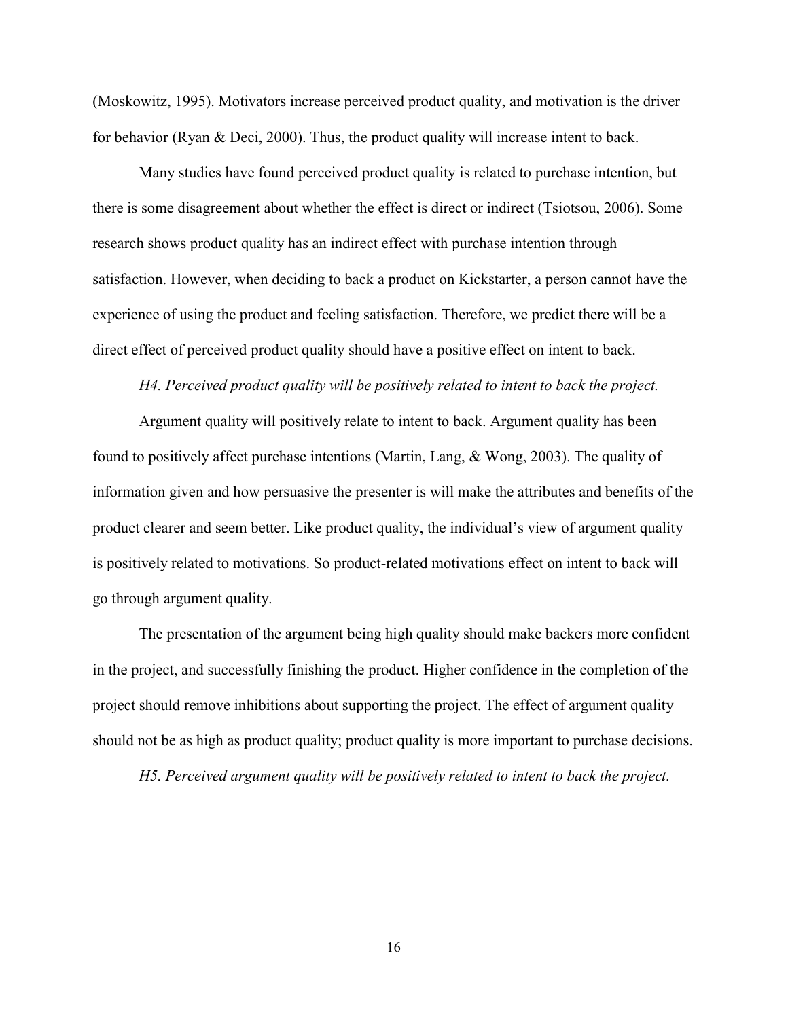(Moskowitz, 1995). Motivators increase perceived product quality, and motivation is the driver for behavior (Ryan & Deci, 2000). Thus, the product quality will increase intent to back.

Many studies have found perceived product quality is related to purchase intention, but there is some disagreement about whether the effect is direct or indirect (Tsiotsou, 2006). Some research shows product quality has an indirect effect with purchase intention through satisfaction. However, when deciding to back a product on Kickstarter, a person cannot have the experience of using the product and feeling satisfaction. Therefore, we predict there will be a direct effect of perceived product quality should have a positive effect on intent to back.

H4. Perceived product quality will be positively related to intent to back the project.

 Argument quality will positively relate to intent to back. Argument quality has been found to positively affect purchase intentions (Martin, Lang, & Wong, 2003). The quality of information given and how persuasive the presenter is will make the attributes and benefits of the product clearer and seem better. Like product quality, the individual's view of argument quality is positively related to motivations. So product-related motivations effect on intent to back will go through argument quality.

The presentation of the argument being high quality should make backers more confident in the project, and successfully finishing the product. Higher confidence in the completion of the project should remove inhibitions about supporting the project. The effect of argument quality should not be as high as product quality; product quality is more important to purchase decisions.

H5. Perceived argument quality will be positively related to intent to back the project.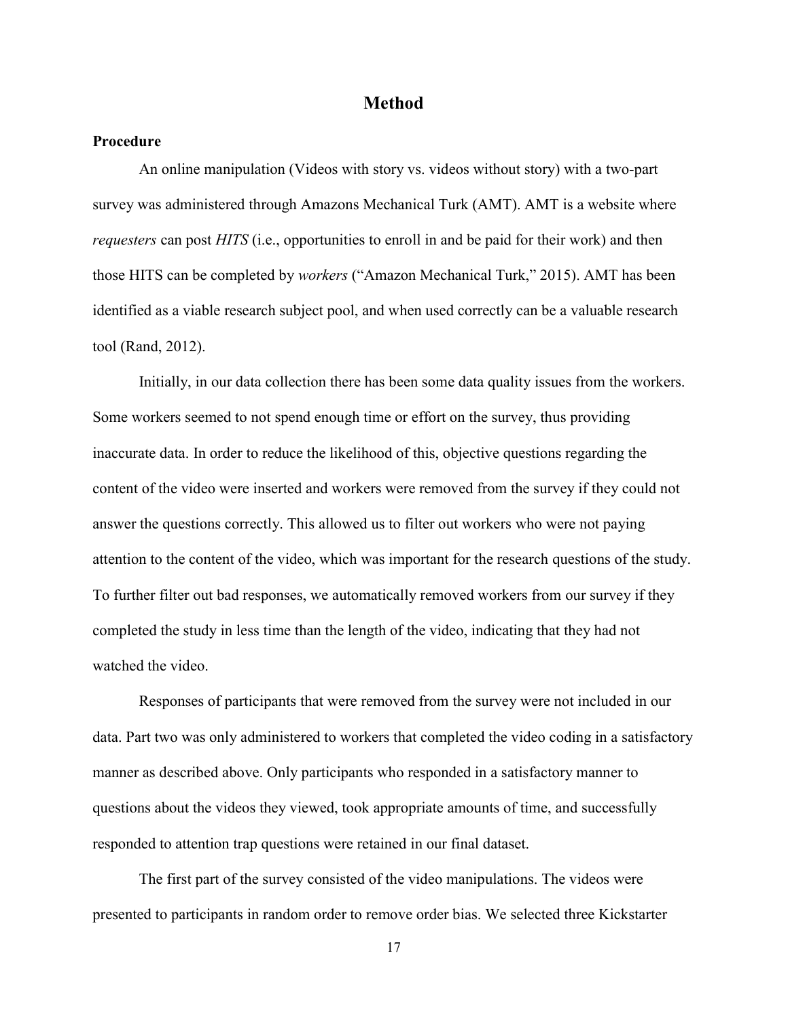#### Method

#### Procedure

An online manipulation (Videos with story vs. videos without story) with a two-part survey was administered through Amazons Mechanical Turk (AMT). AMT is a website where requesters can post HITS (i.e., opportunities to enroll in and be paid for their work) and then those HITS can be completed by workers ("Amazon Mechanical Turk," 2015). AMT has been identified as a viable research subject pool, and when used correctly can be a valuable research tool (Rand, 2012).

Initially, in our data collection there has been some data quality issues from the workers. Some workers seemed to not spend enough time or effort on the survey, thus providing inaccurate data. In order to reduce the likelihood of this, objective questions regarding the content of the video were inserted and workers were removed from the survey if they could not answer the questions correctly. This allowed us to filter out workers who were not paying attention to the content of the video, which was important for the research questions of the study. To further filter out bad responses, we automatically removed workers from our survey if they completed the study in less time than the length of the video, indicating that they had not watched the video.

Responses of participants that were removed from the survey were not included in our data. Part two was only administered to workers that completed the video coding in a satisfactory manner as described above. Only participants who responded in a satisfactory manner to questions about the videos they viewed, took appropriate amounts of time, and successfully responded to attention trap questions were retained in our final dataset.

The first part of the survey consisted of the video manipulations. The videos were presented to participants in random order to remove order bias. We selected three Kickstarter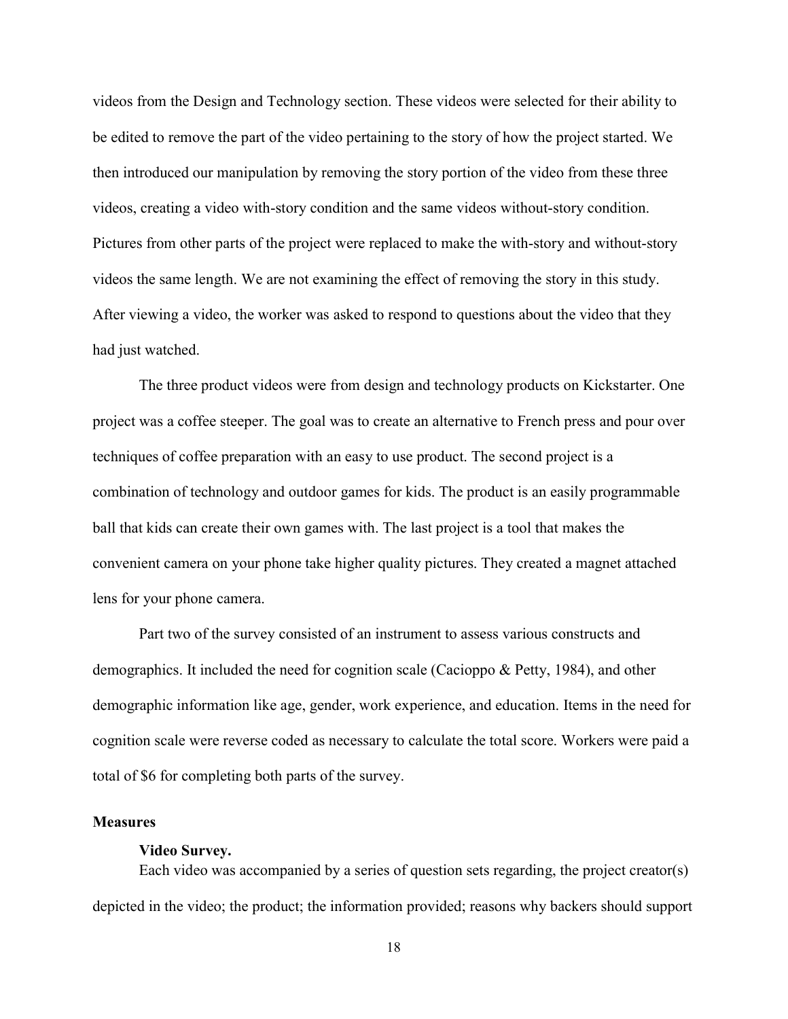videos from the Design and Technology section. These videos were selected for their ability to be edited to remove the part of the video pertaining to the story of how the project started. We then introduced our manipulation by removing the story portion of the video from these three videos, creating a video with-story condition and the same videos without-story condition. Pictures from other parts of the project were replaced to make the with-story and without-story videos the same length. We are not examining the effect of removing the story in this study. After viewing a video, the worker was asked to respond to questions about the video that they had just watched.

The three product videos were from design and technology products on Kickstarter. One project was a coffee steeper. The goal was to create an alternative to French press and pour over techniques of coffee preparation with an easy to use product. The second project is a combination of technology and outdoor games for kids. The product is an easily programmable ball that kids can create their own games with. The last project is a tool that makes the convenient camera on your phone take higher quality pictures. They created a magnet attached lens for your phone camera.

Part two of the survey consisted of an instrument to assess various constructs and demographics. It included the need for cognition scale (Cacioppo & Petty, 1984), and other demographic information like age, gender, work experience, and education. Items in the need for cognition scale were reverse coded as necessary to calculate the total score. Workers were paid a total of \$6 for completing both parts of the survey.

#### **Measures**

#### Video Survey.

Each video was accompanied by a series of question sets regarding, the project creator(s) depicted in the video; the product; the information provided; reasons why backers should support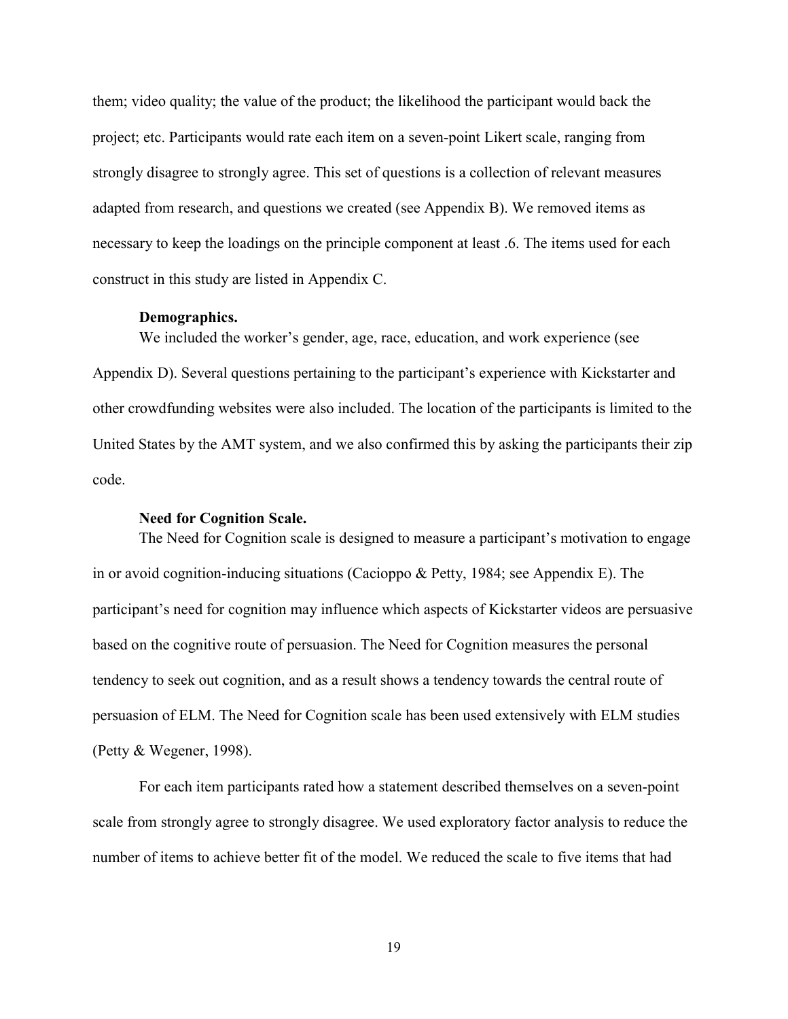them; video quality; the value of the product; the likelihood the participant would back the project; etc. Participants would rate each item on a seven-point Likert scale, ranging from strongly disagree to strongly agree. This set of questions is a collection of relevant measures adapted from research, and questions we created (see Appendix B). We removed items as necessary to keep the loadings on the principle component at least .6. The items used for each construct in this study are listed in Appendix C.

#### Demographics.

We included the worker's gender, age, race, education, and work experience (see Appendix D). Several questions pertaining to the participant's experience with Kickstarter and other crowdfunding websites were also included. The location of the participants is limited to the United States by the AMT system, and we also confirmed this by asking the participants their zip code.

#### Need for Cognition Scale.

The Need for Cognition scale is designed to measure a participant's motivation to engage in or avoid cognition-inducing situations (Cacioppo & Petty, 1984; see Appendix E). The participant's need for cognition may influence which aspects of Kickstarter videos are persuasive based on the cognitive route of persuasion. The Need for Cognition measures the personal tendency to seek out cognition, and as a result shows a tendency towards the central route of persuasion of ELM. The Need for Cognition scale has been used extensively with ELM studies (Petty & Wegener, 1998).

For each item participants rated how a statement described themselves on a seven-point scale from strongly agree to strongly disagree. We used exploratory factor analysis to reduce the number of items to achieve better fit of the model. We reduced the scale to five items that had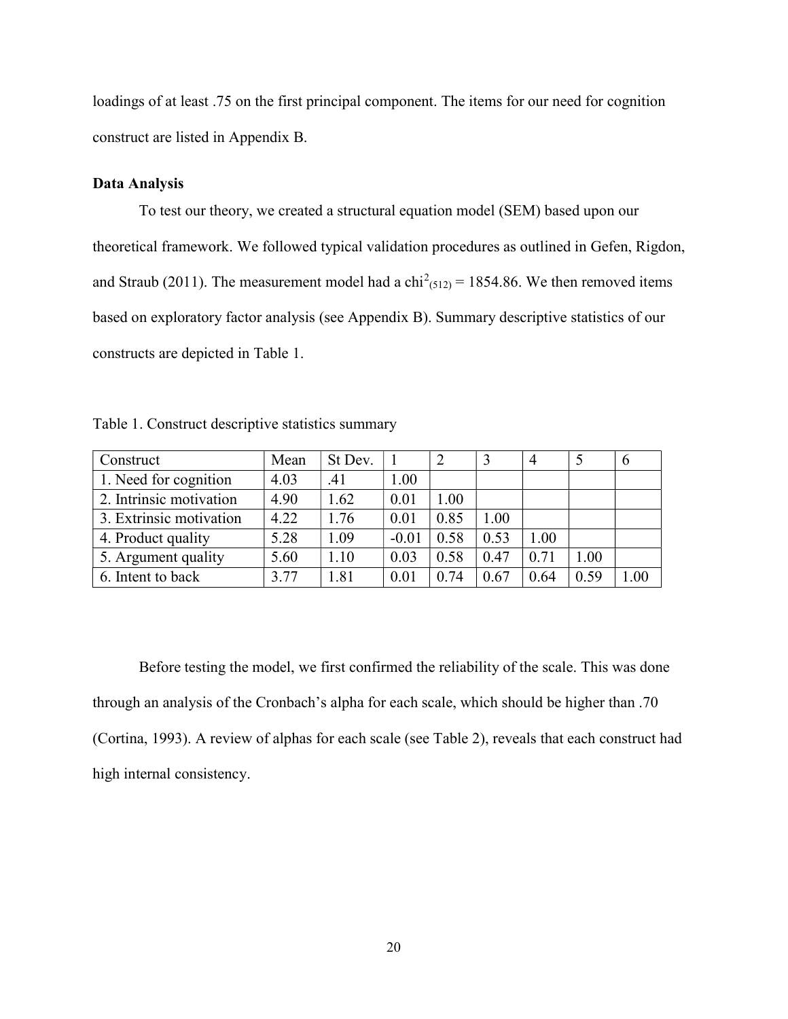loadings of at least .75 on the first principal component. The items for our need for cognition construct are listed in Appendix B.

#### Data Analysis

To test our theory, we created a structural equation model (SEM) based upon our theoretical framework. We followed typical validation procedures as outlined in Gefen, Rigdon, and Straub (2011). The measurement model had a chi<sup>2</sup>( $512$ ) = 1854.86. We then removed items based on exploratory factor analysis (see Appendix B). Summary descriptive statistics of our constructs are depicted in Table 1.

| Table 1. Construct descriptive statistics summary |  |  |  |
|---------------------------------------------------|--|--|--|
|                                                   |  |  |  |

| Construct               | Mean | St Dev. |         |      |      | 4    |      | b    |
|-------------------------|------|---------|---------|------|------|------|------|------|
| 1. Need for cognition   | 4.03 | .41     | 1.00    |      |      |      |      |      |
| 2. Intrinsic motivation | 4.90 | 1.62    | 0.01    | 1.00 |      |      |      |      |
| 3. Extrinsic motivation | 4.22 | 1.76    | 0.01    | 0.85 | 1.00 |      |      |      |
| 4. Product quality      | 5.28 | 1.09    | $-0.01$ | 0.58 | 0.53 | 1.00 |      |      |
| 5. Argument quality     | 5.60 | 1.10    | 0.03    | 0.58 | 0.47 | 0.71 | 1.00 |      |
| 6. Intent to back       | 3.77 | 1.81    | 0.01    | 0.74 | 0.67 | 0.64 | 0.59 | 0.00 |

Before testing the model, we first confirmed the reliability of the scale. This was done through an analysis of the Cronbach's alpha for each scale, which should be higher than .70 (Cortina, 1993). A review of alphas for each scale (see Table 2), reveals that each construct had high internal consistency.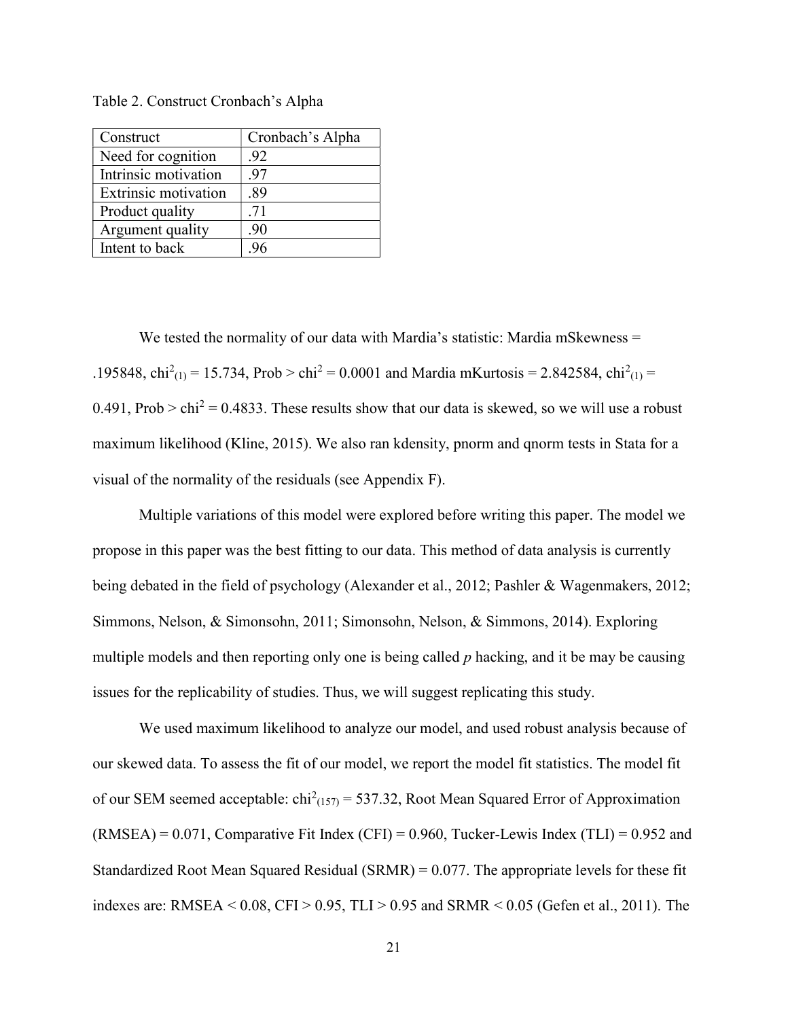| Construct                   | Cronbach's Alpha |
|-----------------------------|------------------|
| Need for cognition          | .92              |
| Intrinsic motivation        | .97              |
| <b>Extrinsic motivation</b> | .89              |
| Product quality             | .71              |
| Argument quality            | .90              |
| Intent to back              |                  |

Table 2. Construct Cronbach's Alpha

We tested the normality of our data with Mardia's statistic: Mardia mSkewness = .195848,  $\text{chi}^2_{(1)} = 15.734$ , Prob >  $\text{chi}^2 = 0.0001$  and Mardia mKurtosis = 2.842584,  $\text{chi}^2_{(1)} =$ 0.491, Prob > chi<sup>2</sup> = 0.4833. These results show that our data is skewed, so we will use a robust maximum likelihood (Kline, 2015). We also ran kdensity, pnorm and qnorm tests in Stata for a visual of the normality of the residuals (see Appendix F).

Multiple variations of this model were explored before writing this paper. The model we propose in this paper was the best fitting to our data. This method of data analysis is currently being debated in the field of psychology (Alexander et al., 2012; Pashler & Wagenmakers, 2012; Simmons, Nelson, & Simonsohn, 2011; Simonsohn, Nelson, & Simmons, 2014). Exploring multiple models and then reporting only one is being called  $p$  hacking, and it be may be causing issues for the replicability of studies. Thus, we will suggest replicating this study.

We used maximum likelihood to analyze our model, and used robust analysis because of our skewed data. To assess the fit of our model, we report the model fit statistics. The model fit of our SEM seemed acceptable:  $\text{chi}^2_{(157)} = 537.32$ , Root Mean Squared Error of Approximation  $(RMSEA) = 0.071$ , Comparative Fit Index (CFI) = 0.960, Tucker-Lewis Index (TLI) = 0.952 and Standardized Root Mean Squared Residual  $(SRMR) = 0.077$ . The appropriate levels for these fit indexes are: RMSEA < 0.08, CFI > 0.95, TLI > 0.95 and SRMR < 0.05 (Gefen et al., 2011). The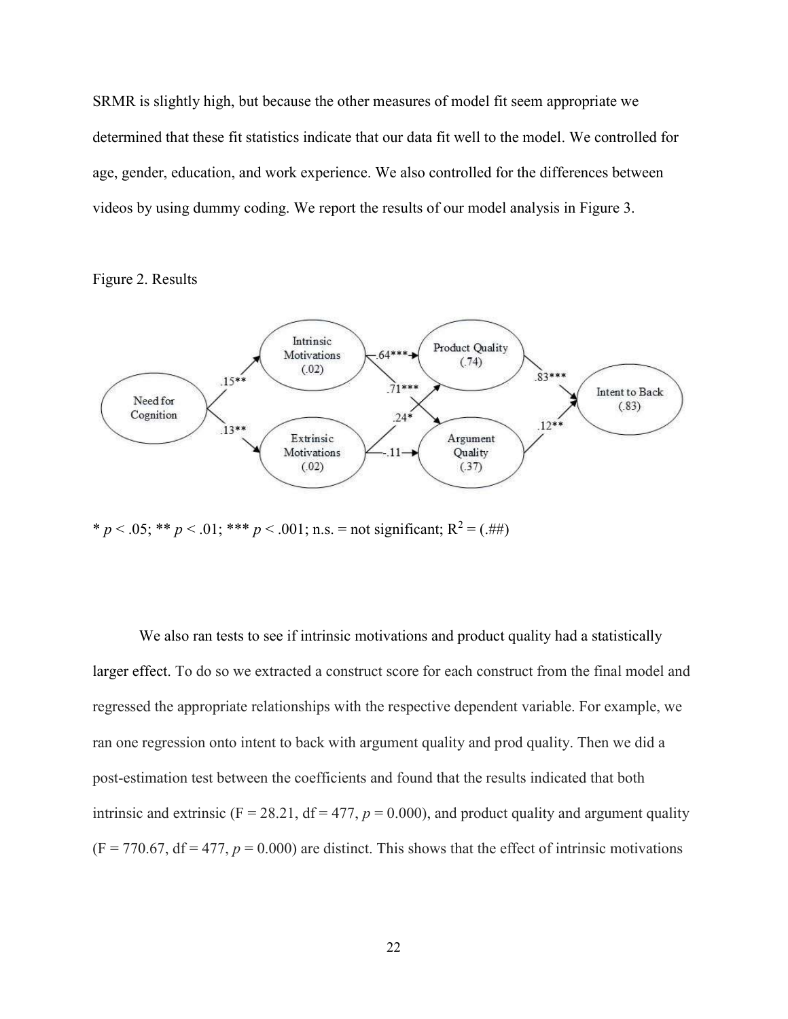SRMR is slightly high, but because the other measures of model fit seem appropriate we determined that these fit statistics indicate that our data fit well to the model. We controlled for age, gender, education, and work experience. We also controlled for the differences between videos by using dummy coding. We report the results of our model analysis in Figure 3.

Figure 2. Results



\* p < .05; \*\* p < .01; \*\*\* p < .001; n.s. = not significant; R<sup>2</sup> = (.##)

 We also ran tests to see if intrinsic motivations and product quality had a statistically larger effect. To do so we extracted a construct score for each construct from the final model and regressed the appropriate relationships with the respective dependent variable. For example, we ran one regression onto intent to back with argument quality and prod quality. Then we did a post-estimation test between the coefficients and found that the results indicated that both intrinsic and extrinsic ( $F = 28.21$ ,  $df = 477$ ,  $p = 0.000$ ), and product quality and argument quality  $(F = 770.67, df = 477, p = 0.000)$  are distinct. This shows that the effect of intrinsic motivations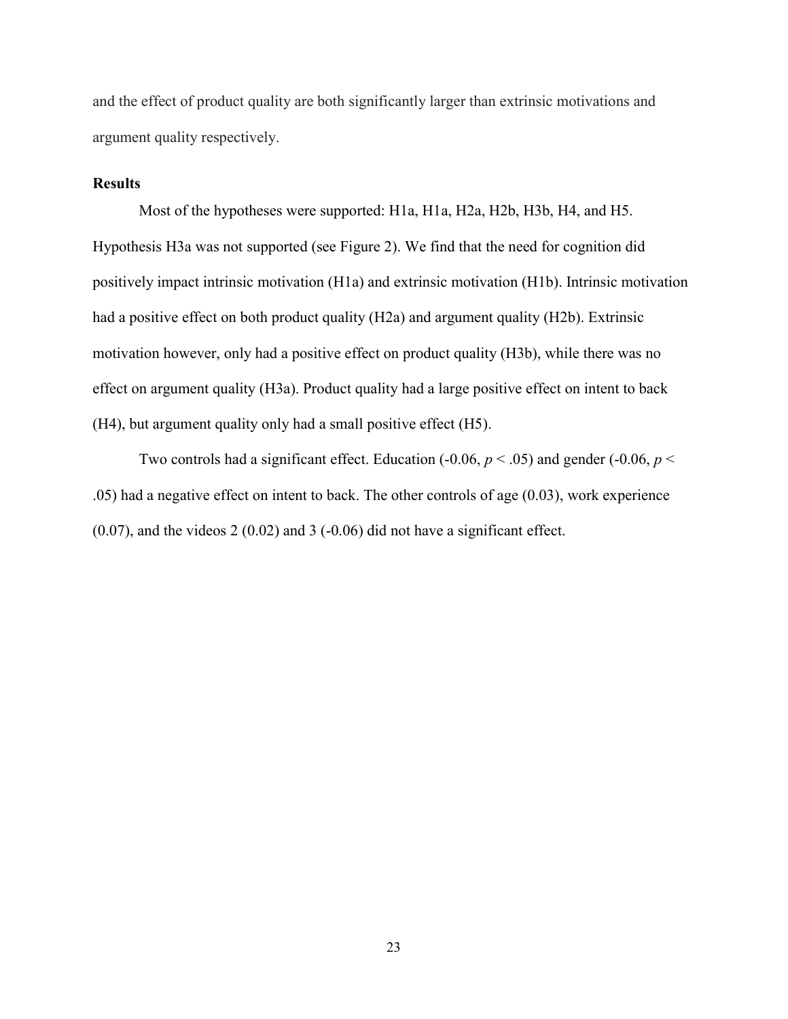and the effect of product quality are both significantly larger than extrinsic motivations and argument quality respectively.

#### **Results**

Most of the hypotheses were supported: H1a, H1a, H2a, H2b, H3b, H4, and H5. Hypothesis H3a was not supported (see Figure 2). We find that the need for cognition did positively impact intrinsic motivation (H1a) and extrinsic motivation (H1b). Intrinsic motivation had a positive effect on both product quality (H2a) and argument quality (H2b). Extrinsic motivation however, only had a positive effect on product quality (H3b), while there was no effect on argument quality (H3a). Product quality had a large positive effect on intent to back (H4), but argument quality only had a small positive effect (H5).

Two controls had a significant effect. Education (-0.06,  $p < .05$ ) and gender (-0.06,  $p <$ .05) had a negative effect on intent to back. The other controls of age (0.03), work experience  $(0.07)$ , and the videos 2  $(0.02)$  and 3  $(-0.06)$  did not have a significant effect.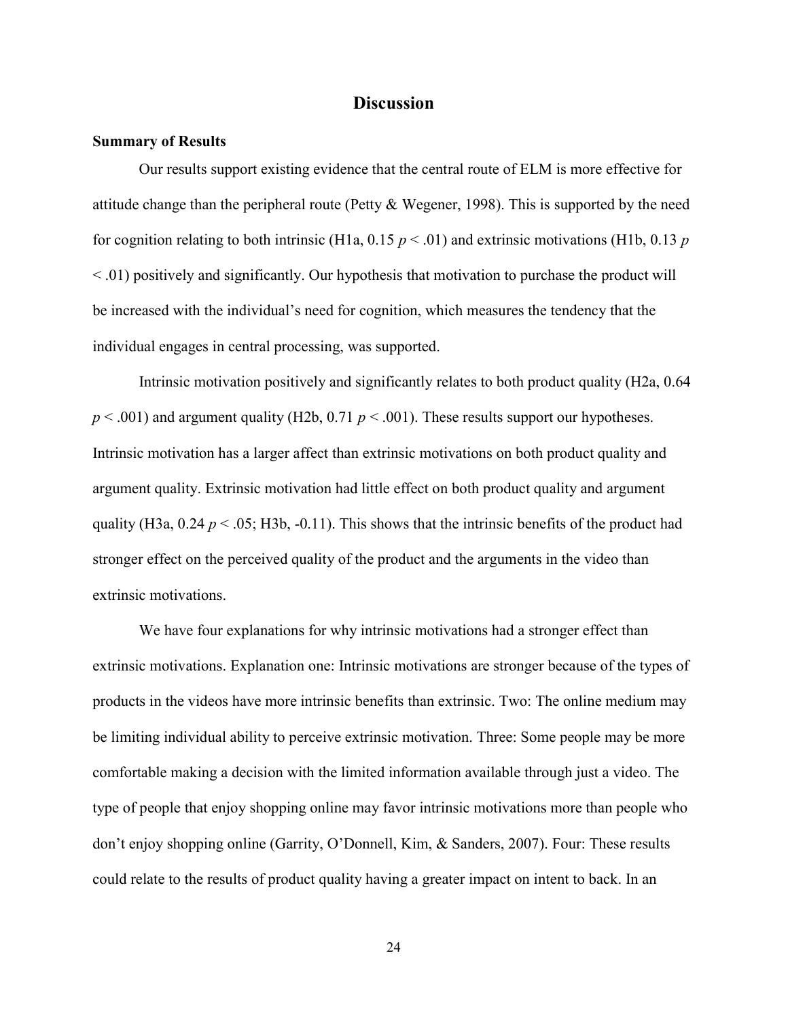#### **Discussion**

#### Summary of Results

Our results support existing evidence that the central route of ELM is more effective for attitude change than the peripheral route (Petty & Wegener, 1998). This is supported by the need for cognition relating to both intrinsic (H1a,  $0.15 p \lt 0.01$ ) and extrinsic motivations (H1b, 0.13 p < .01) positively and significantly. Our hypothesis that motivation to purchase the product will be increased with the individual's need for cognition, which measures the tendency that the individual engages in central processing, was supported.

Intrinsic motivation positively and significantly relates to both product quality (H2a, 0.64  $p < .001$ ) and argument quality (H2b, 0.71  $p < .001$ ). These results support our hypotheses. Intrinsic motivation has a larger affect than extrinsic motivations on both product quality and argument quality. Extrinsic motivation had little effect on both product quality and argument quality (H3a,  $0.24 \, p \leq 0.05$ ; H3b,  $-0.11$ ). This shows that the intrinsic benefits of the product had stronger effect on the perceived quality of the product and the arguments in the video than extrinsic motivations.

We have four explanations for why intrinsic motivations had a stronger effect than extrinsic motivations. Explanation one: Intrinsic motivations are stronger because of the types of products in the videos have more intrinsic benefits than extrinsic. Two: The online medium may be limiting individual ability to perceive extrinsic motivation. Three: Some people may be more comfortable making a decision with the limited information available through just a video. The type of people that enjoy shopping online may favor intrinsic motivations more than people who don't enjoy shopping online (Garrity, O'Donnell, Kim, & Sanders, 2007). Four: These results could relate to the results of product quality having a greater impact on intent to back. In an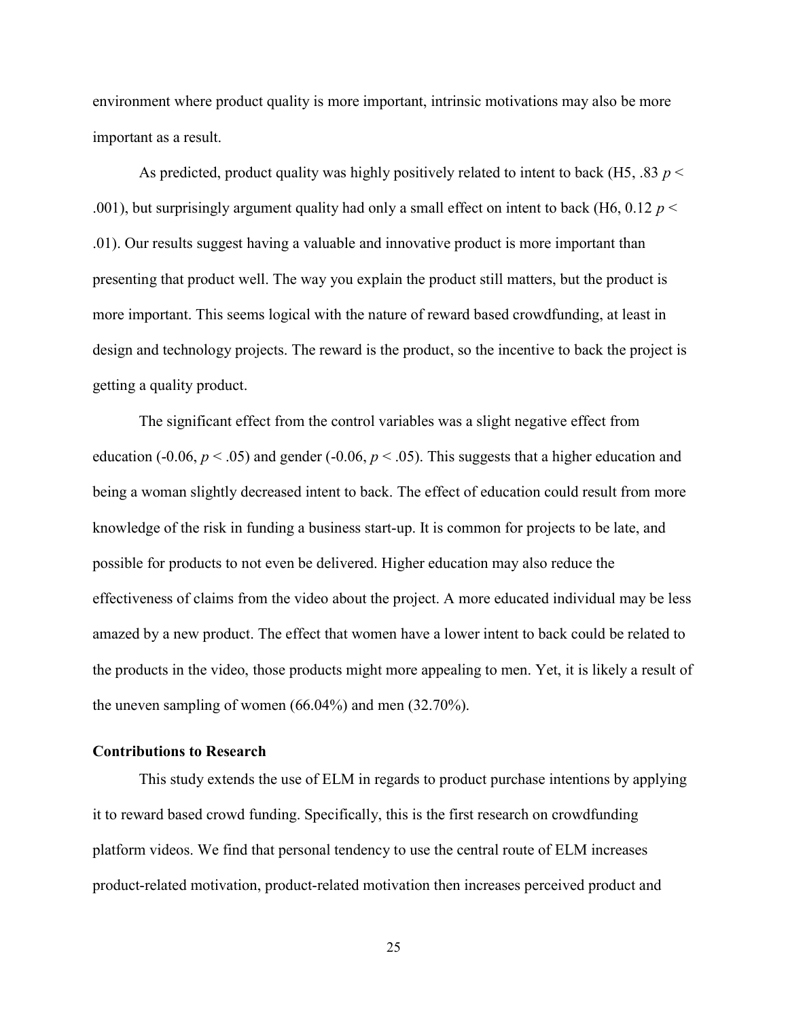environment where product quality is more important, intrinsic motivations may also be more important as a result.

As predicted, product quality was highly positively related to intent to back (H5, .83  $p <$ .001), but surprisingly argument quality had only a small effect on intent to back (H6, 0.12  $p <$ .01). Our results suggest having a valuable and innovative product is more important than presenting that product well. The way you explain the product still matters, but the product is more important. This seems logical with the nature of reward based crowdfunding, at least in design and technology projects. The reward is the product, so the incentive to back the project is getting a quality product.

The significant effect from the control variables was a slight negative effect from education (-0.06,  $p < .05$ ) and gender (-0.06,  $p < .05$ ). This suggests that a higher education and being a woman slightly decreased intent to back. The effect of education could result from more knowledge of the risk in funding a business start-up. It is common for projects to be late, and possible for products to not even be delivered. Higher education may also reduce the effectiveness of claims from the video about the project. A more educated individual may be less amazed by a new product. The effect that women have a lower intent to back could be related to the products in the video, those products might more appealing to men. Yet, it is likely a result of the uneven sampling of women (66.04%) and men (32.70%).

#### Contributions to Research

This study extends the use of ELM in regards to product purchase intentions by applying it to reward based crowd funding. Specifically, this is the first research on crowdfunding platform videos. We find that personal tendency to use the central route of ELM increases product-related motivation, product-related motivation then increases perceived product and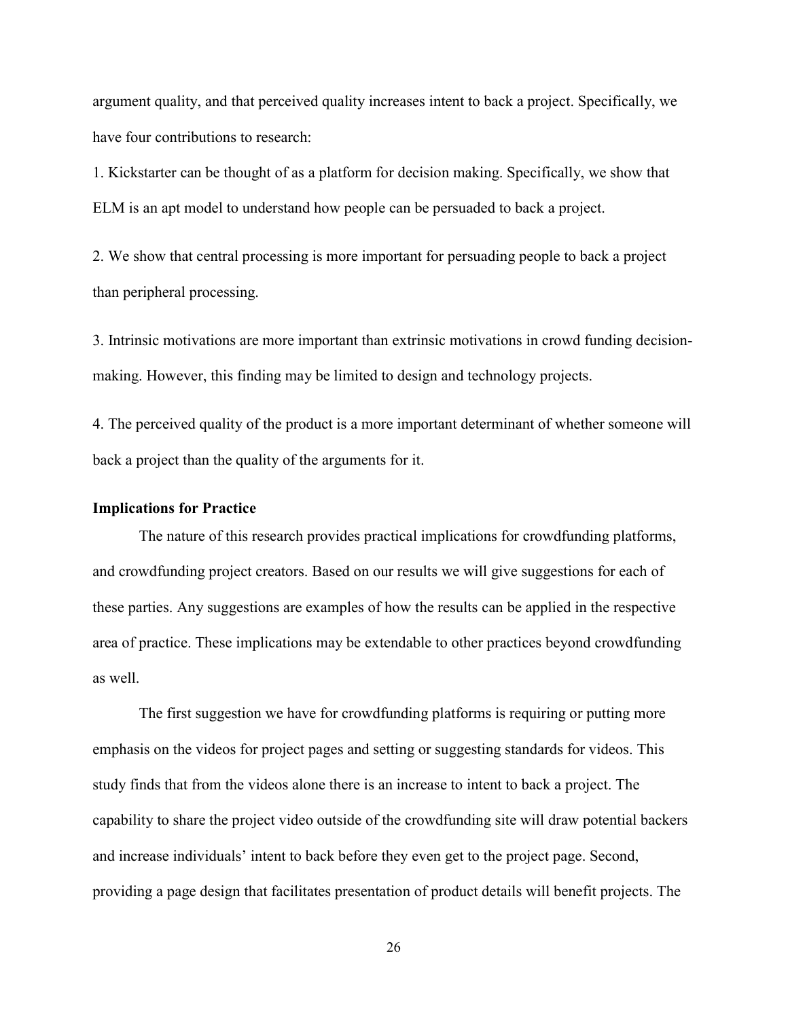argument quality, and that perceived quality increases intent to back a project. Specifically, we have four contributions to research:

1. Kickstarter can be thought of as a platform for decision making. Specifically, we show that ELM is an apt model to understand how people can be persuaded to back a project.

2. We show that central processing is more important for persuading people to back a project than peripheral processing.

3. Intrinsic motivations are more important than extrinsic motivations in crowd funding decisionmaking. However, this finding may be limited to design and technology projects.

4. The perceived quality of the product is a more important determinant of whether someone will back a project than the quality of the arguments for it.

#### Implications for Practice

The nature of this research provides practical implications for crowdfunding platforms, and crowdfunding project creators. Based on our results we will give suggestions for each of these parties. Any suggestions are examples of how the results can be applied in the respective area of practice. These implications may be extendable to other practices beyond crowdfunding as well.

The first suggestion we have for crowdfunding platforms is requiring or putting more emphasis on the videos for project pages and setting or suggesting standards for videos. This study finds that from the videos alone there is an increase to intent to back a project. The capability to share the project video outside of the crowdfunding site will draw potential backers and increase individuals' intent to back before they even get to the project page. Second, providing a page design that facilitates presentation of product details will benefit projects. The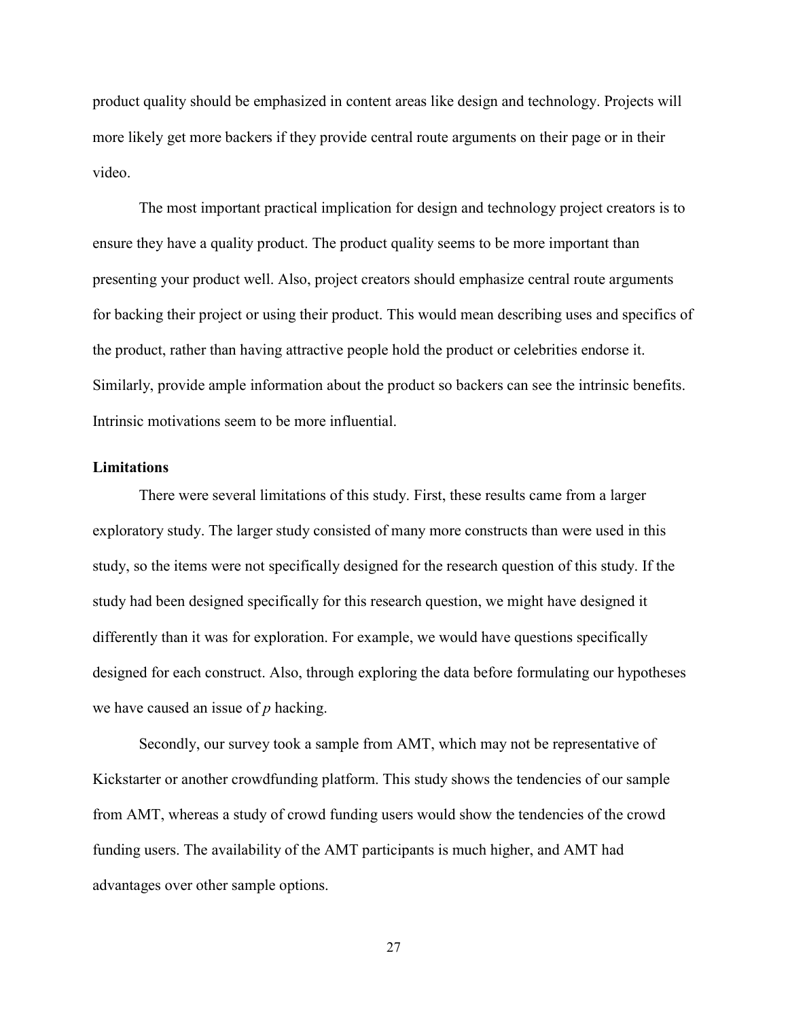product quality should be emphasized in content areas like design and technology. Projects will more likely get more backers if they provide central route arguments on their page or in their video.

The most important practical implication for design and technology project creators is to ensure they have a quality product. The product quality seems to be more important than presenting your product well. Also, project creators should emphasize central route arguments for backing their project or using their product. This would mean describing uses and specifics of the product, rather than having attractive people hold the product or celebrities endorse it. Similarly, provide ample information about the product so backers can see the intrinsic benefits. Intrinsic motivations seem to be more influential.

#### **Limitations**

There were several limitations of this study. First, these results came from a larger exploratory study. The larger study consisted of many more constructs than were used in this study, so the items were not specifically designed for the research question of this study. If the study had been designed specifically for this research question, we might have designed it differently than it was for exploration. For example, we would have questions specifically designed for each construct. Also, through exploring the data before formulating our hypotheses we have caused an issue of  $p$  hacking.

Secondly, our survey took a sample from AMT, which may not be representative of Kickstarter or another crowdfunding platform. This study shows the tendencies of our sample from AMT, whereas a study of crowd funding users would show the tendencies of the crowd funding users. The availability of the AMT participants is much higher, and AMT had advantages over other sample options.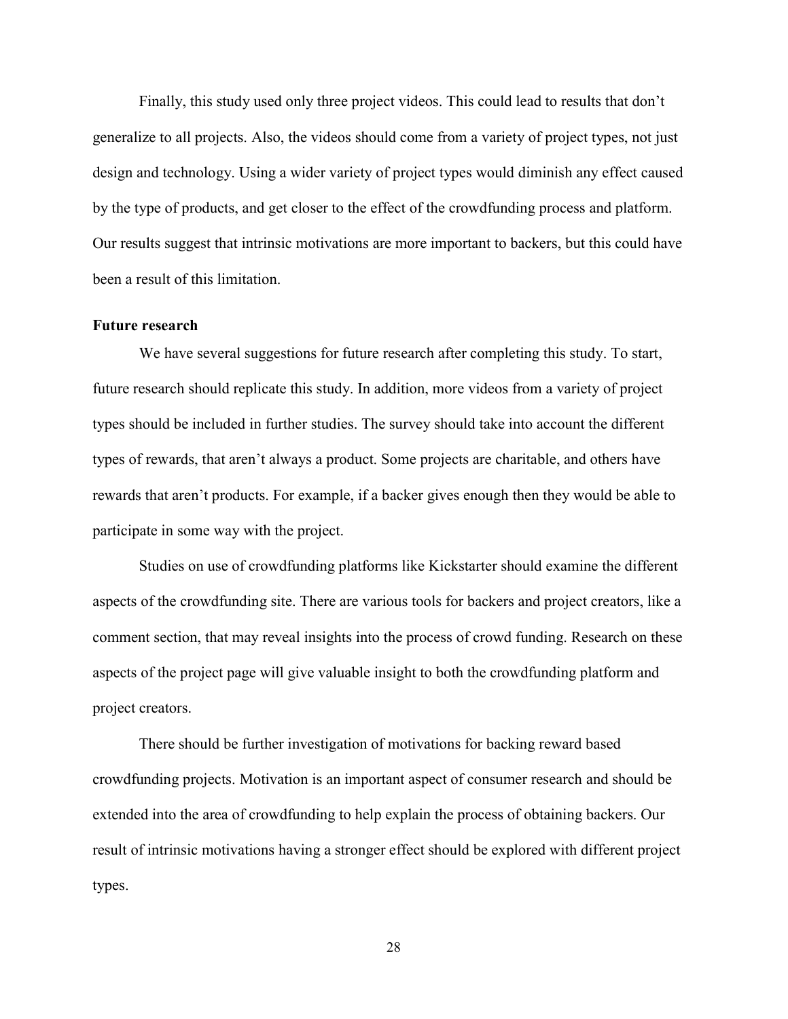Finally, this study used only three project videos. This could lead to results that don't generalize to all projects. Also, the videos should come from a variety of project types, not just design and technology. Using a wider variety of project types would diminish any effect caused by the type of products, and get closer to the effect of the crowdfunding process and platform. Our results suggest that intrinsic motivations are more important to backers, but this could have been a result of this limitation.

#### Future research

We have several suggestions for future research after completing this study. To start, future research should replicate this study. In addition, more videos from a variety of project types should be included in further studies. The survey should take into account the different types of rewards, that aren't always a product. Some projects are charitable, and others have rewards that aren't products. For example, if a backer gives enough then they would be able to participate in some way with the project.

Studies on use of crowdfunding platforms like Kickstarter should examine the different aspects of the crowdfunding site. There are various tools for backers and project creators, like a comment section, that may reveal insights into the process of crowd funding. Research on these aspects of the project page will give valuable insight to both the crowdfunding platform and project creators.

There should be further investigation of motivations for backing reward based crowdfunding projects. Motivation is an important aspect of consumer research and should be extended into the area of crowdfunding to help explain the process of obtaining backers. Our result of intrinsic motivations having a stronger effect should be explored with different project types.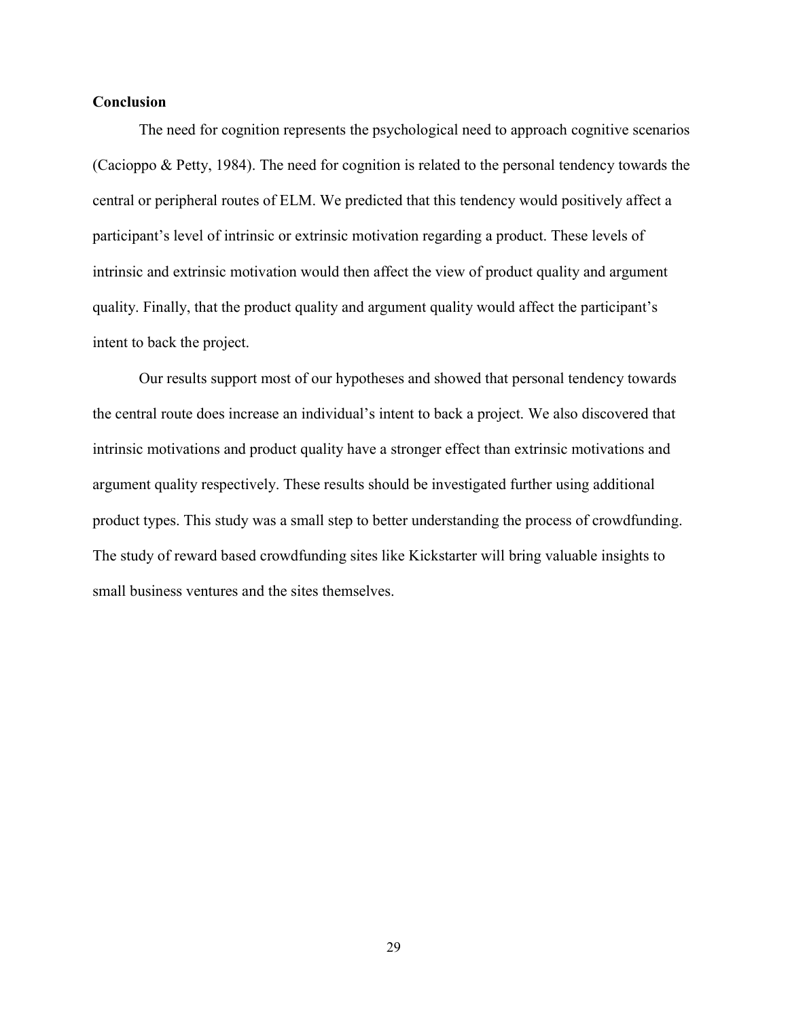#### **Conclusion**

The need for cognition represents the psychological need to approach cognitive scenarios (Cacioppo & Petty, 1984). The need for cognition is related to the personal tendency towards the central or peripheral routes of ELM. We predicted that this tendency would positively affect a participant's level of intrinsic or extrinsic motivation regarding a product. These levels of intrinsic and extrinsic motivation would then affect the view of product quality and argument quality. Finally, that the product quality and argument quality would affect the participant's intent to back the project.

Our results support most of our hypotheses and showed that personal tendency towards the central route does increase an individual's intent to back a project. We also discovered that intrinsic motivations and product quality have a stronger effect than extrinsic motivations and argument quality respectively. These results should be investigated further using additional product types. This study was a small step to better understanding the process of crowdfunding. The study of reward based crowdfunding sites like Kickstarter will bring valuable insights to small business ventures and the sites themselves.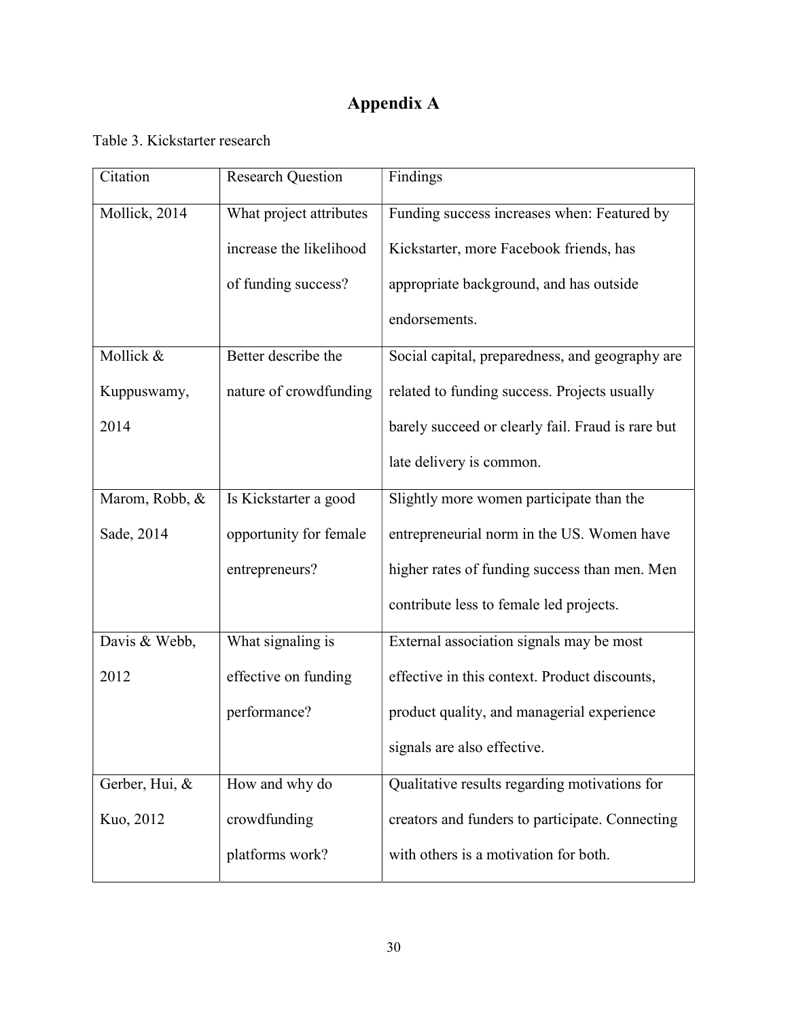# Appendix A

Table 3. Kickstarter research

| Citation       | <b>Research Question</b> | Findings                                          |
|----------------|--------------------------|---------------------------------------------------|
| Mollick, 2014  | What project attributes  | Funding success increases when: Featured by       |
|                | increase the likelihood  | Kickstarter, more Facebook friends, has           |
|                | of funding success?      | appropriate background, and has outside           |
|                |                          | endorsements.                                     |
| Mollick &      | Better describe the      | Social capital, preparedness, and geography are   |
| Kuppuswamy,    | nature of crowdfunding   | related to funding success. Projects usually      |
| 2014           |                          | barely succeed or clearly fail. Fraud is rare but |
|                |                          | late delivery is common.                          |
| Marom, Robb, & | Is Kickstarter a good    | Slightly more women participate than the          |
| Sade, 2014     | opportunity for female   | entrepreneurial norm in the US. Women have        |
|                | entrepreneurs?           | higher rates of funding success than men. Men     |
|                |                          | contribute less to female led projects.           |
| Davis & Webb,  | What signaling is        | External association signals may be most          |
| 2012           | effective on funding     | effective in this context. Product discounts,     |
|                | performance?             | product quality, and managerial experience        |
|                |                          | signals are also effective.                       |
| Gerber, Hui, & | How and why do           | Qualitative results regarding motivations for     |
| Kuo, 2012      | crowdfunding             | creators and funders to participate. Connecting   |
|                | platforms work?          | with others is a motivation for both.             |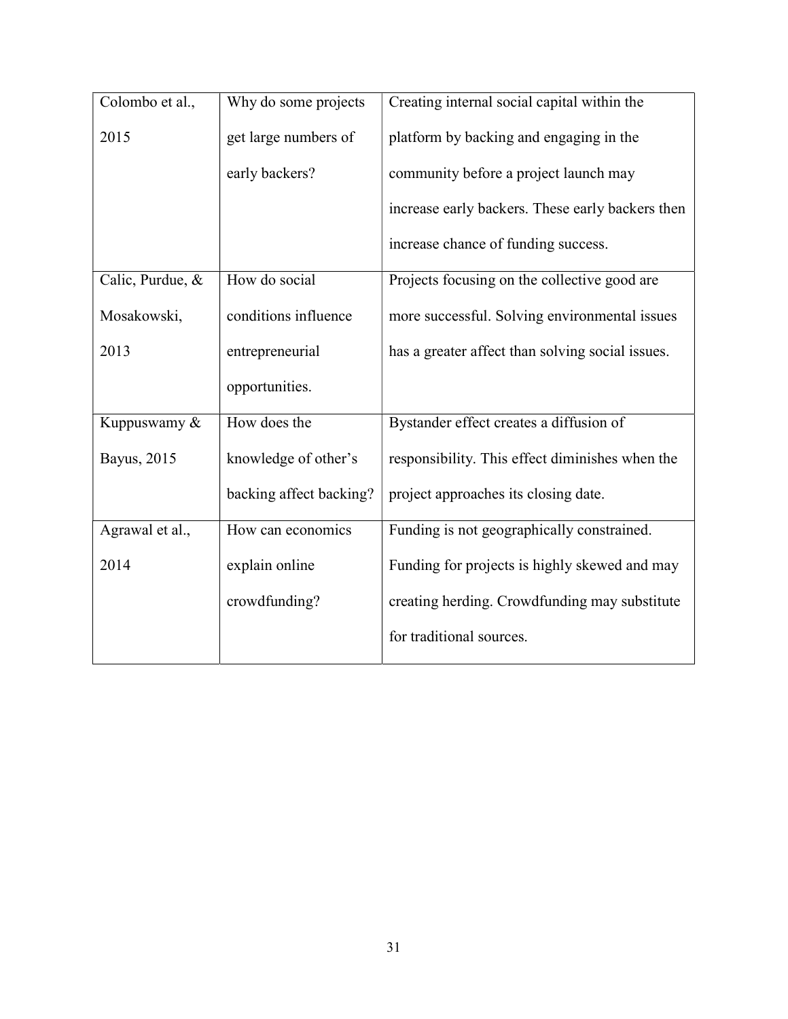| Colombo et al.,  | Why do some projects    | Creating internal social capital within the      |
|------------------|-------------------------|--------------------------------------------------|
| 2015             | get large numbers of    | platform by backing and engaging in the          |
|                  | early backers?          | community before a project launch may            |
|                  |                         | increase early backers. These early backers then |
|                  |                         | increase chance of funding success.              |
| Calic, Purdue, & | How do social           | Projects focusing on the collective good are     |
| Mosakowski,      | conditions influence    | more successful. Solving environmental issues    |
| 2013             | entrepreneurial         | has a greater affect than solving social issues. |
|                  | opportunities.          |                                                  |
| Kuppuswamy &     | How does the            | Bystander effect creates a diffusion of          |
| Bayus, 2015      | knowledge of other's    | responsibility. This effect diminishes when the  |
|                  | backing affect backing? | project approaches its closing date.             |
| Agrawal et al.,  | How can economics       | Funding is not geographically constrained.       |
| 2014             | explain online          | Funding for projects is highly skewed and may    |
|                  | crowdfunding?           | creating herding. Crowdfunding may substitute    |
|                  |                         | for traditional sources.                         |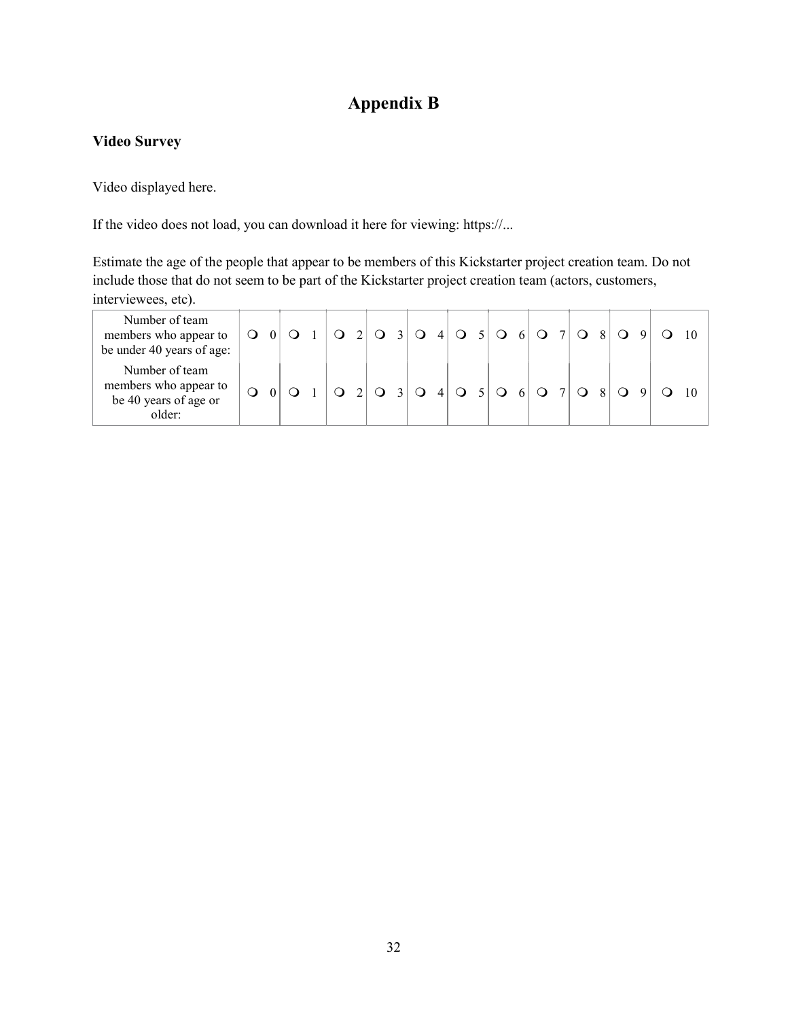# Appendix B

## Video Survey

Video displayed here.

If the video does not load, you can download it here for viewing: https://...

Estimate the age of the people that appear to be members of this Kickstarter project creation team. Do not include those that do not seem to be part of the Kickstarter project creation team (actors, customers, interviewees, etc).

| Number of team<br>members who appear to<br>be under 40 years of age:       |        |  |  |  |  | $4\vert$ Q |  | - 6 |  | 8 |  |  |
|----------------------------------------------------------------------------|--------|--|--|--|--|------------|--|-----|--|---|--|--|
| Number of team<br>members who appear to<br>be 40 years of age or<br>older: | $\cup$ |  |  |  |  |            |  |     |  |   |  |  |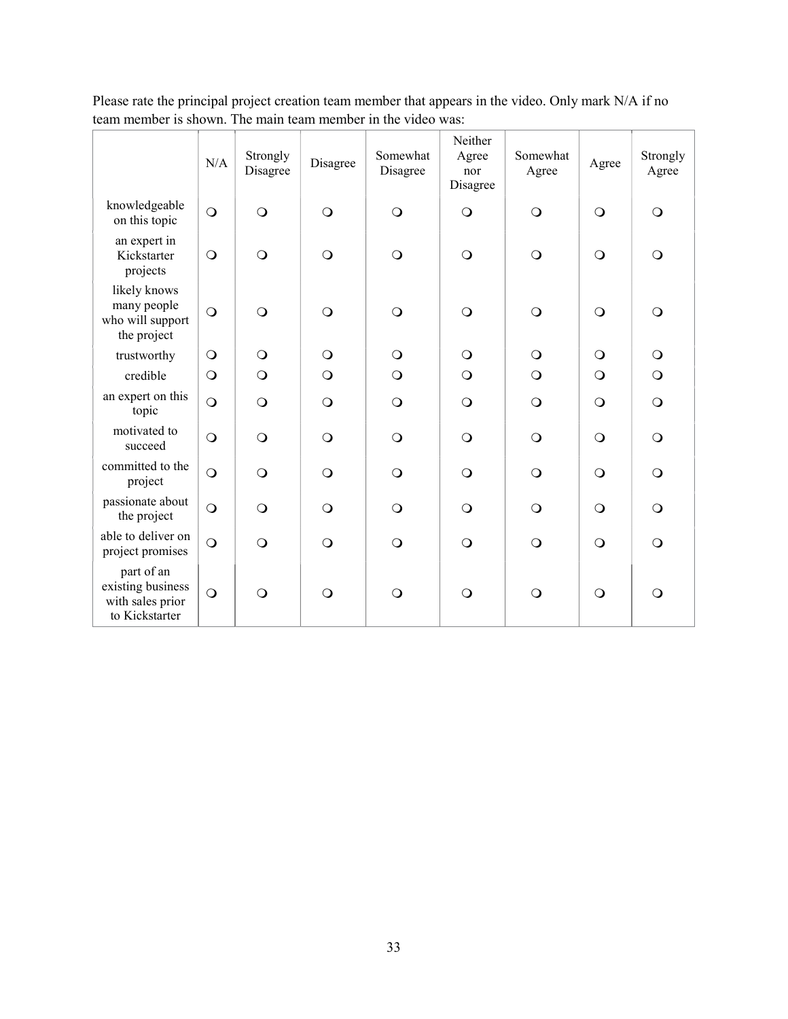|                                                                       | N/A        | Strongly<br>Disagree | Disagree   | Somewhat<br>Disagree | Neither<br>Agree<br>nor<br>Disagree | Somewhat<br>Agree | Agree      | Strongly<br>Agree |
|-----------------------------------------------------------------------|------------|----------------------|------------|----------------------|-------------------------------------|-------------------|------------|-------------------|
| knowledgeable<br>on this topic                                        | $\circ$    | $\bigcirc$           | $\bigcirc$ | $\bigcirc$           | $\circ$                             | $\bigcirc$        | $\Omega$   | $\bigcirc$        |
| an expert in<br>Kickstarter<br>projects                               | $\circ$    | $\bigcirc$           | $\bigcirc$ | $\circ$              | $\bigcirc$                          | $\bigcirc$        | $\bigcirc$ | $\bigcirc$        |
| likely knows<br>many people<br>who will support<br>the project        | $\circ$    | $\bigcirc$           | $\bigcirc$ | $\bigcirc$           | $\circ$                             | $\bigcirc$        | $\Omega$   | $\bigcirc$        |
| trustworthy                                                           | $\circ$    | $\bigcirc$           | $\bigcirc$ | $\bigcirc$           | $\Omega$                            | $\bigcirc$        | $\bigcirc$ | $\bigcirc$        |
| credible                                                              | $\circ$    | $\bigcirc$           | $\bigcirc$ | $\circ$              | $\circ$                             | $\circ$           | $\bigcirc$ | $\bigcirc$        |
| an expert on this<br>topic                                            | $\bigcirc$ | $\bigcirc$           | $\bigcirc$ | $\circ$              | $\bigcirc$                          | $\bigcirc$        | $\bigcirc$ | $\bigcirc$        |
| motivated to<br>succeed                                               | $\bigcirc$ | $\bigcirc$           | $\bigcirc$ | $\bigcirc$           | $\bigcirc$                          | $\bigcirc$        | $\bigcirc$ | $\bigcirc$        |
| committed to the<br>project                                           | $\circ$    | $\circ$              | $\bigcirc$ | $\Omega$             | $\Omega$                            | $\Omega$          | $\Omega$   | $\bigcirc$        |
| passionate about<br>the project                                       | $\circ$    | $\bigcirc$           | $\bigcirc$ | $\circ$              | $\circ$                             | $\bigcirc$        | $\bigcirc$ | $\bigcirc$        |
| able to deliver on<br>project promises                                | $\circ$    | $\bigcirc$           | $\bigcirc$ | $\Omega$             | $\bigcirc$                          | $\bigcirc$        | $\bigcirc$ | $\bigcirc$        |
| part of an<br>existing business<br>with sales prior<br>to Kickstarter | $\circ$    | $\circ$              | $\circ$    | $\circ$              | $\bigcirc$                          | $\circ$           | $\circ$    | $\bigcirc$        |

Please rate the principal project creation team member that appears in the video. Only mark N/A if no team member is shown. The main team member in the video was: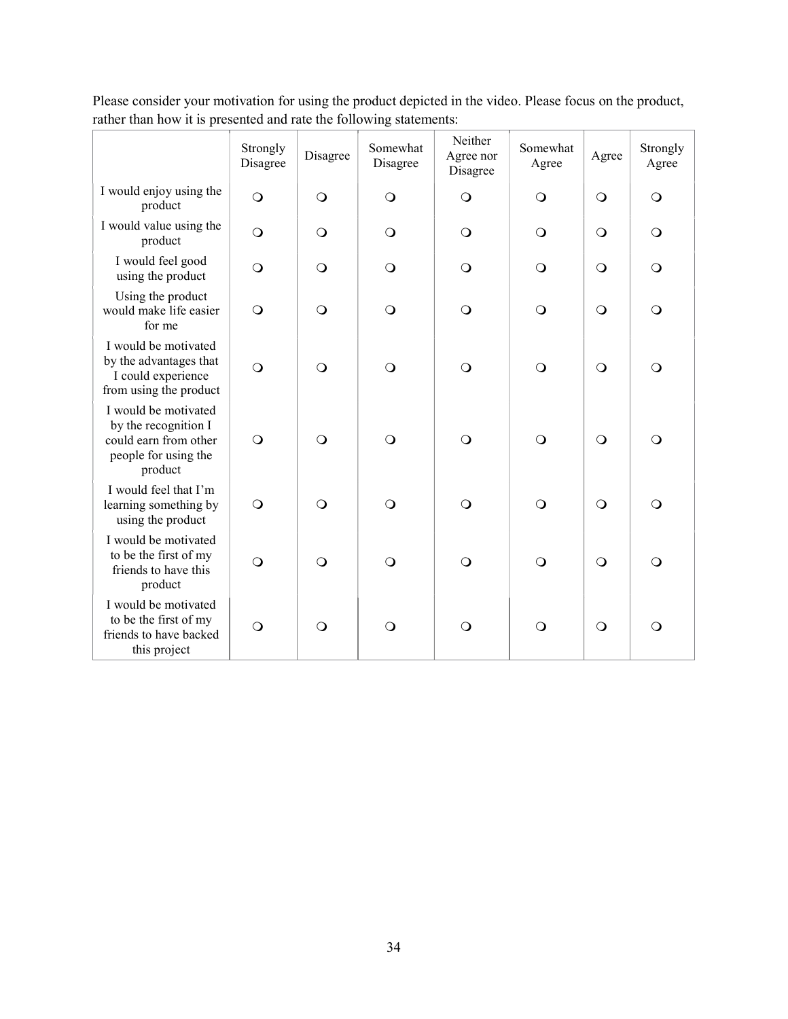|                                                                                                          | Strongly<br>Disagree | Disagree | Somewhat<br>Disagree | Neither<br>Agree nor<br>Disagree | Somewhat<br>Agree | Agree          | Strongly<br>Agree |
|----------------------------------------------------------------------------------------------------------|----------------------|----------|----------------------|----------------------------------|-------------------|----------------|-------------------|
| I would enjoy using the<br>product                                                                       | $\bigcirc$           | $\circ$  | $\Omega$             | $\circ$                          | $\Omega$          | $\Omega$       | $\circ$           |
| I would value using the<br>product                                                                       | $\circ$              | $\Omega$ | $\Omega$             | $\Omega$                         | $\circ$           | $\Omega$       | $\Omega$          |
| I would feel good<br>using the product                                                                   | $\circ$              | $\circ$  | $\circ$              | $\circ$                          | $\bigcirc$        | $\circ$        | $\circ$           |
| Using the product<br>would make life easier<br>for me                                                    | $\circ$              | $\circ$  | $\circ$              | $\circ$                          | $\bigcirc$        | $\circ$        | $\circ$           |
| I would be motivated<br>by the advantages that<br>I could experience<br>from using the product           | $\Omega$             | $\circ$  | $\Omega$             | $\Omega$                         | $\Omega$          | $\Omega$       | $\circ$           |
| I would be motivated<br>by the recognition I<br>could earn from other<br>people for using the<br>product | $\bigcirc$           | $\circ$  | $\circ$              | $\circ$                          | $\bigcirc$        | $\Omega$       | $\Omega$          |
| I would feel that I'm<br>learning something by<br>using the product                                      | $\Omega$             | $\Omega$ | $\Omega$             | $\Omega$                         | $\Omega$          | $\circ$        | $\Omega$          |
| I would be motivated<br>to be the first of my<br>friends to have this<br>product                         | $\bigcirc$           | $\Omega$ | $\Omega$             | $\Omega$                         | $\bigcirc$        | $\overline{O}$ | $\Omega$          |
| I would be motivated<br>to be the first of my<br>friends to have backed<br>this project                  | $\circ$              | $\Omega$ | $\Omega$             | $\Omega$                         | $\bigcirc$        | $\circ$        | $\Omega$          |

Please consider your motivation for using the product depicted in the video. Please focus on the product, rather than how it is presented and rate the following statements: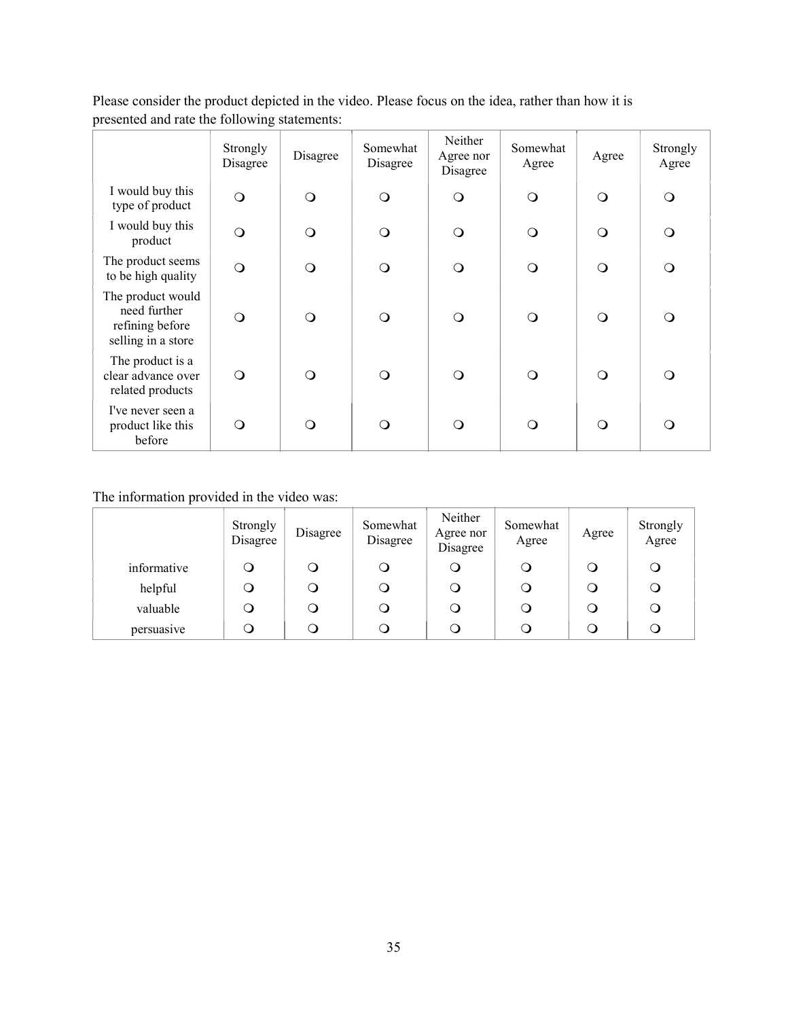|                                                                            | Strongly<br>Disagree | Disagree | Somewhat<br>Disagree | Neither<br>Agree nor<br>Disagree | Somewhat<br>Agree | Agree    | Strongly<br>Agree |
|----------------------------------------------------------------------------|----------------------|----------|----------------------|----------------------------------|-------------------|----------|-------------------|
| I would buy this<br>type of product                                        | $\Omega$             | ∩        | ∩                    | $\circ$                          | $\Omega$          | $\Omega$ | $\Omega$          |
| I would buy this<br>product                                                | $\Omega$             | Q        | ∩                    | $\circ$                          | $\Omega$          | $\Omega$ | $\Omega$          |
| The product seems<br>to be high quality                                    | $\circ$              | O        | ∩                    | $\circ$                          | $\Omega$          | $\circ$  | $\Omega$          |
| The product would<br>need further<br>refining before<br>selling in a store | $\Omega$             | ∩        | ∩                    | $\Omega$                         | $\Omega$          | $\circ$  | $\Omega$          |
| The product is a<br>clear advance over<br>related products                 | $\Omega$             | ∩        | ∩                    | $\circ$                          | $\Omega$          | $\Omega$ | ∩                 |
| I've never seen a<br>product like this<br>before                           | ∩                    | O        | ∩                    | O                                | $\Omega$          | $\Omega$ | ∩                 |

Please consider the product depicted in the video. Please focus on the idea, rather than how it is presented and rate the following statements:

## The information provided in the video was:

|             | Strongly<br>Disagree | Disagree | Somewhat<br>Disagree | Neither<br>Agree nor<br>Disagree | Somewhat<br>Agree | Agree | Strongly<br>Agree |
|-------------|----------------------|----------|----------------------|----------------------------------|-------------------|-------|-------------------|
| informative | O                    | Q        | Ő                    | $\circ$                          | O                 | O     | O                 |
| helpful     | Q                    | ು        | ں                    | Q                                | O                 | O     | O                 |
| valuable    | O                    | Q        | Ő                    | Q                                | Ő                 | Ő     | Ő                 |
| persuasive  | $\circ$              | ು        | Ő                    | O                                | O                 | O     | O                 |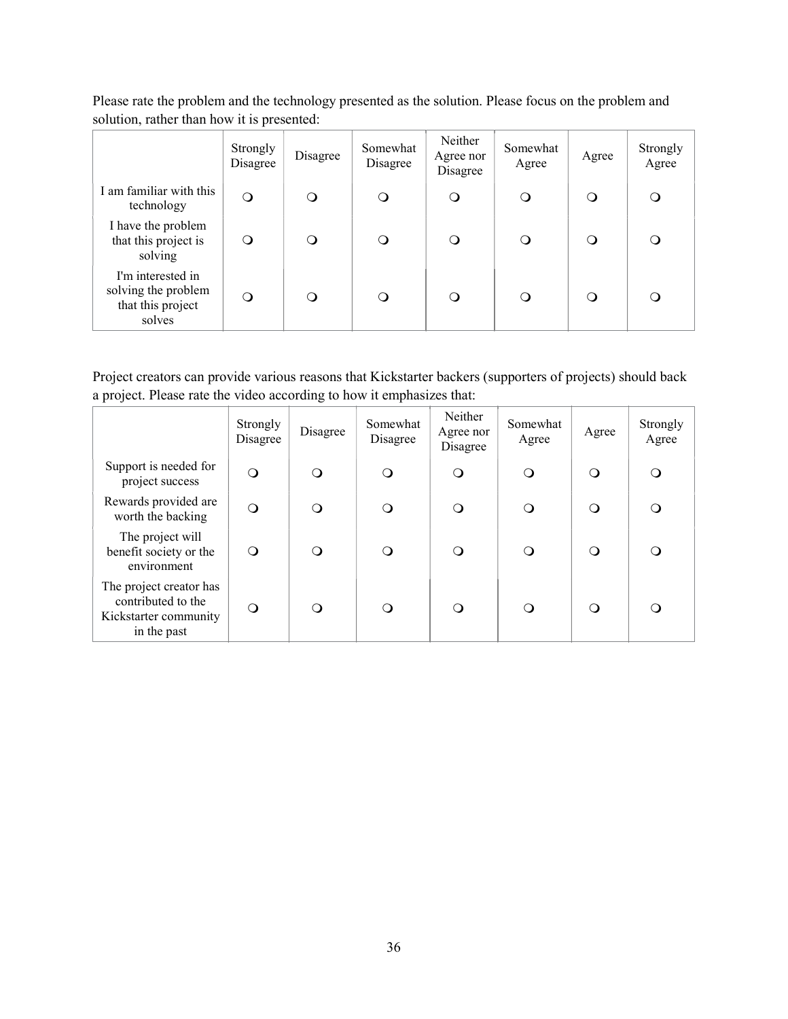|                                                                         | Strongly<br>Disagree | Disagree | Somewhat<br>Disagree | Neither<br>Agree nor<br>Disagree | Somewhat<br>Agree | Agree | Strongly<br>Agree |
|-------------------------------------------------------------------------|----------------------|----------|----------------------|----------------------------------|-------------------|-------|-------------------|
| I am familiar with this<br>technology                                   | $\Omega$             | ∩        | O                    | $\Omega$                         | Ő                 |       | $\Omega$          |
| I have the problem<br>that this project is<br>solving                   |                      | ∩        | O                    | ∩                                | O                 |       | ∩                 |
| I'm interested in<br>solving the problem<br>that this project<br>solves | ∩                    |          | . 1                  |                                  | ∩                 |       | Q                 |

Please rate the problem and the technology presented as the solution. Please focus on the problem and solution, rather than how it is presented:

Project creators can provide various reasons that Kickstarter backers (supporters of projects) should back a project. Please rate the video according to how it emphasizes that:

|                                                                                       | Strongly<br>Disagree | Disagree | Somewhat<br>Disagree | Neither<br>Agree nor<br>Disagree | Somewhat<br>Agree | Agree | Strongly<br>Agree |
|---------------------------------------------------------------------------------------|----------------------|----------|----------------------|----------------------------------|-------------------|-------|-------------------|
| Support is needed for<br>project success                                              | ∩                    |          | $\Omega$             |                                  | Ő                 |       | ∩                 |
| Rewards provided are<br>worth the backing                                             | O                    |          | ∩                    |                                  |                   | ()    |                   |
| The project will<br>benefit society or the<br>environment                             | ∩                    |          | ∩                    |                                  | O                 | ∩     | ∩                 |
| The project creator has<br>contributed to the<br>Kickstarter community<br>in the past | Q                    |          | ∩                    |                                  | 0                 | ∩     |                   |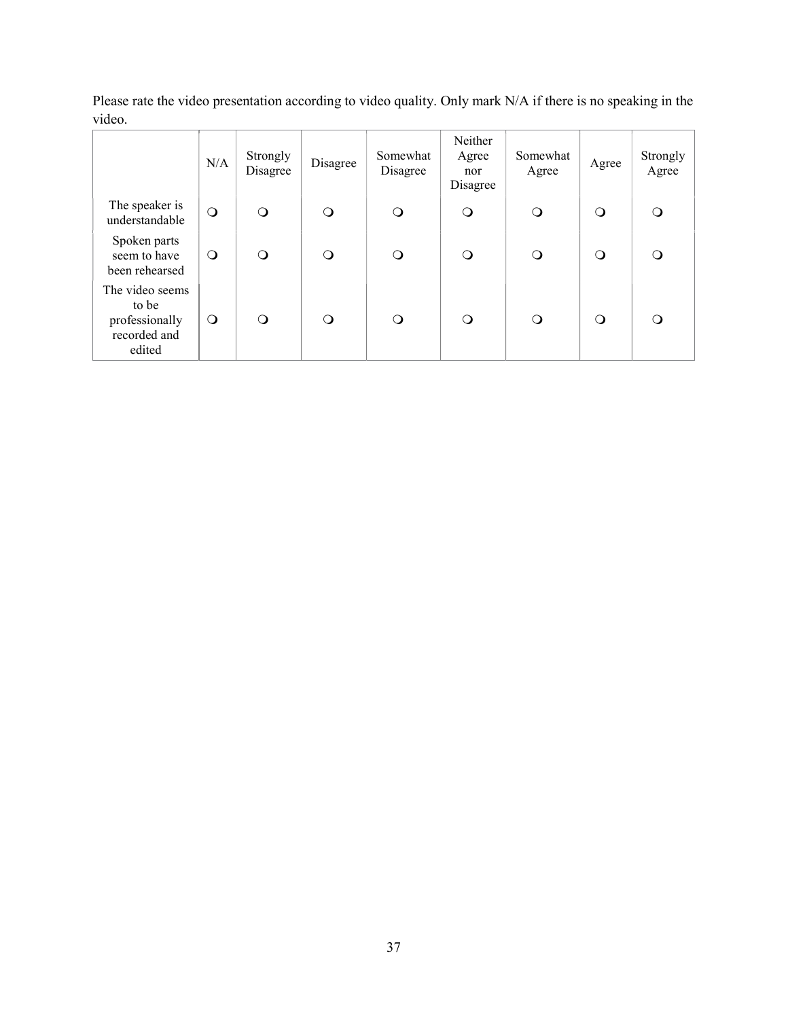|                                                                      | N/A     | Strongly<br>Disagree | Disagree | Somewhat<br>Disagree | Neither<br>Agree<br>nor<br>Disagree | Somewhat<br>Agree | Agree    | Strongly<br>Agree |
|----------------------------------------------------------------------|---------|----------------------|----------|----------------------|-------------------------------------|-------------------|----------|-------------------|
| The speaker is<br>understandable                                     | $\circ$ | $\Omega$             | $\Omega$ | O                    | $\circ$                             | Q                 | $\Omega$ | ∩                 |
| Spoken parts<br>seem to have<br>been rehearsed                       | $\circ$ | $\Omega$             | $\Omega$ | O                    | $\circ$                             | Q                 | $\Omega$ | ∩                 |
| The video seems<br>to be<br>professionally<br>recorded and<br>edited | $\circ$ | ∩                    | ∩        | O                    | $\Omega$                            | ∩                 | $\circ$  |                   |

Please rate the video presentation according to video quality. Only mark N/A if there is no speaking in the video.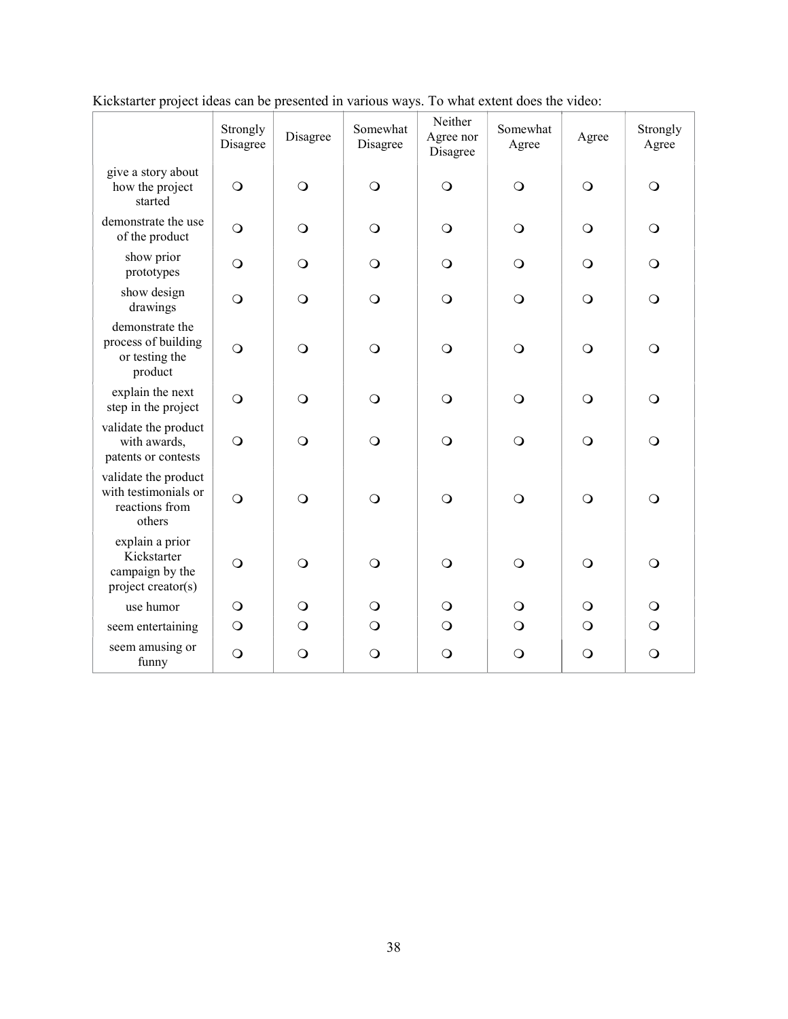|                                                                          | Strongly<br>Disagree | Disagree   | Somewhat<br>Disagree | Neither<br>Agree nor<br>Disagree | Somewhat<br>Agree | Agree          | Strongly<br>Agree |
|--------------------------------------------------------------------------|----------------------|------------|----------------------|----------------------------------|-------------------|----------------|-------------------|
| give a story about<br>how the project<br>started                         | $\bigcirc$           | $\bigcirc$ | $\bigcirc$           | $\bigcirc$                       | $\bigcirc$        | $\bigcirc$     | $\bigcirc$        |
| demonstrate the use<br>of the product                                    | $\bigcirc$           | $\circ$    | $\circ$              | $\circ$                          | $\circ$           | $\circ$        | $\bigcirc$        |
| show prior<br>prototypes                                                 | $\circ$              | $\circ$    | $\circ$              | $\circ$                          | $\circ$           | $\Omega$       | $\Omega$          |
| show design<br>drawings                                                  | $\bigcirc$           | $\bigcirc$ | $\bigcirc$           | $\bigcirc$                       | $\bigcirc$        | $\overline{O}$ | $\bigcirc$        |
| demonstrate the<br>process of building<br>or testing the<br>product      | $\bigcirc$           | $\bigcirc$ | $\circ$              | $\bigcirc$                       | $\bigcirc$        | $\bigcirc$     | $\bigcirc$        |
| explain the next<br>step in the project                                  | $\bigcirc$           | $\bigcirc$ | $\bigcirc$           | $\bigcirc$                       | $\bigcirc$        | $\bigcirc$     | $\overline{O}$    |
| validate the product<br>with awards,<br>patents or contests              | $\bigcirc$           | $\bigcirc$ | $\circ$              | $\bigcirc$                       | $\bigcirc$        | $\bigcirc$     | $\overline{O}$    |
| validate the product<br>with testimonials or<br>reactions from<br>others | $\bigcirc$           | $\bigcirc$ | $\bigcirc$           | $\bigcirc$                       | $\circ$           | $\bigcirc$     | $\bigcirc$        |
| explain a prior<br>Kickstarter<br>campaign by the<br>project creator(s)  | $\bigcirc$           | $\bigcirc$ | $\overline{O}$       | $\bigcirc$                       | $\circ$           | $\bigcirc$     | $\overline{O}$    |
| use humor                                                                | $\circ$              | $\circ$    | $\circ$              | $\circ$                          | $\circ$           | $\Omega$       | $\Omega$          |
| seem entertaining                                                        | $\circ$              | $\circ$    | O                    | $\circ$                          | $\circ$           | $\Omega$       | $\circ$           |
| seem amusing or<br>funny                                                 | $\bigcirc$           | $\circ$    | $\circ$              | $\circ$                          | $\circ$           | $\circ$        | $\bigcirc$        |

Kickstarter project ideas can be presented in various ways. To what extent does the video: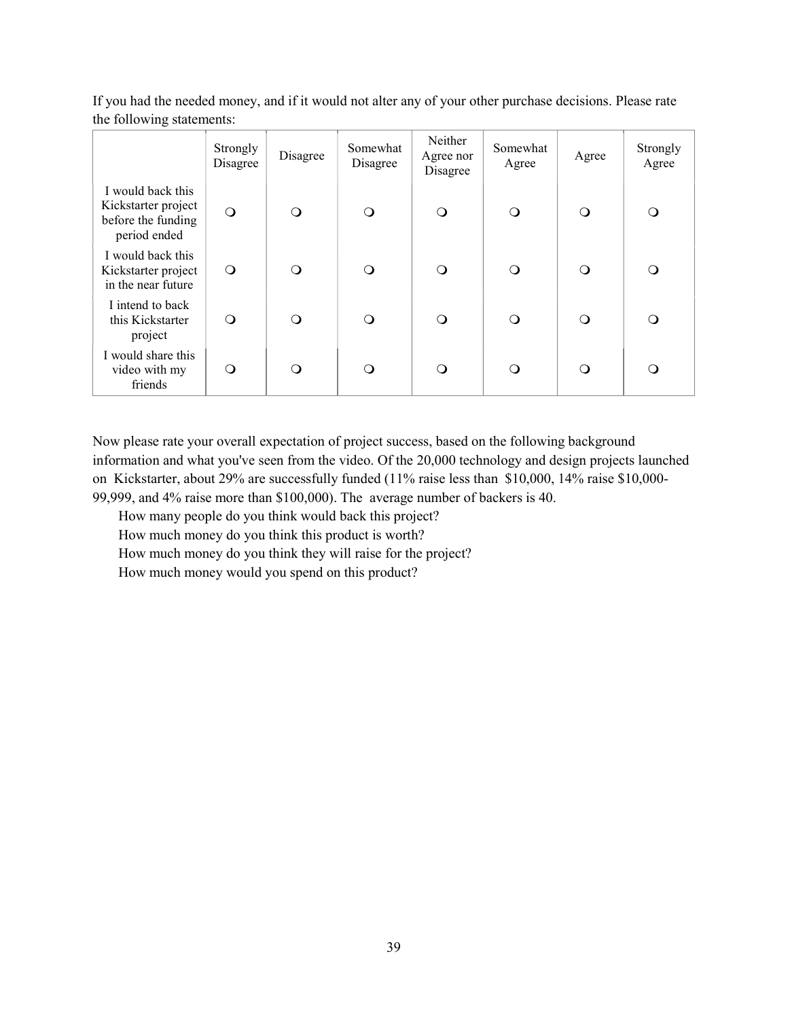|                                                                                | Strongly<br>Disagree | Disagree | Somewhat<br>Disagree | Neither<br>Agree nor<br>Disagree | Somewhat<br>Agree | Agree    | Strongly<br>Agree |
|--------------------------------------------------------------------------------|----------------------|----------|----------------------|----------------------------------|-------------------|----------|-------------------|
| I would back this<br>Kickstarter project<br>before the funding<br>period ended | $\circ$              | $\Omega$ | ∩                    | ∩                                | ∩                 | $\Omega$ | $\circ$           |
| I would back this<br>Kickstarter project<br>in the near future                 | $\circ$              | ∩        | $\Omega$             | ∩                                | ∩                 | $\Omega$ | $\circ$           |
| I intend to back<br>this Kickstarter<br>project                                | $\circ$              | ∩        | ∩                    | ∩                                | ∩                 | $\Omega$ | $\Omega$          |
| I would share this<br>video with my<br>friends                                 | $\Omega$             | ∩        | ∩                    | $\Omega$                         | ∩                 | ∩        | $\Omega$          |

If you had the needed money, and if it would not alter any of your other purchase decisions. Please rate the following statements:

Now please rate your overall expectation of project success, based on the following background information and what you've seen from the video. Of the 20,000 technology and design projects launched on Kickstarter, about 29% are successfully funded (11% raise less than \$10,000, 14% raise \$10,000- 99,999, and 4% raise more than \$100,000). The average number of backers is 40.

How many people do you think would back this project?

How much money do you think this product is worth?

How much money do you think they will raise for the project?

How much money would you spend on this product?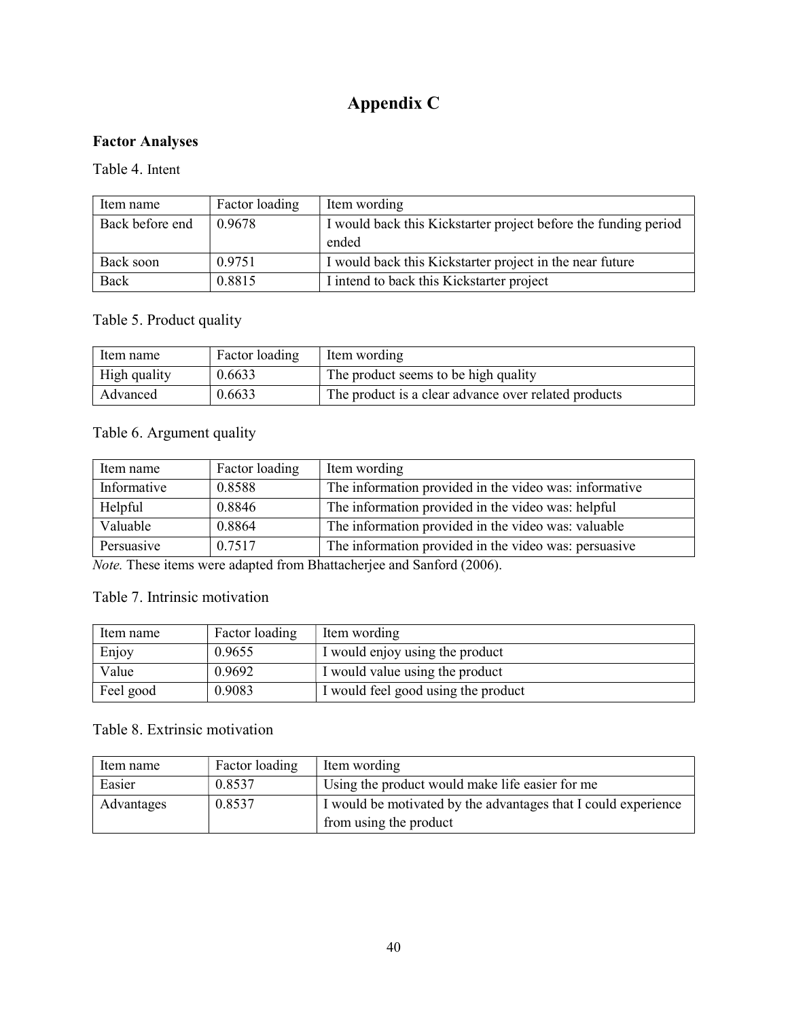# Appendix C

#### Factor Analyses

Table 4. Intent

| Item name       | Factor loading | Item wording                                                    |
|-----------------|----------------|-----------------------------------------------------------------|
| Back before end | 0.9678         | I would back this Kickstarter project before the funding period |
|                 |                | ended                                                           |
| Back soon       | 0.9751         | I would back this Kickstarter project in the near future        |
| Back            | 0.8815         | I intend to back this Kickstarter project                       |

## Table 5. Product quality

| Item name    | Factor loading | Item wording                                         |
|--------------|----------------|------------------------------------------------------|
| High quality | 0.6633         | The product seems to be high quality                 |
| Advanced     | 0.6633         | The product is a clear advance over related products |

## Table 6. Argument quality

| Item name   | Factor loading | Item wording                                           |
|-------------|----------------|--------------------------------------------------------|
| Informative | 0.8588         | The information provided in the video was: informative |
| Helpful     | 0.8846         | The information provided in the video was: helpful     |
| Valuable    | 0.8864         | The information provided in the video was: valuable    |
| Persuasive  | 0.7517         | The information provided in the video was: persuasive  |

Note. These items were adapted from Bhattacherjee and Sanford (2006).

#### Table 7. Intrinsic motivation

| Item name | Factor loading | Item wording                        |
|-----------|----------------|-------------------------------------|
| Enjoy     | 0.9655         | I would enjoy using the product     |
| Value     | 0.9692         | I would value using the product     |
| Feel good | 0.9083         | I would feel good using the product |

## Table 8. Extrinsic motivation

| Item name  | Factor loading | Item wording                                                   |
|------------|----------------|----------------------------------------------------------------|
| Easier     | 0.8537         | Using the product would make life easier for me                |
| Advantages | 0.8537         | I would be motivated by the advantages that I could experience |
|            |                | from using the product                                         |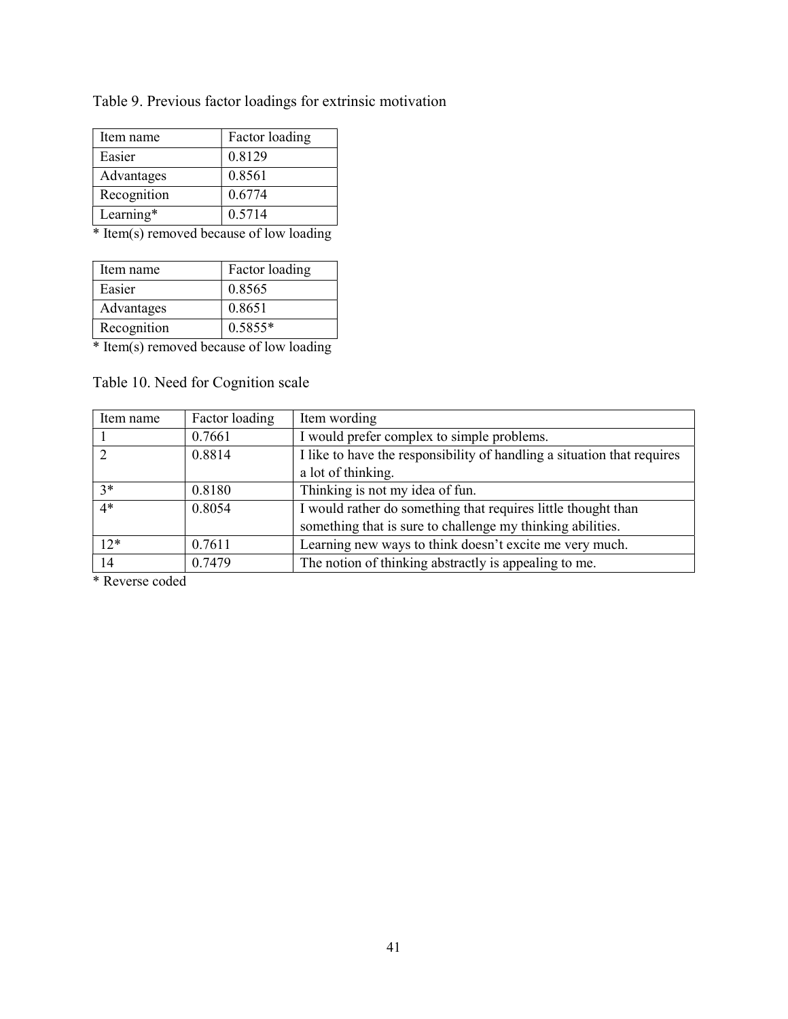Table 9. Previous factor loadings for extrinsic motivation

| Item name   | Factor loading |
|-------------|----------------|
| Easier      | 0.8129         |
| Advantages  | 0.8561         |
| Recognition | 0.6774         |
| Learning*   | 0.5714         |

\* Item(s) removed because of low loading

| Item name   | Factor loading |
|-------------|----------------|
| Easier      | 0.8565         |
| Advantages  | 0.8651         |
| Recognition | $0.5855*$      |

\* Item(s) removed because of low loading

Table 10. Need for Cognition scale

| Item name | Factor loading | Item wording                                                            |
|-----------|----------------|-------------------------------------------------------------------------|
|           | 0.7661         | I would prefer complex to simple problems.                              |
|           | 0.8814         | I like to have the responsibility of handling a situation that requires |
|           |                | a lot of thinking.                                                      |
| $3*$      | 0.8180         | Thinking is not my idea of fun.                                         |
| $4*$      | 0.8054         | I would rather do something that requires little thought than           |
|           |                | something that is sure to challenge my thinking abilities.              |
| $12*$     | 0.7611         | Learning new ways to think doesn't excite me very much.                 |
| 14        | 0.7479         | The notion of thinking abstractly is appealing to me.                   |

\* Reverse coded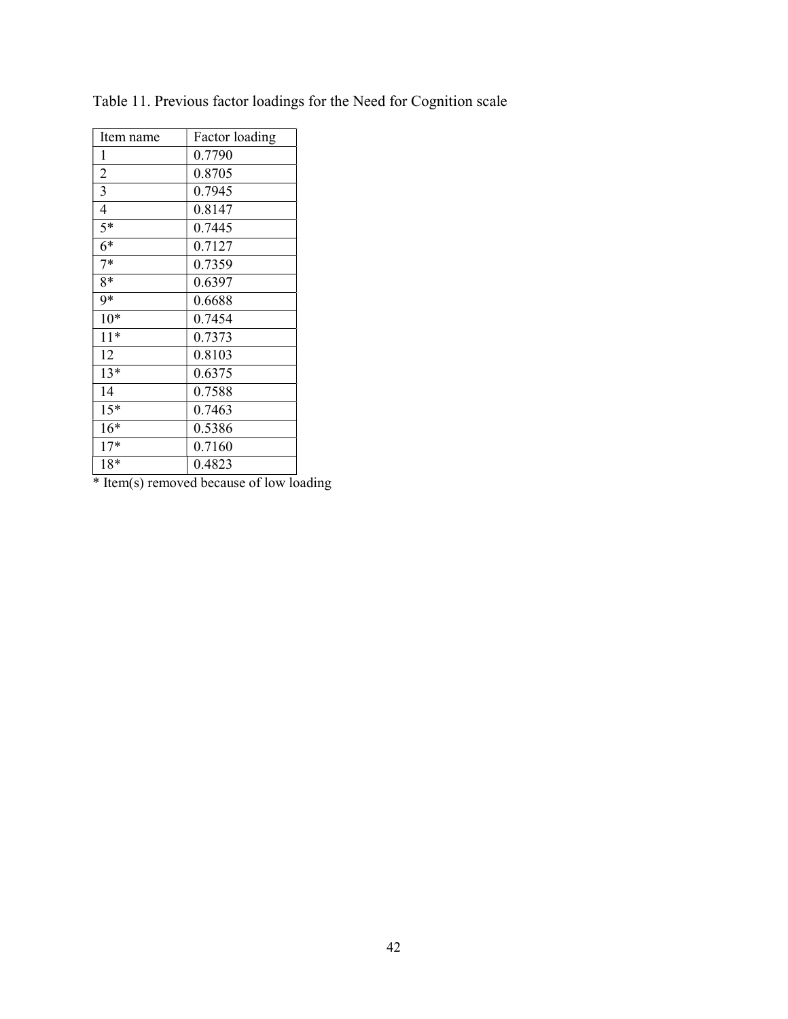| Item name               | Factor loading |
|-------------------------|----------------|
| 1                       | 0.7790         |
| $\overline{2}$          | 0.8705         |
| $\overline{\mathbf{3}}$ | 0.7945         |
| $\overline{4}$          | 0.8147         |
| $5*$                    | 0.7445         |
| $6*$                    | 0.7127         |
| $7*$                    | 0.7359         |
| $8*$                    | 0.6397         |
| $9*$                    | 0.6688         |
| $10*$                   | 0.7454         |
| $11*$                   | 0.7373         |
| 12                      | 0.8103         |
| $13*$                   | 0.6375         |
| 14                      | 0.7588         |
| $15*$                   | 0.7463         |
| $16*$                   | 0.5386         |
| $17*$                   | 0.7160         |
| 18*                     | 0.4823         |

Table 11. Previous factor loadings for the Need for Cognition scale

\* Item(s) removed because of low loading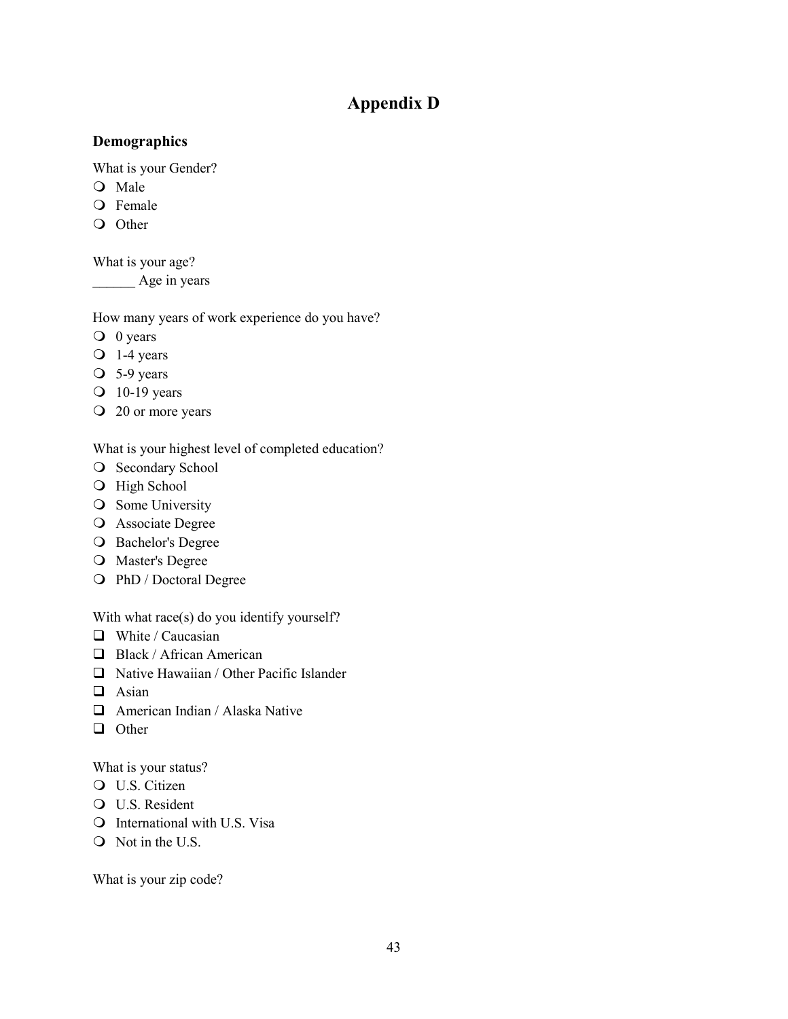## Appendix D

#### Demographics

What is your Gender?

- O Male
- O Female
- O Other

What is your age?

\_\_\_\_\_\_ Age in years

How many years of work experience do you have?

- O 0 years
- $\overline{O}$  1-4 years
- 5-9 years
- **O** 10-19 years
- 20 or more years

What is your highest level of completed education?

- O Secondary School
- O High School
- **O** Some University
- Associate Degree
- O Bachelor's Degree
- **O** Master's Degree
- PhD / Doctoral Degree

With what race(s) do you identify yourself?

- $\Box$  White / Caucasian
- Black / African American
- Native Hawaiian / Other Pacific Islander
- **Q** Asian
- American Indian / Alaska Native
- **Q** Other

What is your status?

- U.S. Citizen
- U.S. Resident
- International with U.S. Visa
- O Not in the U.S.

What is your zip code?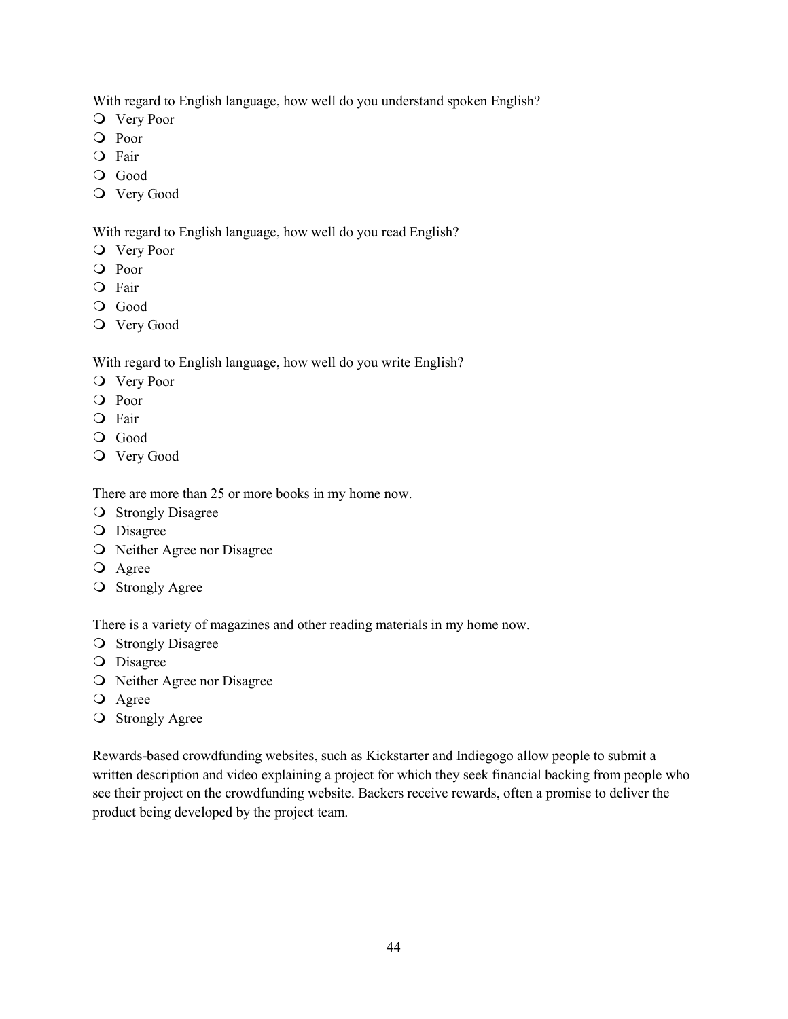With regard to English language, how well do you understand spoken English?

- Very Poor
- O Poor
- Fair
- Good
- Very Good

#### With regard to English language, how well do you read English?

- Very Poor
- O Poor
- O Fair
- Good
- Very Good

#### With regard to English language, how well do you write English?

- Very Poor
- O Poor
- Q Fair
- O Good
- Very Good

There are more than 25 or more books in my home now.

- **O** Strongly Disagree
- O Disagree
- O Neither Agree nor Disagree
- O Agree
- **O** Strongly Agree

There is a variety of magazines and other reading materials in my home now.

- **O** Strongly Disagree
- O Disagree
- O Neither Agree nor Disagree
- O Agree
- **O** Strongly Agree

Rewards-based crowdfunding websites, such as Kickstarter and Indiegogo allow people to submit a written description and video explaining a project for which they seek financial backing from people who see their project on the crowdfunding website. Backers receive rewards, often a promise to deliver the product being developed by the project team.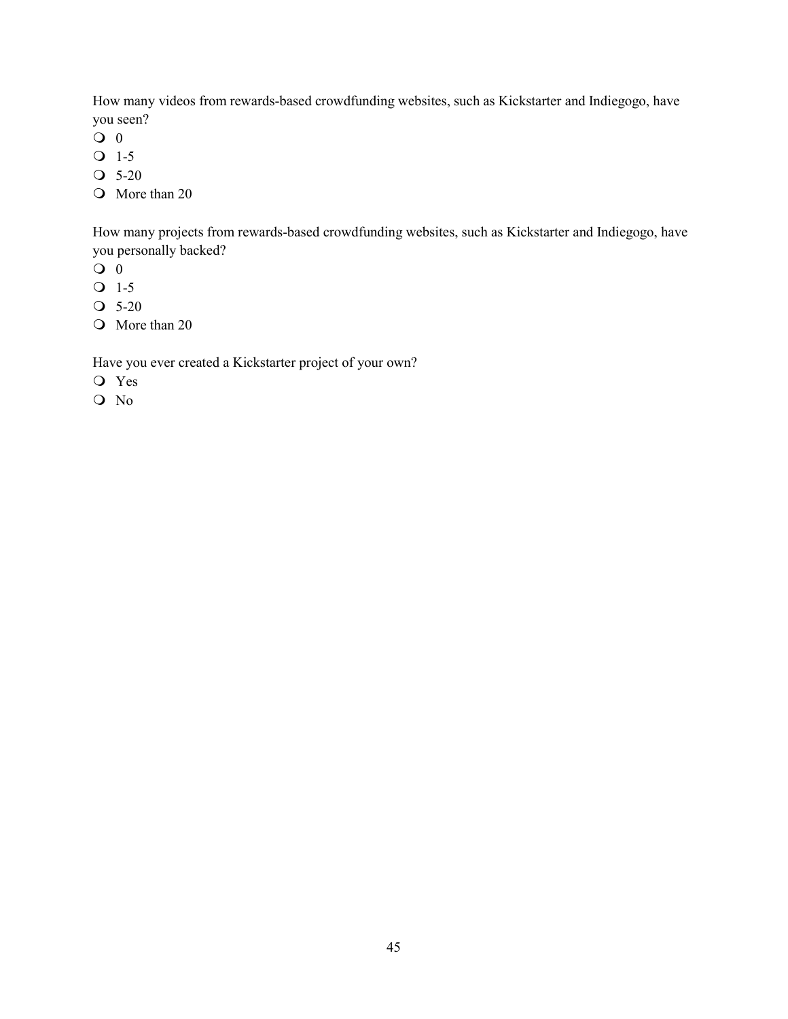How many videos from rewards-based crowdfunding websites, such as Kickstarter and Indiegogo, have you seen?

- $\overline{Q}$  0
- $Q$  1-5
- 5-20
- O More than 20

How many projects from rewards-based crowdfunding websites, such as Kickstarter and Indiegogo, have you personally backed?

- $\overline{Q}$  0
- $Q$  1-5
- **O** 5-20
- O More than 20

Have you ever created a Kickstarter project of your own?

- Yes
- O No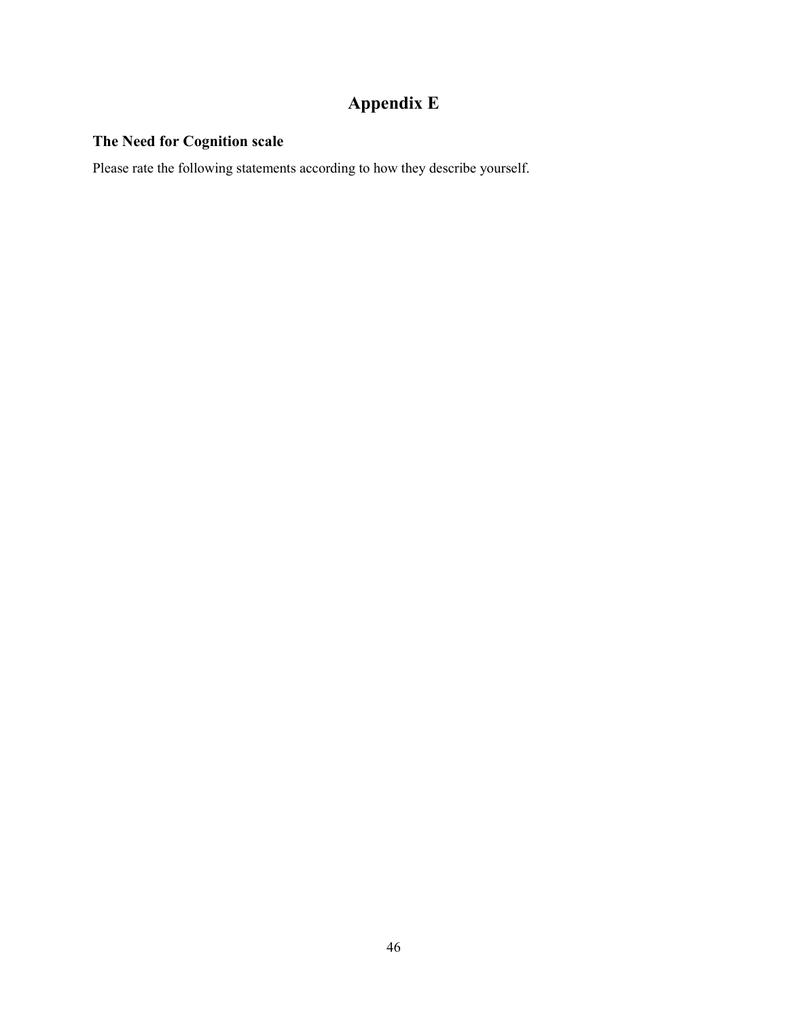# Appendix E

## The Need for Cognition scale

Please rate the following statements according to how they describe yourself.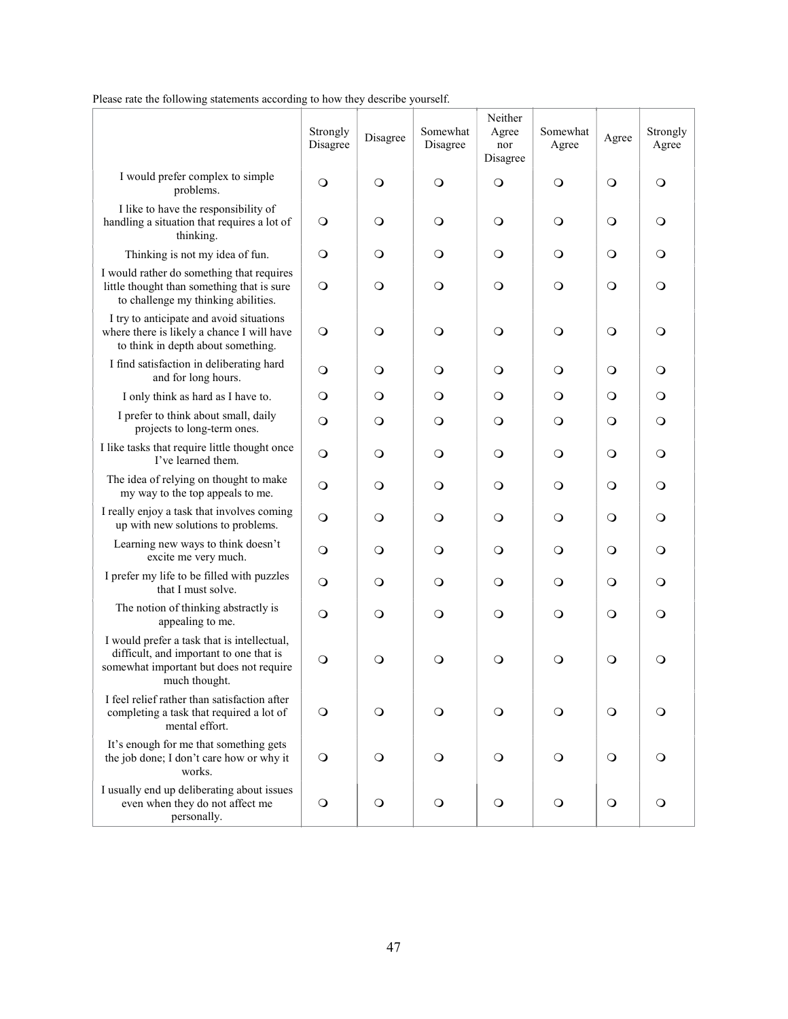Please rate the following statements according to how they describe yourself.

|                                                                                                                                                    | Strongly<br>Disagree | Disagree | Somewhat<br>Disagree | Neither<br>Agree<br>nor<br>Disagree | Somewhat<br>Agree | Agree   | Strongly<br>Agree |
|----------------------------------------------------------------------------------------------------------------------------------------------------|----------------------|----------|----------------------|-------------------------------------|-------------------|---------|-------------------|
| I would prefer complex to simple<br>problems.                                                                                                      | $\circ$              | $\circ$  | $\circ$              | $\circ$                             | $\circ$           | $\circ$ | $\circ$           |
| I like to have the responsibility of<br>handling a situation that requires a lot of<br>thinking.                                                   | $\circ$              | $\circ$  | $\circ$              | $\circ$                             | $\circ$           | $\circ$ | $\mathsf{O}$      |
| Thinking is not my idea of fun.                                                                                                                    | $\circ$              | $\circ$  | $\circ$              | $\circ$                             | $\circ$           | $\circ$ | $\mathsf{O}$      |
| I would rather do something that requires<br>little thought than something that is sure<br>to challenge my thinking abilities.                     | $\circ$              | $\circ$  | $\circ$              | O                                   | $\circ$           | $\circ$ | $\circ$           |
| I try to anticipate and avoid situations<br>where there is likely a chance I will have<br>to think in depth about something.                       | $\circ$              | $\circ$  | $\circ$              | $\circ$                             | $\circ$           | $\circ$ | $\circ$           |
| I find satisfaction in deliberating hard<br>and for long hours.                                                                                    | $\circ$              | $\circ$  | $\circ$              | $\circ$                             | $\circ$           | $\circ$ | O                 |
| I only think as hard as I have to.                                                                                                                 | $\circ$              | $\circ$  | $\circ$              | O                                   | $\circ$           | $\circ$ | O                 |
| I prefer to think about small, daily<br>projects to long-term ones.                                                                                | $\circ$              | $\circ$  | $\circ$              | $\circ$                             | $\circ$           | $\circ$ | $\circ$           |
| I like tasks that require little thought once<br>I've learned them.                                                                                | $\circ$              | $\circ$  | $\circ$              | $\circ$                             | $\circ$           | $\circ$ | O                 |
| The idea of relying on thought to make<br>my way to the top appeals to me.                                                                         | $\circ$              | $\circ$  | $\circ$              | $\circ$                             | $\circ$           | $\circ$ | $\circ$           |
| I really enjoy a task that involves coming<br>up with new solutions to problems.                                                                   | $\circ$              | $\circ$  | $\circ$              | O                                   | $\circ$           | $\circ$ | O                 |
| Learning new ways to think doesn't<br>excite me very much.                                                                                         | $\circ$              | $\circ$  | $\circ$              | O                                   | $\circ$           | $\circ$ | O                 |
| I prefer my life to be filled with puzzles<br>that I must solve.                                                                                   | $\circ$              | $\circ$  | $\circ$              | $\circ$                             | $\circ$           | $\circ$ | $\circ$           |
| The notion of thinking abstractly is<br>appealing to me.                                                                                           | $\circ$              | $\circ$  | $\circ$              | $\circ$                             | $\circ$           | $\circ$ | $\circ$           |
| I would prefer a task that is intellectual,<br>difficult, and important to one that is<br>somewhat important but does not require<br>much thought. | $\circ$              | $\circ$  | $\circ$              | $\circ$                             | $\circ$           | $\circ$ | $\circ$           |
| I feel relief rather than satisfaction after<br>completing a task that required a lot of<br>mental effort.                                         | $\circ$              | $\circ$  | $\circ$              | $\circ$                             | $\circ$           | $\circ$ | $\circ$           |
| It's enough for me that something gets<br>the job done; I don't care how or why it<br>works.                                                       | $\circ$              | $\circ$  | $\circ$              | O                                   | O                 | $\circ$ | $\circ$           |
| I usually end up deliberating about issues<br>even when they do not affect me<br>personally.                                                       | $\circ$              | $\circ$  | $\circ$              | $\circ$                             | $\circ$           | $\circ$ | $\circ$           |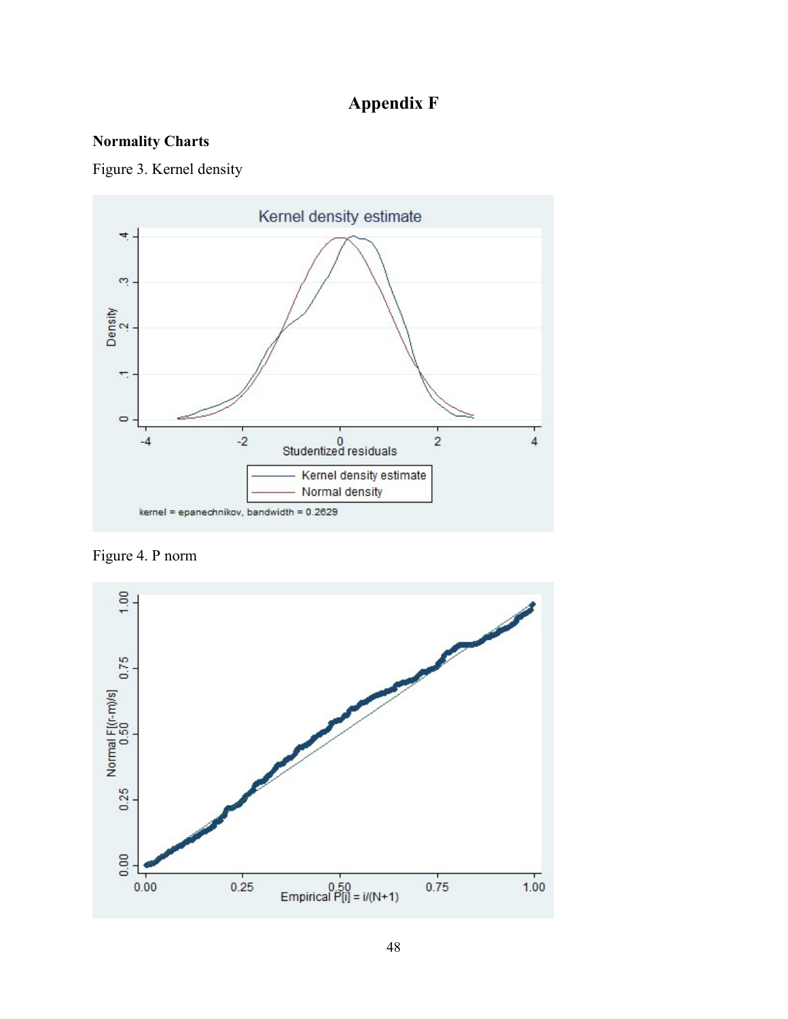# Appendix F

## Normality Charts

Figure 3. Kernel density



Figure 4. P norm

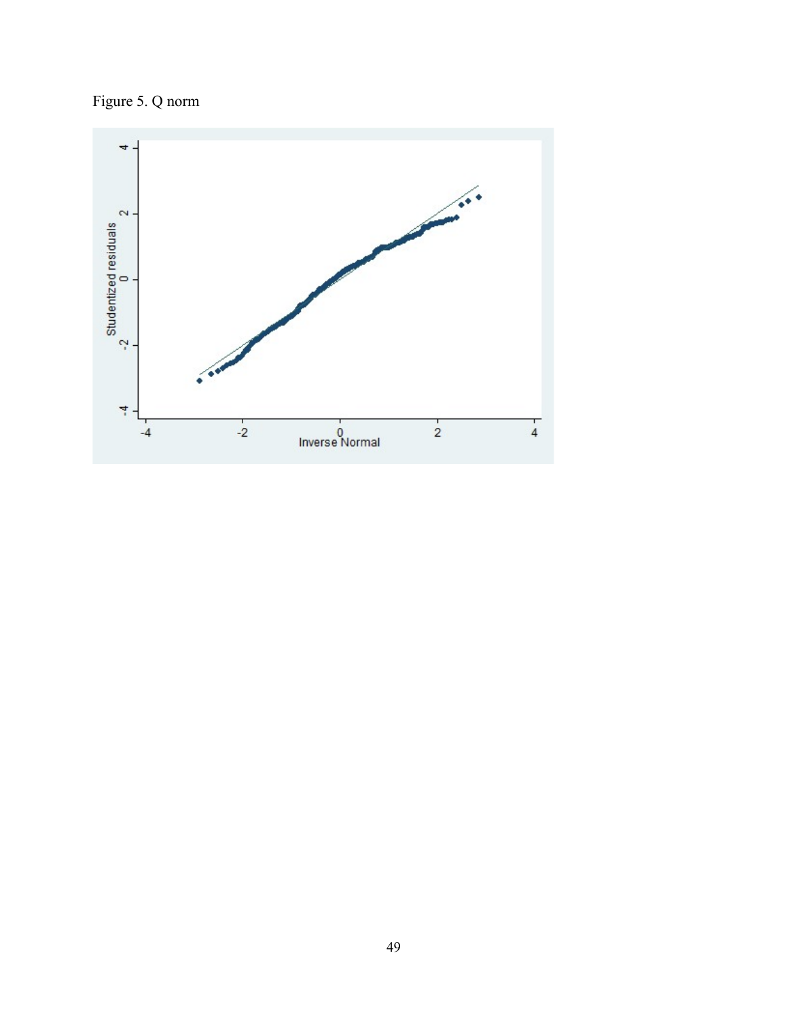Figure 5. Q norm

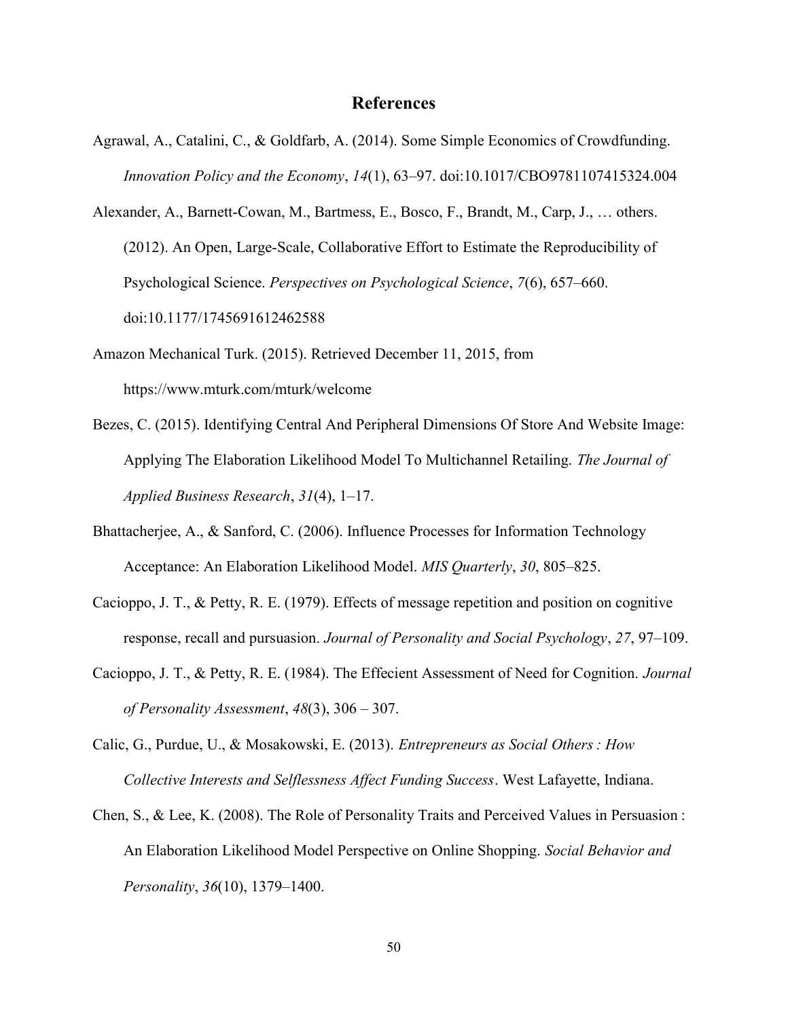#### References

- Agrawal, A., Catalini, C., & Goldfarb, A. (2014). Some Simple Economics of Crowdfunding. Innovation Policy and the Economy, 14(1), 63–97. doi:10.1017/CBO9781107415324.004
- Alexander, A., Barnett-Cowan, M., Bartmess, E., Bosco, F., Brandt, M., Carp, J., … others. (2012). An Open, Large-Scale, Collaborative Effort to Estimate the Reproducibility of Psychological Science. Perspectives on Psychological Science, 7(6), 657–660. doi:10.1177/1745691612462588
- Amazon Mechanical Turk. (2015). Retrieved December 11, 2015, from https://www.mturk.com/mturk/welcome
- Bezes, C. (2015). Identifying Central And Peripheral Dimensions Of Store And Website Image: Applying The Elaboration Likelihood Model To Multichannel Retailing. The Journal of Applied Business Research, 31(4), 1–17.
- Bhattacherjee, A., & Sanford, C. (2006). Influence Processes for Information Technology Acceptance: An Elaboration Likelihood Model. MIS Quarterly, 30, 805–825.
- Cacioppo, J. T., & Petty, R. E. (1979). Effects of message repetition and position on cognitive response, recall and pursuasion. Journal of Personality and Social Psychology, 27, 97–109.
- Cacioppo, J. T., & Petty, R. E. (1984). The Effecient Assessment of Need for Cognition. Journal of Personality Assessment, 48(3), 306 – 307.
- Calic, G., Purdue, U., & Mosakowski, E. (2013). Entrepreneurs as Social Others : How Collective Interests and Selflessness Affect Funding Success. West Lafayette, Indiana.
- Chen, S., & Lee, K. (2008). The Role of Personality Traits and Perceived Values in Persuasion : An Elaboration Likelihood Model Perspective on Online Shopping. Social Behavior and Personality, 36(10), 1379–1400.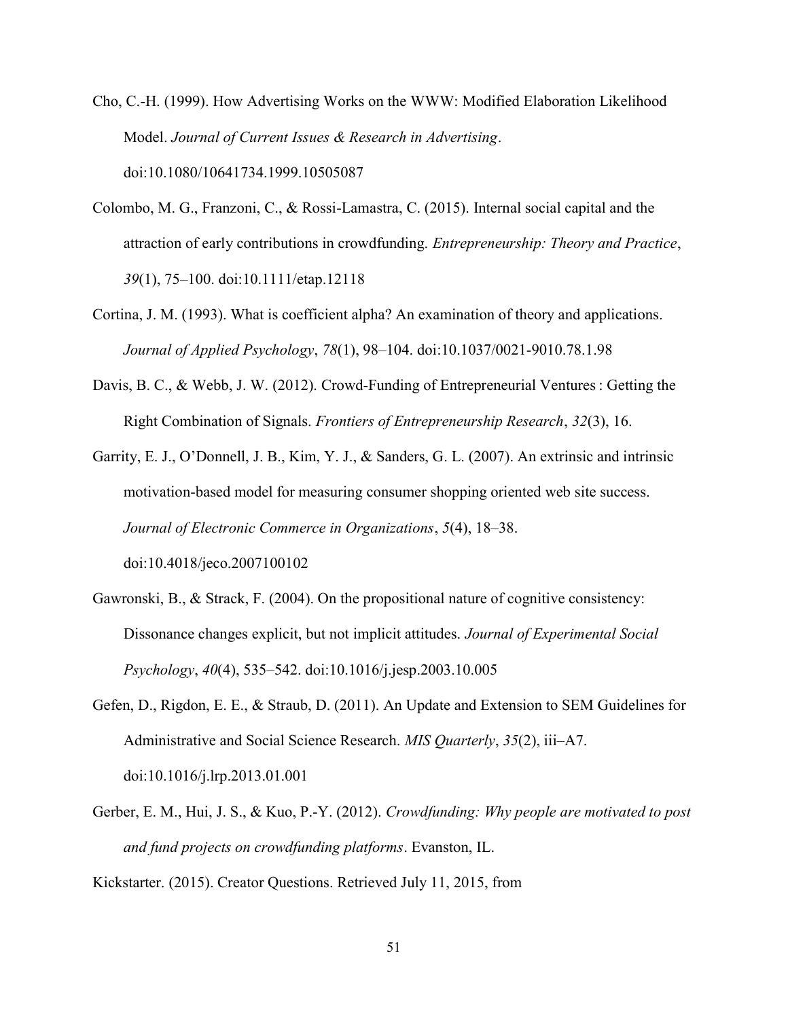Cho, C.-H. (1999). How Advertising Works on the WWW: Modified Elaboration Likelihood Model. Journal of Current Issues & Research in Advertising. doi:10.1080/10641734.1999.10505087

- Colombo, M. G., Franzoni, C., & Rossi-Lamastra, C. (2015). Internal social capital and the attraction of early contributions in crowdfunding. Entrepreneurship: Theory and Practice, 39(1), 75–100. doi:10.1111/etap.12118
- Cortina, J. M. (1993). What is coefficient alpha? An examination of theory and applications. Journal of Applied Psychology, 78(1), 98–104. doi:10.1037/0021-9010.78.1.98
- Davis, B. C., & Webb, J. W. (2012). Crowd-Funding of Entrepreneurial Ventures : Getting the Right Combination of Signals. Frontiers of Entrepreneurship Research, 32(3), 16.

Garrity, E. J., O'Donnell, J. B., Kim, Y. J., & Sanders, G. L. (2007). An extrinsic and intrinsic motivation-based model for measuring consumer shopping oriented web site success. Journal of Electronic Commerce in Organizations, 5(4), 18–38. doi:10.4018/jeco.2007100102

- Gawronski, B., & Strack, F. (2004). On the propositional nature of cognitive consistency: Dissonance changes explicit, but not implicit attitudes. Journal of Experimental Social Psychology, 40(4), 535–542. doi:10.1016/j.jesp.2003.10.005
- Gefen, D., Rigdon, E. E., & Straub, D. (2011). An Update and Extension to SEM Guidelines for Administrative and Social Science Research. MIS Quarterly, 35(2), iii–A7. doi:10.1016/j.lrp.2013.01.001
- Gerber, E. M., Hui, J. S., & Kuo, P.-Y. (2012). Crowdfunding: Why people are motivated to post and fund projects on crowdfunding platforms. Evanston, IL.

Kickstarter. (2015). Creator Questions. Retrieved July 11, 2015, from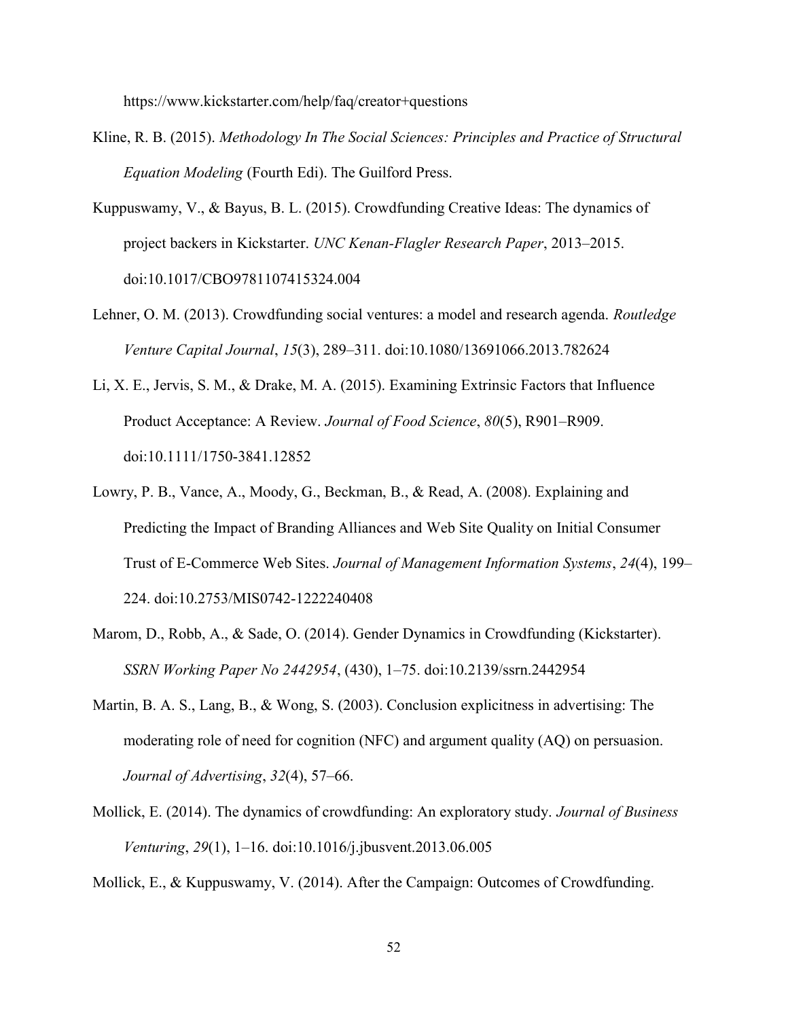https://www.kickstarter.com/help/faq/creator+questions

- Kline, R. B. (2015). Methodology In The Social Sciences: Principles and Practice of Structural Equation Modeling (Fourth Edi). The Guilford Press.
- Kuppuswamy, V., & Bayus, B. L. (2015). Crowdfunding Creative Ideas: The dynamics of project backers in Kickstarter. UNC Kenan-Flagler Research Paper, 2013–2015. doi:10.1017/CBO9781107415324.004
- Lehner, O. M. (2013). Crowdfunding social ventures: a model and research agenda. Routledge Venture Capital Journal, 15(3), 289–311. doi:10.1080/13691066.2013.782624
- Li, X. E., Jervis, S. M., & Drake, M. A. (2015). Examining Extrinsic Factors that Influence Product Acceptance: A Review. Journal of Food Science, 80(5), R901–R909. doi:10.1111/1750-3841.12852
- Lowry, P. B., Vance, A., Moody, G., Beckman, B., & Read, A. (2008). Explaining and Predicting the Impact of Branding Alliances and Web Site Quality on Initial Consumer Trust of E-Commerce Web Sites. Journal of Management Information Systems, 24(4), 199– 224. doi:10.2753/MIS0742-1222240408
- Marom, D., Robb, A., & Sade, O. (2014). Gender Dynamics in Crowdfunding (Kickstarter). SSRN Working Paper No 2442954, (430), 1–75. doi:10.2139/ssrn.2442954
- Martin, B. A. S., Lang, B., & Wong, S. (2003). Conclusion explicitness in advertising: The moderating role of need for cognition (NFC) and argument quality (AQ) on persuasion. Journal of Advertising, 32(4), 57–66.
- Mollick, E. (2014). The dynamics of crowdfunding: An exploratory study. Journal of Business Venturing, 29(1), 1–16. doi:10.1016/j.jbusvent.2013.06.005

Mollick, E., & Kuppuswamy, V. (2014). After the Campaign: Outcomes of Crowdfunding.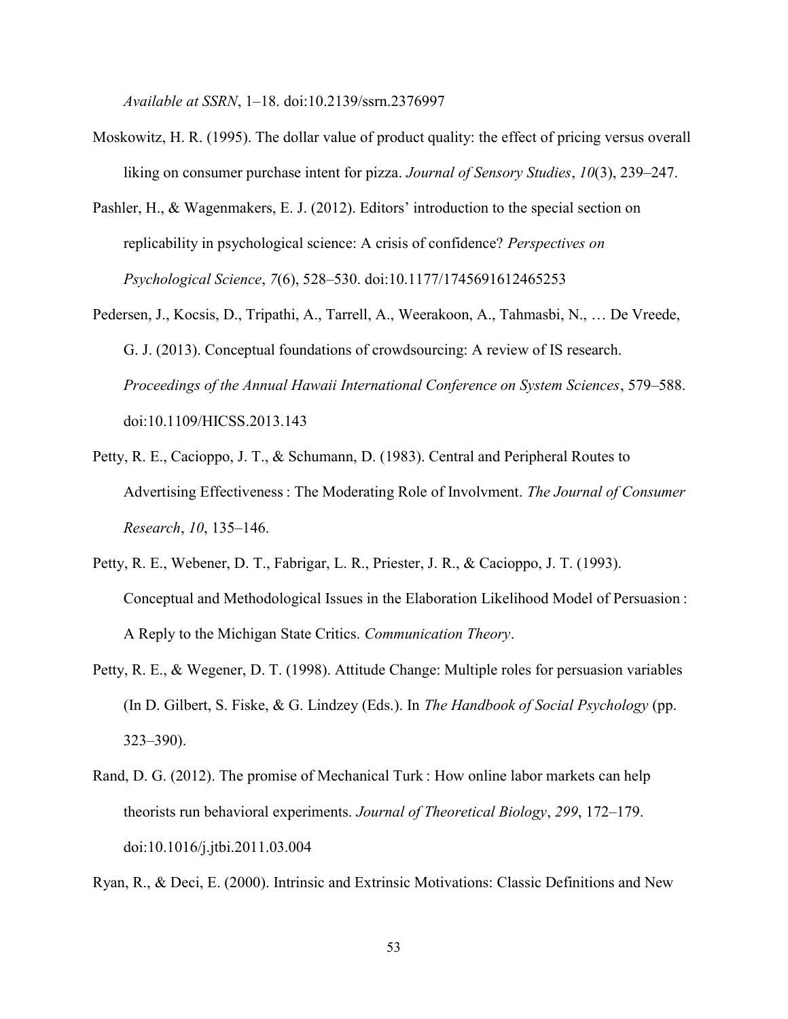Available at SSRN, 1–18. doi:10.2139/ssrn.2376997

- Moskowitz, H. R. (1995). The dollar value of product quality: the effect of pricing versus overall liking on consumer purchase intent for pizza. Journal of Sensory Studies, 10(3), 239–247.
- Pashler, H., & Wagenmakers, E. J. (2012). Editors' introduction to the special section on replicability in psychological science: A crisis of confidence? Perspectives on Psychological Science, 7(6), 528–530. doi:10.1177/1745691612465253
- Pedersen, J., Kocsis, D., Tripathi, A., Tarrell, A., Weerakoon, A., Tahmasbi, N., … De Vreede, G. J. (2013). Conceptual foundations of crowdsourcing: A review of IS research. Proceedings of the Annual Hawaii International Conference on System Sciences, 579–588. doi:10.1109/HICSS.2013.143
- Petty, R. E., Cacioppo, J. T., & Schumann, D. (1983). Central and Peripheral Routes to Advertising Effectiveness : The Moderating Role of Involvment. The Journal of Consumer Research, 10, 135–146.
- Petty, R. E., Webener, D. T., Fabrigar, L. R., Priester, J. R., & Cacioppo, J. T. (1993). Conceptual and Methodological Issues in the Elaboration Likelihood Model of Persuasion : A Reply to the Michigan State Critics. Communication Theory.
- Petty, R. E., & Wegener, D. T. (1998). Attitude Change: Multiple roles for persuasion variables (In D. Gilbert, S. Fiske, & G. Lindzey (Eds.). In The Handbook of Social Psychology (pp. 323–390).
- Rand, D. G. (2012). The promise of Mechanical Turk : How online labor markets can help theorists run behavioral experiments. Journal of Theoretical Biology, 299, 172–179. doi:10.1016/j.jtbi.2011.03.004

Ryan, R., & Deci, E. (2000). Intrinsic and Extrinsic Motivations: Classic Definitions and New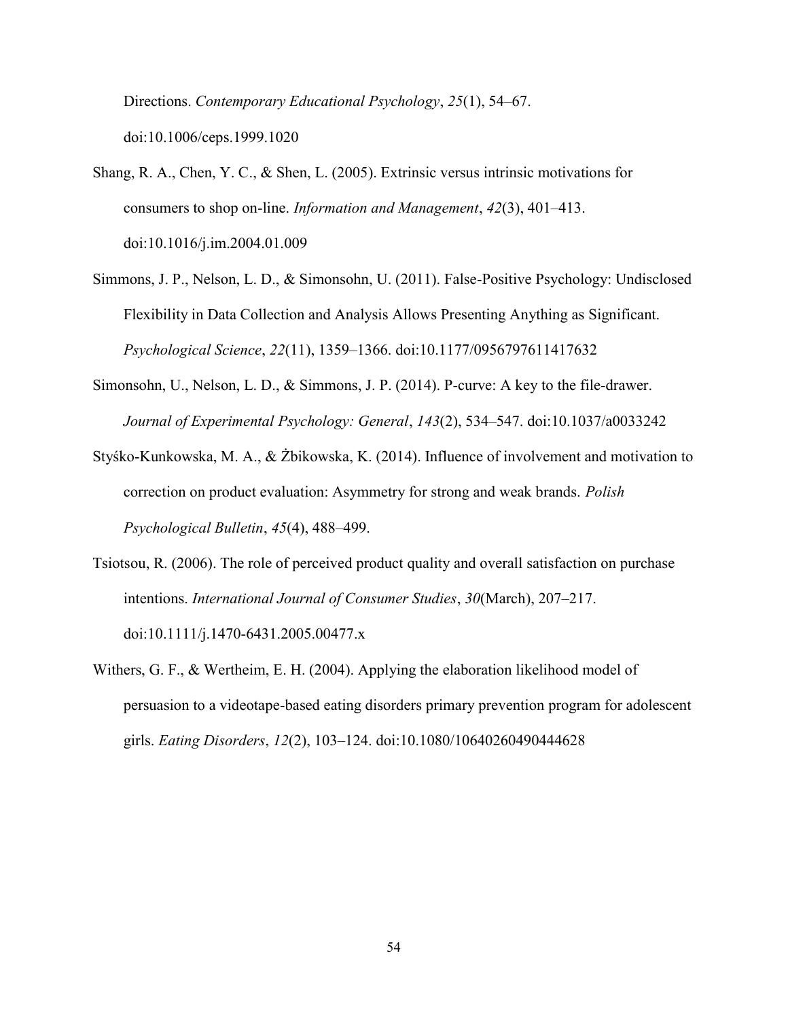Directions. Contemporary Educational Psychology, 25(1), 54–67. doi:10.1006/ceps.1999.1020

- Shang, R. A., Chen, Y. C., & Shen, L. (2005). Extrinsic versus intrinsic motivations for consumers to shop on-line. Information and Management, 42(3), 401–413. doi:10.1016/j.im.2004.01.009
- Simmons, J. P., Nelson, L. D., & Simonsohn, U. (2011). False-Positive Psychology: Undisclosed Flexibility in Data Collection and Analysis Allows Presenting Anything as Significant. Psychological Science, 22(11), 1359–1366. doi:10.1177/0956797611417632
- Simonsohn, U., Nelson, L. D., & Simmons, J. P. (2014). P-curve: A key to the file-drawer. Journal of Experimental Psychology: General, 143(2), 534–547. doi:10.1037/a0033242
- Styśko-Kunkowska, M. A., & Żbikowska, K. (2014). Influence of involvement and motivation to correction on product evaluation: Asymmetry for strong and weak brands. Polish Psychological Bulletin, 45(4), 488–499.
- Tsiotsou, R. (2006). The role of perceived product quality and overall satisfaction on purchase intentions. International Journal of Consumer Studies, 30(March), 207–217. doi:10.1111/j.1470-6431.2005.00477.x
- Withers, G. F., & Wertheim, E. H. (2004). Applying the elaboration likelihood model of persuasion to a videotape-based eating disorders primary prevention program for adolescent girls. Eating Disorders, 12(2), 103–124. doi:10.1080/10640260490444628